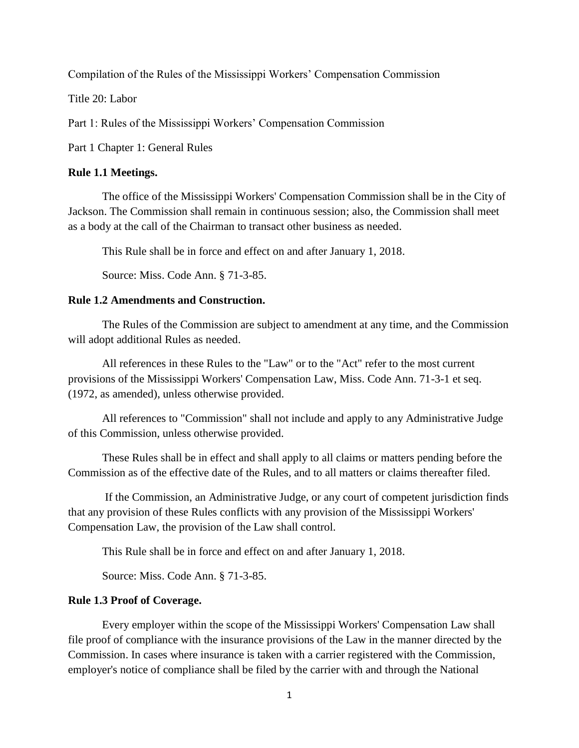Compilation of the Rules of the Mississippi Workers' Compensation Commission

Title 20: Labor

Part 1: Rules of the Mississippi Workers' Compensation Commission

Part 1 Chapter 1: General Rules

### **Rule 1.1 Meetings.**

The office of the Mississippi Workers' Compensation Commission shall be in the City of Jackson. The Commission shall remain in continuous session; also, the Commission shall meet as a body at the call of the Chairman to transact other business as needed.

This Rule shall be in force and effect on and after January 1, 2018.

Source: Miss. Code Ann. § 71-3-85.

## **Rule 1.2 Amendments and Construction.**

The Rules of the Commission are subject to amendment at any time, and the Commission will adopt additional Rules as needed.

All references in these Rules to the "Law" or to the "Act" refer to the most current provisions of the Mississippi Workers' Compensation Law, Miss. Code Ann. 71-3-1 et seq. (1972, as amended), unless otherwise provided.

All references to "Commission" shall not include and apply to any Administrative Judge of this Commission, unless otherwise provided.

These Rules shall be in effect and shall apply to all claims or matters pending before the Commission as of the effective date of the Rules, and to all matters or claims thereafter filed.

If the Commission, an Administrative Judge, or any court of competent jurisdiction finds that any provision of these Rules conflicts with any provision of the Mississippi Workers' Compensation Law, the provision of the Law shall control.

This Rule shall be in force and effect on and after January 1, 2018.

Source: Miss. Code Ann. § 71-3-85.

### **Rule 1.3 Proof of Coverage.**

Every employer within the scope of the Mississippi Workers' Compensation Law shall file proof of compliance with the insurance provisions of the Law in the manner directed by the Commission. In cases where insurance is taken with a carrier registered with the Commission, employer's notice of compliance shall be filed by the carrier with and through the National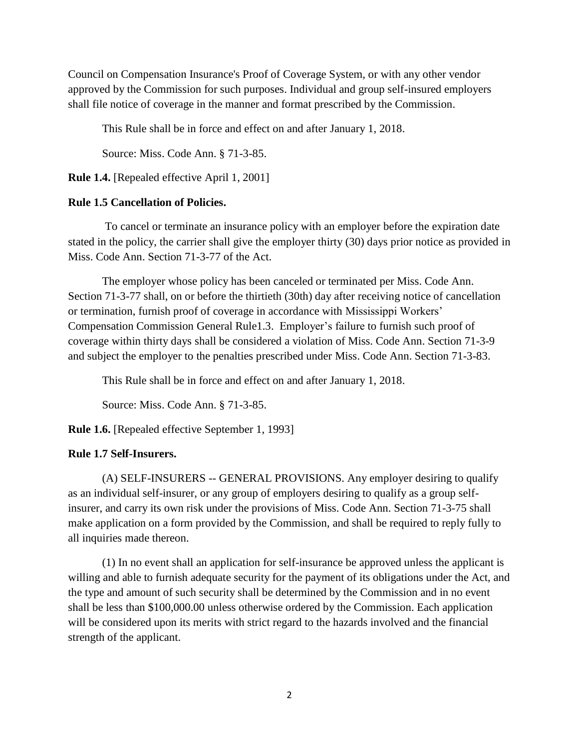Council on Compensation Insurance's Proof of Coverage System, or with any other vendor approved by the Commission for such purposes. Individual and group self-insured employers shall file notice of coverage in the manner and format prescribed by the Commission.

This Rule shall be in force and effect on and after January 1, 2018.

Source: Miss. Code Ann. § 71-3-85.

**Rule 1.4.** [Repealed effective April 1, 2001]

### **Rule 1.5 Cancellation of Policies.**

To cancel or terminate an insurance policy with an employer before the expiration date stated in the policy, the carrier shall give the employer thirty (30) days prior notice as provided in Miss. Code Ann. Section 71-3-77 of the Act.

The employer whose policy has been canceled or terminated per Miss. Code Ann. Section 71-3-77 shall, on or before the thirtieth (30th) day after receiving notice of cancellation or termination, furnish proof of coverage in accordance with Mississippi Workers' Compensation Commission General Rule1.3. Employer's failure to furnish such proof of coverage within thirty days shall be considered a violation of Miss. Code Ann. Section 71-3-9 and subject the employer to the penalties prescribed under Miss. Code Ann. Section 71-3-83.

This Rule shall be in force and effect on and after January 1, 2018.

Source: Miss. Code Ann. § 71-3-85.

**Rule 1.6.** [Repealed effective September 1, 1993]

#### **Rule 1.7 Self-Insurers.**

(A) SELF-INSURERS -- GENERAL PROVISIONS. Any employer desiring to qualify as an individual self-insurer, or any group of employers desiring to qualify as a group selfinsurer, and carry its own risk under the provisions of Miss. Code Ann. Section 71-3-75 shall make application on a form provided by the Commission, and shall be required to reply fully to all inquiries made thereon.

(1) In no event shall an application for self-insurance be approved unless the applicant is willing and able to furnish adequate security for the payment of its obligations under the Act, and the type and amount of such security shall be determined by the Commission and in no event shall be less than \$100,000.00 unless otherwise ordered by the Commission. Each application will be considered upon its merits with strict regard to the hazards involved and the financial strength of the applicant.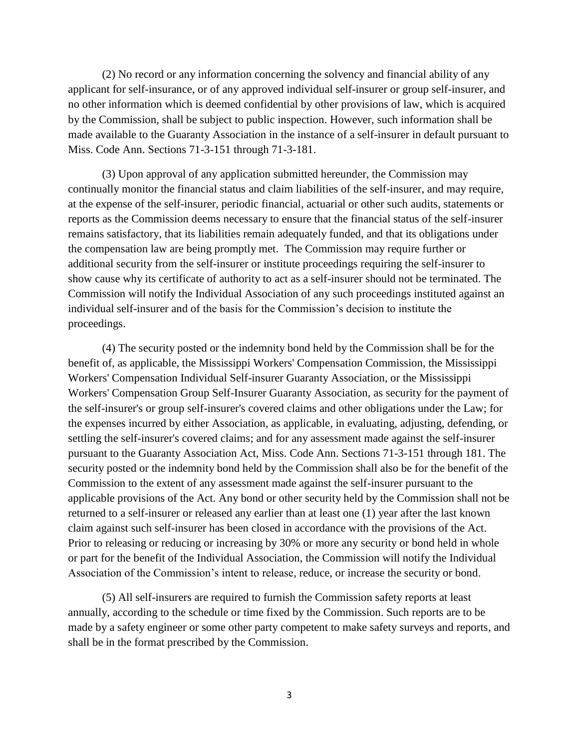(2) No record or any information concerning the solvency and financial ability of any applicant for self-insurance, or of any approved individual self-insurer or group self-insurer, and no other information which is deemed confidential by other provisions of law, which is acquired by the Commission, shall be subject to public inspection. However, such information shall be made available to the Guaranty Association in the instance of a self-insurer in default pursuant to Miss. Code Ann. Sections 71-3-151 through 71-3-181.

(3) Upon approval of any application submitted hereunder, the Commission may continually monitor the financial status and claim liabilities of the self-insurer, and may require, at the expense of the self-insurer, periodic financial, actuarial or other such audits, statements or reports as the Commission deems necessary to ensure that the financial status of the self-insurer remains satisfactory, that its liabilities remain adequately funded, and that its obligations under the compensation law are being promptly met. The Commission may require further or additional security from the self-insurer or institute proceedings requiring the self-insurer to show cause why its certificate of authority to act as a self-insurer should not be terminated. The Commission will notify the Individual Association of any such proceedings instituted against an individual self-insurer and of the basis for the Commission's decision to institute the proceedings.

(4) The security posted or the indemnity bond held by the Commission shall be for the benefit of, as applicable, the Mississippi Workers' Compensation Commission, the Mississippi Workers' Compensation Individual Self-insurer Guaranty Association, or the Mississippi Workers' Compensation Group Self-Insurer Guaranty Association, as security for the payment of the self-insurer's or group self-insurer's covered claims and other obligations under the Law; for the expenses incurred by either Association, as applicable, in evaluating, adjusting, defending, or settling the self-insurer's covered claims; and for any assessment made against the self-insurer pursuant to the Guaranty Association Act, Miss. Code Ann. Sections 71-3-151 through 181. The security posted or the indemnity bond held by the Commission shall also be for the benefit of the Commission to the extent of any assessment made against the self-insurer pursuant to the applicable provisions of the Act. Any bond or other security held by the Commission shall not be returned to a self-insurer or released any earlier than at least one (1) year after the last known claim against such self-insurer has been closed in accordance with the provisions of the Act. Prior to releasing or reducing or increasing by 30% or more any security or bond held in whole or part for the benefit of the Individual Association, the Commission will notify the Individual Association of the Commission's intent to release, reduce, or increase the security or bond.

(5) All self-insurers are required to furnish the Commission safety reports at least annually, according to the schedule or time fixed by the Commission. Such reports are to be made by a safety engineer or some other party competent to make safety surveys and reports, and shall be in the format prescribed by the Commission.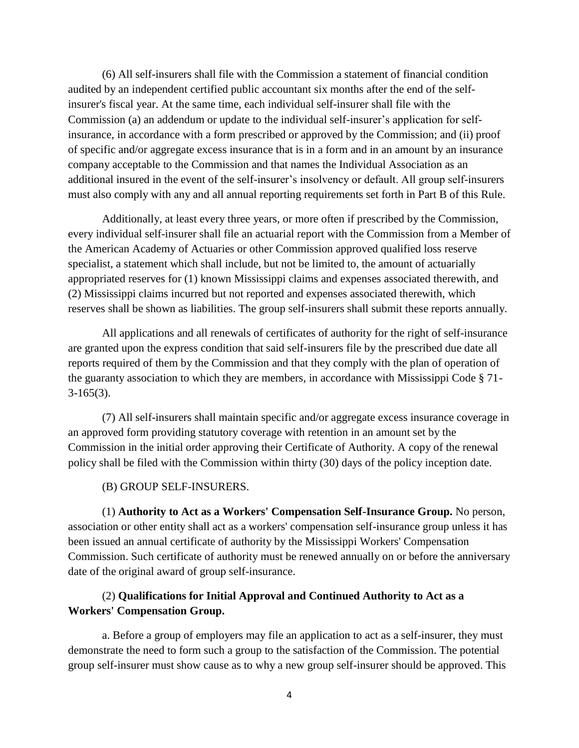(6) All self-insurers shall file with the Commission a statement of financial condition audited by an independent certified public accountant six months after the end of the selfinsurer's fiscal year. At the same time, each individual self-insurer shall file with the Commission (a) an addendum or update to the individual self-insurer's application for selfinsurance, in accordance with a form prescribed or approved by the Commission; and (ii) proof of specific and/or aggregate excess insurance that is in a form and in an amount by an insurance company acceptable to the Commission and that names the Individual Association as an additional insured in the event of the self-insurer's insolvency or default. All group self-insurers must also comply with any and all annual reporting requirements set forth in Part B of this Rule.

Additionally, at least every three years, or more often if prescribed by the Commission, every individual self-insurer shall file an actuarial report with the Commission from a Member of the American Academy of Actuaries or other Commission approved qualified loss reserve specialist, a statement which shall include, but not be limited to, the amount of actuarially appropriated reserves for (1) known Mississippi claims and expenses associated therewith, and (2) Mississippi claims incurred but not reported and expenses associated therewith, which reserves shall be shown as liabilities. The group self-insurers shall submit these reports annually.

All applications and all renewals of certificates of authority for the right of self-insurance are granted upon the express condition that said self-insurers file by the prescribed due date all reports required of them by the Commission and that they comply with the plan of operation of the guaranty association to which they are members, in accordance with Mississippi Code § 71-  $3-165(3)$ .

(7) All self-insurers shall maintain specific and/or aggregate excess insurance coverage in an approved form providing statutory coverage with retention in an amount set by the Commission in the initial order approving their Certificate of Authority. A copy of the renewal policy shall be filed with the Commission within thirty (30) days of the policy inception date.

(B) GROUP SELF-INSURERS.

(1) **Authority to Act as a Workers' Compensation Self-Insurance Group.** No person, association or other entity shall act as a workers' compensation self-insurance group unless it has been issued an annual certificate of authority by the Mississippi Workers' Compensation Commission. Such certificate of authority must be renewed annually on or before the anniversary date of the original award of group self-insurance.

# (2) **Qualifications for Initial Approval and Continued Authority to Act as a Workers' Compensation Group.**

a. Before a group of employers may file an application to act as a self-insurer, they must demonstrate the need to form such a group to the satisfaction of the Commission. The potential group self-insurer must show cause as to why a new group self-insurer should be approved. This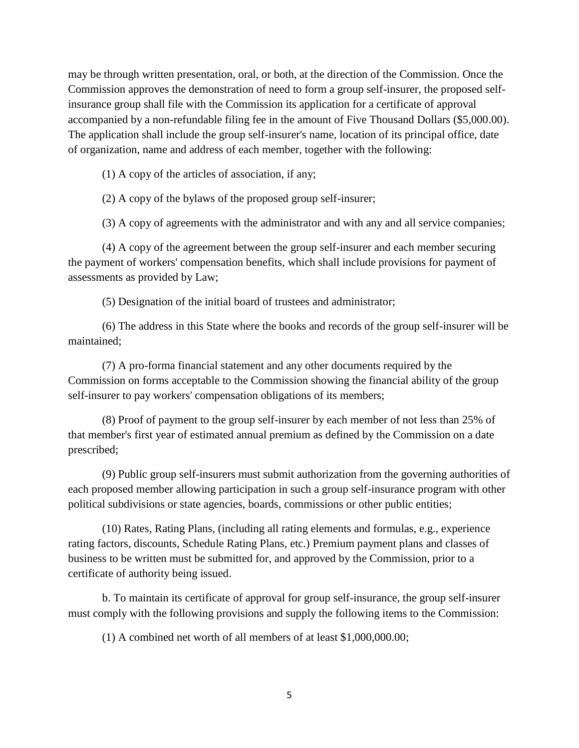may be through written presentation, oral, or both, at the direction of the Commission. Once the Commission approves the demonstration of need to form a group self-insurer, the proposed selfinsurance group shall file with the Commission its application for a certificate of approval accompanied by a non-refundable filing fee in the amount of Five Thousand Dollars (\$5,000.00). The application shall include the group self-insurer's name, location of its principal office, date of organization, name and address of each member, together with the following:

(1) A copy of the articles of association, if any;

(2) A copy of the bylaws of the proposed group self-insurer;

(3) A copy of agreements with the administrator and with any and all service companies;

(4) A copy of the agreement between the group self-insurer and each member securing the payment of workers' compensation benefits, which shall include provisions for payment of assessments as provided by Law;

(5) Designation of the initial board of trustees and administrator;

(6) The address in this State where the books and records of the group self-insurer will be maintained;

(7) A pro-forma financial statement and any other documents required by the Commission on forms acceptable to the Commission showing the financial ability of the group self-insurer to pay workers' compensation obligations of its members;

(8) Proof of payment to the group self-insurer by each member of not less than 25% of that member's first year of estimated annual premium as defined by the Commission on a date prescribed;

(9) Public group self-insurers must submit authorization from the governing authorities of each proposed member allowing participation in such a group self-insurance program with other political subdivisions or state agencies, boards, commissions or other public entities;

(10) Rates, Rating Plans, (including all rating elements and formulas, e.g., experience rating factors, discounts, Schedule Rating Plans, etc.) Premium payment plans and classes of business to be written must be submitted for, and approved by the Commission, prior to a certificate of authority being issued.

b. To maintain its certificate of approval for group self-insurance, the group self-insurer must comply with the following provisions and supply the following items to the Commission:

(1) A combined net worth of all members of at least \$1,000,000.00;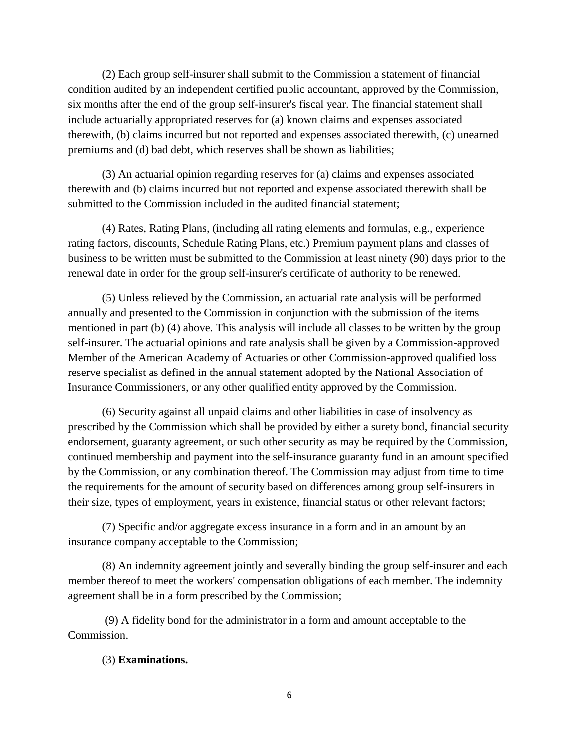(2) Each group self-insurer shall submit to the Commission a statement of financial condition audited by an independent certified public accountant, approved by the Commission, six months after the end of the group self-insurer's fiscal year. The financial statement shall include actuarially appropriated reserves for (a) known claims and expenses associated therewith, (b) claims incurred but not reported and expenses associated therewith, (c) unearned premiums and (d) bad debt, which reserves shall be shown as liabilities;

(3) An actuarial opinion regarding reserves for (a) claims and expenses associated therewith and (b) claims incurred but not reported and expense associated therewith shall be submitted to the Commission included in the audited financial statement;

(4) Rates, Rating Plans, (including all rating elements and formulas, e.g., experience rating factors, discounts, Schedule Rating Plans, etc.) Premium payment plans and classes of business to be written must be submitted to the Commission at least ninety (90) days prior to the renewal date in order for the group self-insurer's certificate of authority to be renewed.

(5) Unless relieved by the Commission, an actuarial rate analysis will be performed annually and presented to the Commission in conjunction with the submission of the items mentioned in part (b) (4) above. This analysis will include all classes to be written by the group self-insurer. The actuarial opinions and rate analysis shall be given by a Commission-approved Member of the American Academy of Actuaries or other Commission-approved qualified loss reserve specialist as defined in the annual statement adopted by the National Association of Insurance Commissioners, or any other qualified entity approved by the Commission.

(6) Security against all unpaid claims and other liabilities in case of insolvency as prescribed by the Commission which shall be provided by either a surety bond, financial security endorsement, guaranty agreement, or such other security as may be required by the Commission, continued membership and payment into the self-insurance guaranty fund in an amount specified by the Commission, or any combination thereof. The Commission may adjust from time to time the requirements for the amount of security based on differences among group self-insurers in their size, types of employment, years in existence, financial status or other relevant factors;

(7) Specific and/or aggregate excess insurance in a form and in an amount by an insurance company acceptable to the Commission;

(8) An indemnity agreement jointly and severally binding the group self-insurer and each member thereof to meet the workers' compensation obligations of each member. The indemnity agreement shall be in a form prescribed by the Commission;

(9) A fidelity bond for the administrator in a form and amount acceptable to the Commission.

# (3) **Examinations.**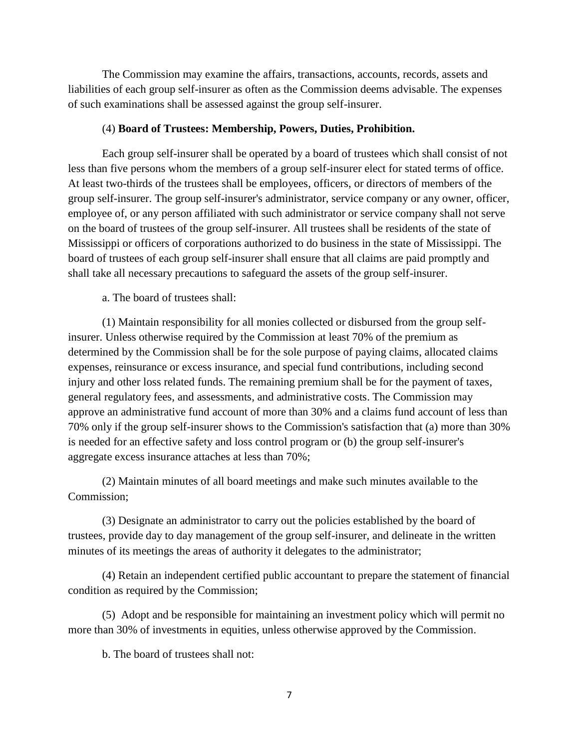The Commission may examine the affairs, transactions, accounts, records, assets and liabilities of each group self-insurer as often as the Commission deems advisable. The expenses of such examinations shall be assessed against the group self-insurer.

## (4) **Board of Trustees: Membership, Powers, Duties, Prohibition.**

Each group self-insurer shall be operated by a board of trustees which shall consist of not less than five persons whom the members of a group self-insurer elect for stated terms of office. At least two-thirds of the trustees shall be employees, officers, or directors of members of the group self-insurer. The group self-insurer's administrator, service company or any owner, officer, employee of, or any person affiliated with such administrator or service company shall not serve on the board of trustees of the group self-insurer. All trustees shall be residents of the state of Mississippi or officers of corporations authorized to do business in the state of Mississippi. The board of trustees of each group self-insurer shall ensure that all claims are paid promptly and shall take all necessary precautions to safeguard the assets of the group self-insurer.

a. The board of trustees shall:

(1) Maintain responsibility for all monies collected or disbursed from the group selfinsurer. Unless otherwise required by the Commission at least 70% of the premium as determined by the Commission shall be for the sole purpose of paying claims, allocated claims expenses, reinsurance or excess insurance, and special fund contributions, including second injury and other loss related funds. The remaining premium shall be for the payment of taxes, general regulatory fees, and assessments, and administrative costs. The Commission may approve an administrative fund account of more than 30% and a claims fund account of less than 70% only if the group self-insurer shows to the Commission's satisfaction that (a) more than 30% is needed for an effective safety and loss control program or (b) the group self-insurer's aggregate excess insurance attaches at less than 70%;

(2) Maintain minutes of all board meetings and make such minutes available to the Commission;

(3) Designate an administrator to carry out the policies established by the board of trustees, provide day to day management of the group self-insurer, and delineate in the written minutes of its meetings the areas of authority it delegates to the administrator;

(4) Retain an independent certified public accountant to prepare the statement of financial condition as required by the Commission;

(5) Adopt and be responsible for maintaining an investment policy which will permit no more than 30% of investments in equities, unless otherwise approved by the Commission.

b. The board of trustees shall not: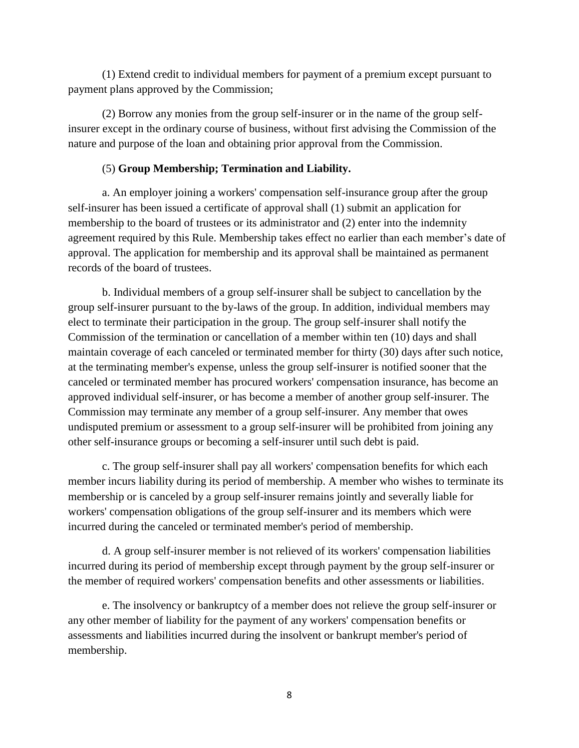(1) Extend credit to individual members for payment of a premium except pursuant to payment plans approved by the Commission;

(2) Borrow any monies from the group self-insurer or in the name of the group selfinsurer except in the ordinary course of business, without first advising the Commission of the nature and purpose of the loan and obtaining prior approval from the Commission.

# (5) **Group Membership; Termination and Liability.**

a. An employer joining a workers' compensation self-insurance group after the group self-insurer has been issued a certificate of approval shall (1) submit an application for membership to the board of trustees or its administrator and (2) enter into the indemnity agreement required by this Rule. Membership takes effect no earlier than each member's date of approval. The application for membership and its approval shall be maintained as permanent records of the board of trustees.

b. Individual members of a group self-insurer shall be subject to cancellation by the group self-insurer pursuant to the by-laws of the group. In addition, individual members may elect to terminate their participation in the group. The group self-insurer shall notify the Commission of the termination or cancellation of a member within ten (10) days and shall maintain coverage of each canceled or terminated member for thirty (30) days after such notice, at the terminating member's expense, unless the group self-insurer is notified sooner that the canceled or terminated member has procured workers' compensation insurance, has become an approved individual self-insurer, or has become a member of another group self-insurer. The Commission may terminate any member of a group self-insurer. Any member that owes undisputed premium or assessment to a group self-insurer will be prohibited from joining any other self-insurance groups or becoming a self-insurer until such debt is paid.

c. The group self-insurer shall pay all workers' compensation benefits for which each member incurs liability during its period of membership. A member who wishes to terminate its membership or is canceled by a group self-insurer remains jointly and severally liable for workers' compensation obligations of the group self-insurer and its members which were incurred during the canceled or terminated member's period of membership.

d. A group self-insurer member is not relieved of its workers' compensation liabilities incurred during its period of membership except through payment by the group self-insurer or the member of required workers' compensation benefits and other assessments or liabilities.

e. The insolvency or bankruptcy of a member does not relieve the group self-insurer or any other member of liability for the payment of any workers' compensation benefits or assessments and liabilities incurred during the insolvent or bankrupt member's period of membership.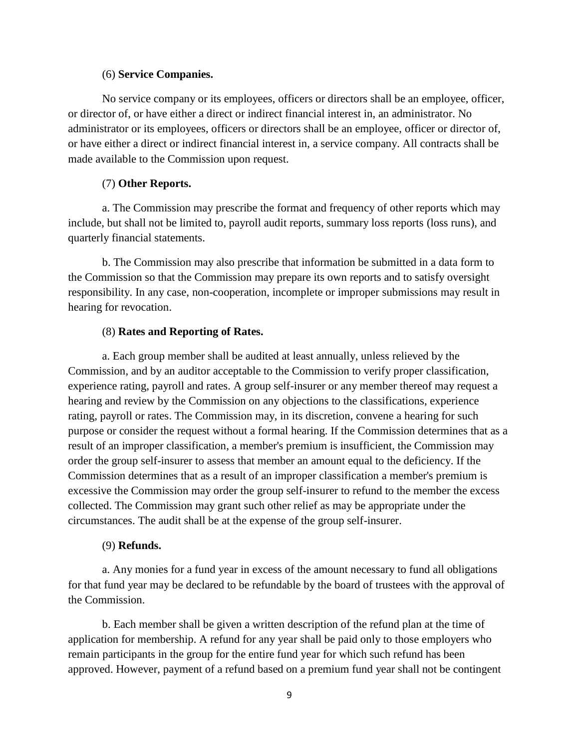### (6) **Service Companies.**

No service company or its employees, officers or directors shall be an employee, officer, or director of, or have either a direct or indirect financial interest in, an administrator. No administrator or its employees, officers or directors shall be an employee, officer or director of, or have either a direct or indirect financial interest in, a service company. All contracts shall be made available to the Commission upon request.

# (7) **Other Reports.**

a. The Commission may prescribe the format and frequency of other reports which may include, but shall not be limited to, payroll audit reports, summary loss reports (loss runs), and quarterly financial statements.

b. The Commission may also prescribe that information be submitted in a data form to the Commission so that the Commission may prepare its own reports and to satisfy oversight responsibility. In any case, non-cooperation, incomplete or improper submissions may result in hearing for revocation.

### (8) **Rates and Reporting of Rates.**

a. Each group member shall be audited at least annually, unless relieved by the Commission, and by an auditor acceptable to the Commission to verify proper classification, experience rating, payroll and rates. A group self-insurer or any member thereof may request a hearing and review by the Commission on any objections to the classifications, experience rating, payroll or rates. The Commission may, in its discretion, convene a hearing for such purpose or consider the request without a formal hearing. If the Commission determines that as a result of an improper classification, a member's premium is insufficient, the Commission may order the group self-insurer to assess that member an amount equal to the deficiency. If the Commission determines that as a result of an improper classification a member's premium is excessive the Commission may order the group self-insurer to refund to the member the excess collected. The Commission may grant such other relief as may be appropriate under the circumstances. The audit shall be at the expense of the group self-insurer.

### (9) **Refunds.**

a. Any monies for a fund year in excess of the amount necessary to fund all obligations for that fund year may be declared to be refundable by the board of trustees with the approval of the Commission.

b. Each member shall be given a written description of the refund plan at the time of application for membership. A refund for any year shall be paid only to those employers who remain participants in the group for the entire fund year for which such refund has been approved. However, payment of a refund based on a premium fund year shall not be contingent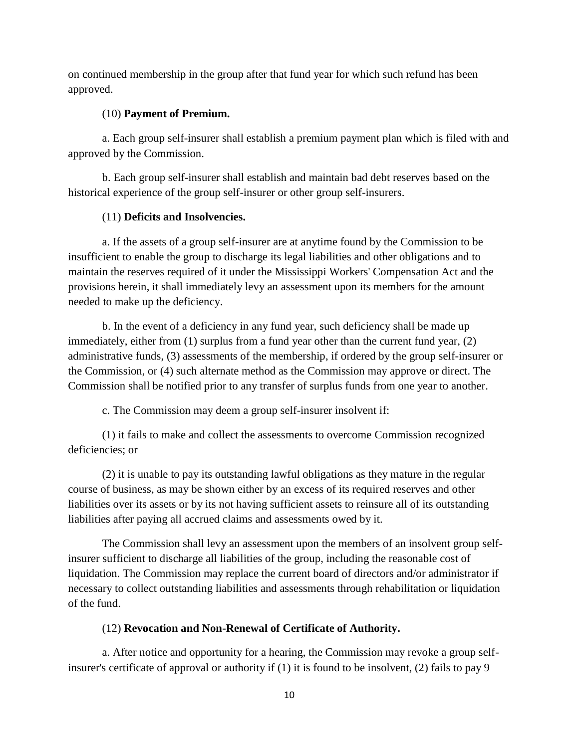on continued membership in the group after that fund year for which such refund has been approved.

# (10) **Payment of Premium.**

a. Each group self-insurer shall establish a premium payment plan which is filed with and approved by the Commission.

b. Each group self-insurer shall establish and maintain bad debt reserves based on the historical experience of the group self-insurer or other group self-insurers.

# (11) **Deficits and Insolvencies.**

a. If the assets of a group self-insurer are at anytime found by the Commission to be insufficient to enable the group to discharge its legal liabilities and other obligations and to maintain the reserves required of it under the Mississippi Workers' Compensation Act and the provisions herein, it shall immediately levy an assessment upon its members for the amount needed to make up the deficiency.

b. In the event of a deficiency in any fund year, such deficiency shall be made up immediately, either from (1) surplus from a fund year other than the current fund year, (2) administrative funds, (3) assessments of the membership, if ordered by the group self-insurer or the Commission, or (4) such alternate method as the Commission may approve or direct. The Commission shall be notified prior to any transfer of surplus funds from one year to another.

c. The Commission may deem a group self-insurer insolvent if:

(1) it fails to make and collect the assessments to overcome Commission recognized deficiencies; or

(2) it is unable to pay its outstanding lawful obligations as they mature in the regular course of business, as may be shown either by an excess of its required reserves and other liabilities over its assets or by its not having sufficient assets to reinsure all of its outstanding liabilities after paying all accrued claims and assessments owed by it.

The Commission shall levy an assessment upon the members of an insolvent group selfinsurer sufficient to discharge all liabilities of the group, including the reasonable cost of liquidation. The Commission may replace the current board of directors and/or administrator if necessary to collect outstanding liabilities and assessments through rehabilitation or liquidation of the fund.

# (12) **Revocation and Non-Renewal of Certificate of Authority.**

a. After notice and opportunity for a hearing, the Commission may revoke a group selfinsurer's certificate of approval or authority if (1) it is found to be insolvent, (2) fails to pay 9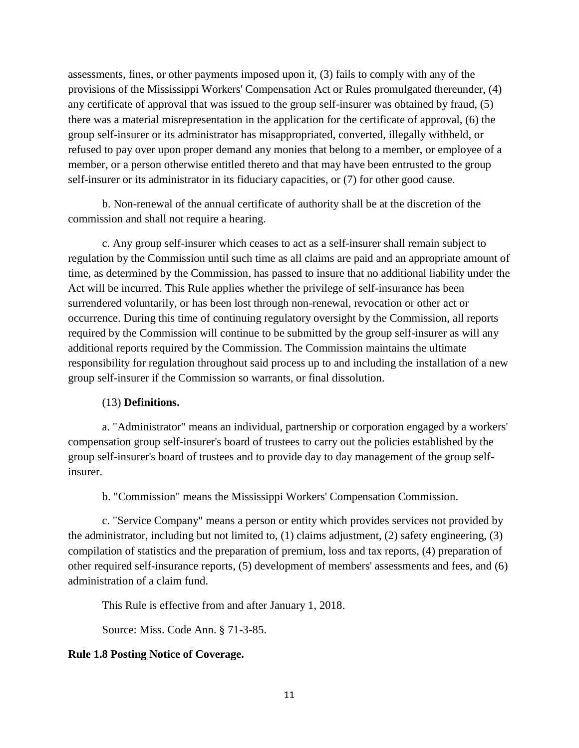assessments, fines, or other payments imposed upon it, (3) fails to comply with any of the provisions of the Mississippi Workers' Compensation Act or Rules promulgated thereunder, (4) any certificate of approval that was issued to the group self-insurer was obtained by fraud, (5) there was a material misrepresentation in the application for the certificate of approval, (6) the group self-insurer or its administrator has misappropriated, converted, illegally withheld, or refused to pay over upon proper demand any monies that belong to a member, or employee of a member, or a person otherwise entitled thereto and that may have been entrusted to the group self-insurer or its administrator in its fiduciary capacities, or (7) for other good cause.

b. Non-renewal of the annual certificate of authority shall be at the discretion of the commission and shall not require a hearing.

c. Any group self-insurer which ceases to act as a self-insurer shall remain subject to regulation by the Commission until such time as all claims are paid and an appropriate amount of time, as determined by the Commission, has passed to insure that no additional liability under the Act will be incurred. This Rule applies whether the privilege of self-insurance has been surrendered voluntarily, or has been lost through non-renewal, revocation or other act or occurrence. During this time of continuing regulatory oversight by the Commission, all reports required by the Commission will continue to be submitted by the group self-insurer as will any additional reports required by the Commission. The Commission maintains the ultimate responsibility for regulation throughout said process up to and including the installation of a new group self-insurer if the Commission so warrants, or final dissolution.

# (13) **Definitions.**

a. "Administrator" means an individual, partnership or corporation engaged by a workers' compensation group self-insurer's board of trustees to carry out the policies established by the group self-insurer's board of trustees and to provide day to day management of the group selfinsurer.

b. "Commission" means the Mississippi Workers' Compensation Commission.

c. "Service Company" means a person or entity which provides services not provided by the administrator, including but not limited to, (1) claims adjustment, (2) safety engineering, (3) compilation of statistics and the preparation of premium, loss and tax reports, (4) preparation of other required self-insurance reports, (5) development of members' assessments and fees, and (6) administration of a claim fund.

This Rule is effective from and after January 1, 2018.

Source: Miss. Code Ann. § 71-3-85.

# **Rule 1.8 Posting Notice of Coverage.**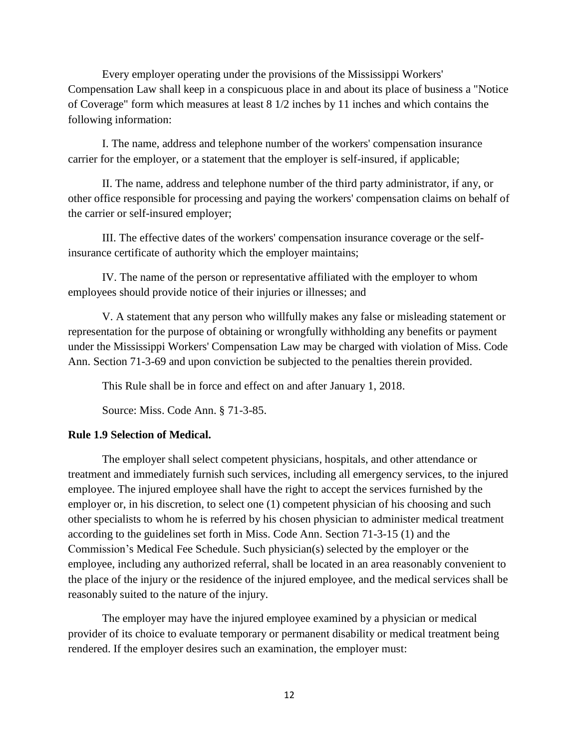Every employer operating under the provisions of the Mississippi Workers' Compensation Law shall keep in a conspicuous place in and about its place of business a "Notice of Coverage" form which measures at least 8 1/2 inches by 11 inches and which contains the following information:

I. The name, address and telephone number of the workers' compensation insurance carrier for the employer, or a statement that the employer is self-insured, if applicable;

II. The name, address and telephone number of the third party administrator, if any, or other office responsible for processing and paying the workers' compensation claims on behalf of the carrier or self-insured employer;

III. The effective dates of the workers' compensation insurance coverage or the selfinsurance certificate of authority which the employer maintains;

IV. The name of the person or representative affiliated with the employer to whom employees should provide notice of their injuries or illnesses; and

V. A statement that any person who willfully makes any false or misleading statement or representation for the purpose of obtaining or wrongfully withholding any benefits or payment under the Mississippi Workers' Compensation Law may be charged with violation of Miss. Code Ann. Section 71-3-69 and upon conviction be subjected to the penalties therein provided.

This Rule shall be in force and effect on and after January 1, 2018.

Source: Miss. Code Ann. § 71-3-85.

### **Rule 1.9 Selection of Medical.**

The employer shall select competent physicians, hospitals, and other attendance or treatment and immediately furnish such services, including all emergency services, to the injured employee. The injured employee shall have the right to accept the services furnished by the employer or, in his discretion, to select one (1) competent physician of his choosing and such other specialists to whom he is referred by his chosen physician to administer medical treatment according to the guidelines set forth in Miss. Code Ann. Section 71-3-15 (1) and the Commission's Medical Fee Schedule. Such physician(s) selected by the employer or the employee, including any authorized referral, shall be located in an area reasonably convenient to the place of the injury or the residence of the injured employee, and the medical services shall be reasonably suited to the nature of the injury.

The employer may have the injured employee examined by a physician or medical provider of its choice to evaluate temporary or permanent disability or medical treatment being rendered. If the employer desires such an examination, the employer must: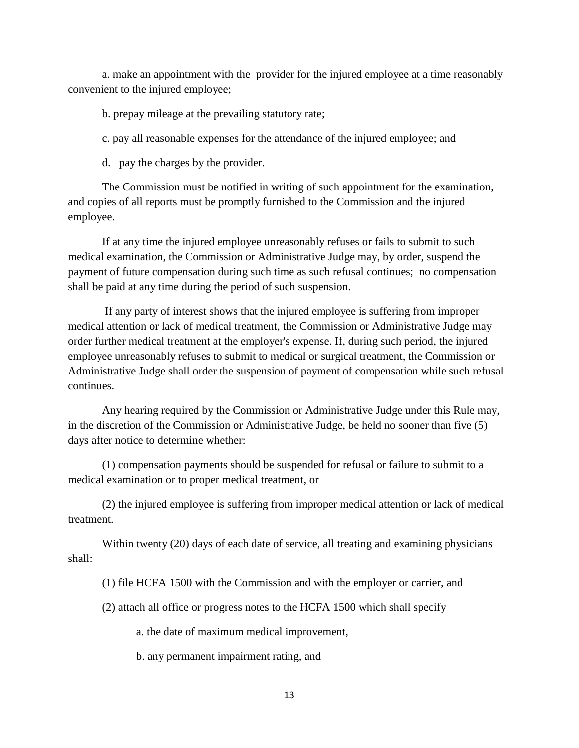a. make an appointment with the provider for the injured employee at a time reasonably convenient to the injured employee;

b. prepay mileage at the prevailing statutory rate;

c. pay all reasonable expenses for the attendance of the injured employee; and

d. pay the charges by the provider.

The Commission must be notified in writing of such appointment for the examination, and copies of all reports must be promptly furnished to the Commission and the injured employee.

If at any time the injured employee unreasonably refuses or fails to submit to such medical examination, the Commission or Administrative Judge may, by order, suspend the payment of future compensation during such time as such refusal continues; no compensation shall be paid at any time during the period of such suspension.

If any party of interest shows that the injured employee is suffering from improper medical attention or lack of medical treatment, the Commission or Administrative Judge may order further medical treatment at the employer's expense. If, during such period, the injured employee unreasonably refuses to submit to medical or surgical treatment, the Commission or Administrative Judge shall order the suspension of payment of compensation while such refusal continues.

Any hearing required by the Commission or Administrative Judge under this Rule may, in the discretion of the Commission or Administrative Judge, be held no sooner than five (5) days after notice to determine whether:

(1) compensation payments should be suspended for refusal or failure to submit to a medical examination or to proper medical treatment, or

(2) the injured employee is suffering from improper medical attention or lack of medical treatment.

Within twenty (20) days of each date of service, all treating and examining physicians shall:

(1) file HCFA 1500 with the Commission and with the employer or carrier, and

(2) attach all office or progress notes to the HCFA 1500 which shall specify

a. the date of maximum medical improvement,

b. any permanent impairment rating, and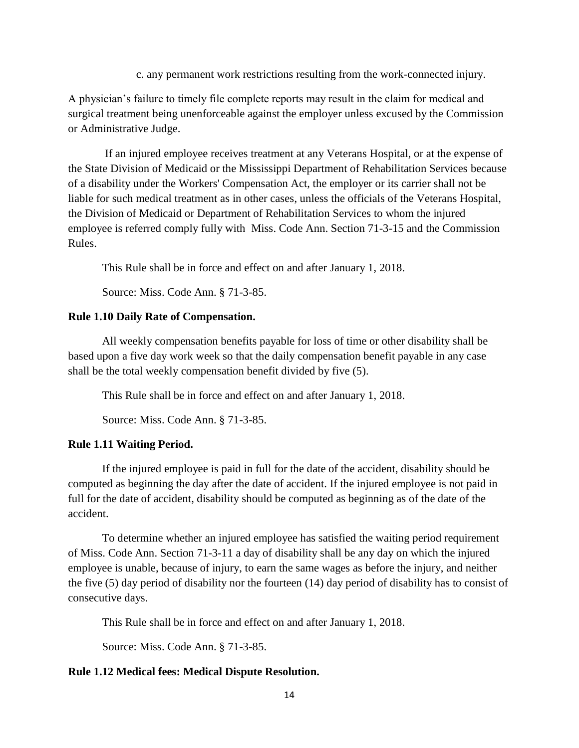c. any permanent work restrictions resulting from the work-connected injury.

A physician's failure to timely file complete reports may result in the claim for medical and surgical treatment being unenforceable against the employer unless excused by the Commission or Administrative Judge.

If an injured employee receives treatment at any Veterans Hospital, or at the expense of the State Division of Medicaid or the Mississippi Department of Rehabilitation Services because of a disability under the Workers' Compensation Act, the employer or its carrier shall not be liable for such medical treatment as in other cases, unless the officials of the Veterans Hospital, the Division of Medicaid or Department of Rehabilitation Services to whom the injured employee is referred comply fully with Miss. Code Ann. Section 71-3-15 and the Commission Rules.

This Rule shall be in force and effect on and after January 1, 2018.

Source: Miss. Code Ann. § 71-3-85.

## **Rule 1.10 Daily Rate of Compensation.**

All weekly compensation benefits payable for loss of time or other disability shall be based upon a five day work week so that the daily compensation benefit payable in any case shall be the total weekly compensation benefit divided by five (5).

This Rule shall be in force and effect on and after January 1, 2018.

Source: Miss. Code Ann. § 71-3-85.

# **Rule 1.11 Waiting Period.**

If the injured employee is paid in full for the date of the accident, disability should be computed as beginning the day after the date of accident. If the injured employee is not paid in full for the date of accident, disability should be computed as beginning as of the date of the accident.

To determine whether an injured employee has satisfied the waiting period requirement of Miss. Code Ann. Section 71-3-11 a day of disability shall be any day on which the injured employee is unable, because of injury, to earn the same wages as before the injury, and neither the five (5) day period of disability nor the fourteen (14) day period of disability has to consist of consecutive days.

This Rule shall be in force and effect on and after January 1, 2018.

Source: Miss. Code Ann. § 71-3-85.

# **Rule 1.12 Medical fees: Medical Dispute Resolution.**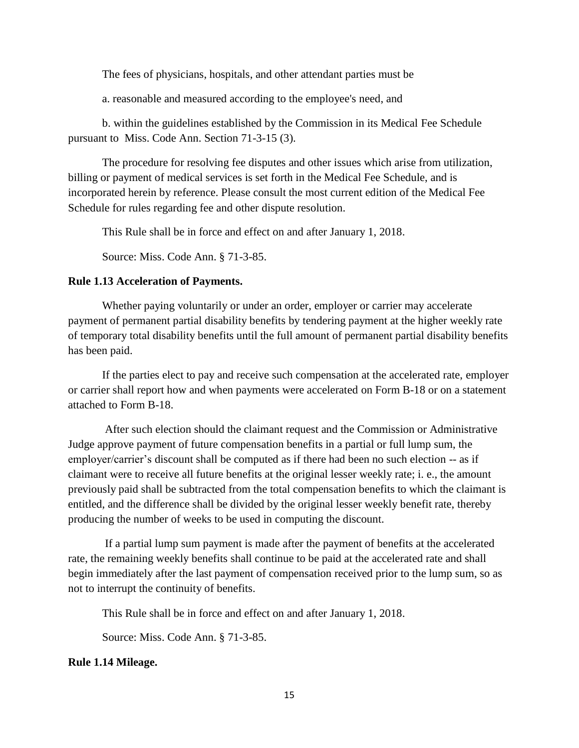The fees of physicians, hospitals, and other attendant parties must be

a. reasonable and measured according to the employee's need, and

b. within the guidelines established by the Commission in its Medical Fee Schedule pursuant to Miss. Code Ann. Section 71-3-15 (3).

The procedure for resolving fee disputes and other issues which arise from utilization, billing or payment of medical services is set forth in the Medical Fee Schedule, and is incorporated herein by reference. Please consult the most current edition of the Medical Fee Schedule for rules regarding fee and other dispute resolution.

This Rule shall be in force and effect on and after January 1, 2018.

Source: Miss. Code Ann. § 71-3-85.

## **Rule 1.13 Acceleration of Payments.**

Whether paying voluntarily or under an order, employer or carrier may accelerate payment of permanent partial disability benefits by tendering payment at the higher weekly rate of temporary total disability benefits until the full amount of permanent partial disability benefits has been paid.

If the parties elect to pay and receive such compensation at the accelerated rate, employer or carrier shall report how and when payments were accelerated on Form B-18 or on a statement attached to Form B-18.

After such election should the claimant request and the Commission or Administrative Judge approve payment of future compensation benefits in a partial or full lump sum, the employer/carrier's discount shall be computed as if there had been no such election -- as if claimant were to receive all future benefits at the original lesser weekly rate; i. e., the amount previously paid shall be subtracted from the total compensation benefits to which the claimant is entitled, and the difference shall be divided by the original lesser weekly benefit rate, thereby producing the number of weeks to be used in computing the discount.

If a partial lump sum payment is made after the payment of benefits at the accelerated rate, the remaining weekly benefits shall continue to be paid at the accelerated rate and shall begin immediately after the last payment of compensation received prior to the lump sum, so as not to interrupt the continuity of benefits.

This Rule shall be in force and effect on and after January 1, 2018.

Source: Miss. Code Ann. § 71-3-85.

### **Rule 1.14 Mileage.**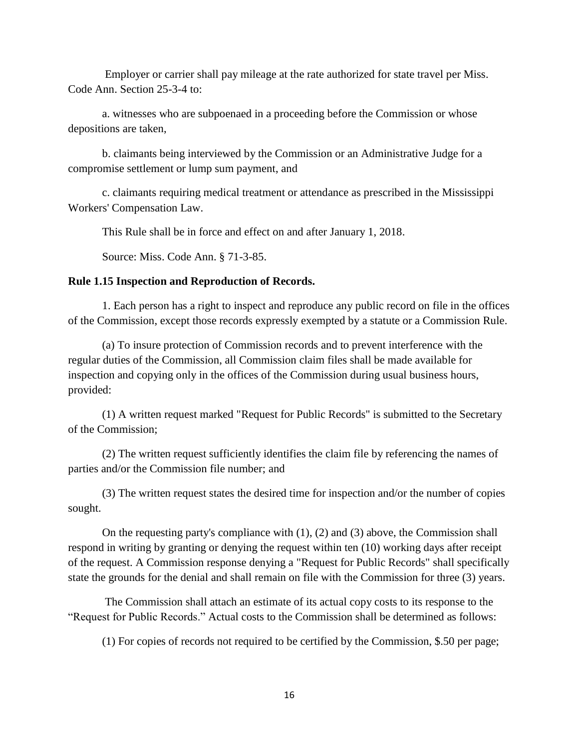Employer or carrier shall pay mileage at the rate authorized for state travel per Miss. Code Ann. Section 25-3-4 to:

a. witnesses who are subpoenaed in a proceeding before the Commission or whose depositions are taken,

b. claimants being interviewed by the Commission or an Administrative Judge for a compromise settlement or lump sum payment, and

c. claimants requiring medical treatment or attendance as prescribed in the Mississippi Workers' Compensation Law.

This Rule shall be in force and effect on and after January 1, 2018.

Source: Miss. Code Ann. § 71-3-85.

## **Rule 1.15 Inspection and Reproduction of Records.**

1. Each person has a right to inspect and reproduce any public record on file in the offices of the Commission, except those records expressly exempted by a statute or a Commission Rule.

(a) To insure protection of Commission records and to prevent interference with the regular duties of the Commission, all Commission claim files shall be made available for inspection and copying only in the offices of the Commission during usual business hours, provided:

(1) A written request marked "Request for Public Records" is submitted to the Secretary of the Commission;

(2) The written request sufficiently identifies the claim file by referencing the names of parties and/or the Commission file number; and

(3) The written request states the desired time for inspection and/or the number of copies sought.

On the requesting party's compliance with (1), (2) and (3) above, the Commission shall respond in writing by granting or denying the request within ten (10) working days after receipt of the request. A Commission response denying a "Request for Public Records" shall specifically state the grounds for the denial and shall remain on file with the Commission for three (3) years.

The Commission shall attach an estimate of its actual copy costs to its response to the "Request for Public Records." Actual costs to the Commission shall be determined as follows:

(1) For copies of records not required to be certified by the Commission, \$.50 per page;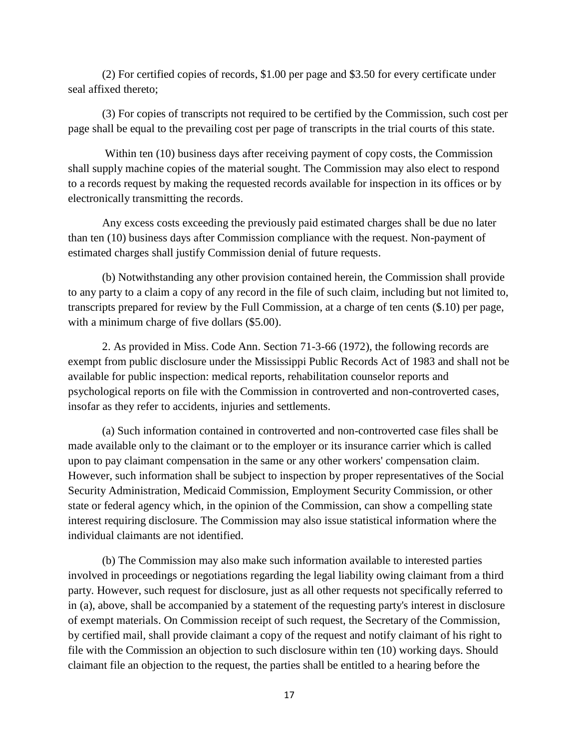(2) For certified copies of records, \$1.00 per page and \$3.50 for every certificate under seal affixed thereto;

(3) For copies of transcripts not required to be certified by the Commission, such cost per page shall be equal to the prevailing cost per page of transcripts in the trial courts of this state.

Within ten (10) business days after receiving payment of copy costs, the Commission shall supply machine copies of the material sought. The Commission may also elect to respond to a records request by making the requested records available for inspection in its offices or by electronically transmitting the records.

Any excess costs exceeding the previously paid estimated charges shall be due no later than ten (10) business days after Commission compliance with the request. Non-payment of estimated charges shall justify Commission denial of future requests.

(b) Notwithstanding any other provision contained herein, the Commission shall provide to any party to a claim a copy of any record in the file of such claim, including but not limited to, transcripts prepared for review by the Full Commission, at a charge of ten cents (\$.10) per page, with a minimum charge of five dollars (\$5.00).

2. As provided in Miss. Code Ann. Section 71-3-66 (1972), the following records are exempt from public disclosure under the Mississippi Public Records Act of 1983 and shall not be available for public inspection: medical reports, rehabilitation counselor reports and psychological reports on file with the Commission in controverted and non-controverted cases, insofar as they refer to accidents, injuries and settlements.

(a) Such information contained in controverted and non-controverted case files shall be made available only to the claimant or to the employer or its insurance carrier which is called upon to pay claimant compensation in the same or any other workers' compensation claim. However, such information shall be subject to inspection by proper representatives of the Social Security Administration, Medicaid Commission, Employment Security Commission, or other state or federal agency which, in the opinion of the Commission, can show a compelling state interest requiring disclosure. The Commission may also issue statistical information where the individual claimants are not identified.

(b) The Commission may also make such information available to interested parties involved in proceedings or negotiations regarding the legal liability owing claimant from a third party. However, such request for disclosure, just as all other requests not specifically referred to in (a), above, shall be accompanied by a statement of the requesting party's interest in disclosure of exempt materials. On Commission receipt of such request, the Secretary of the Commission, by certified mail, shall provide claimant a copy of the request and notify claimant of his right to file with the Commission an objection to such disclosure within ten (10) working days. Should claimant file an objection to the request, the parties shall be entitled to a hearing before the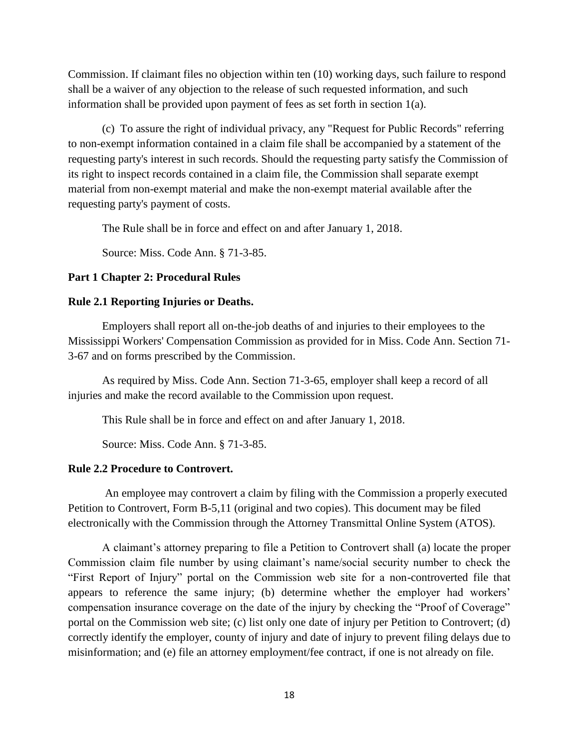Commission. If claimant files no objection within ten (10) working days, such failure to respond shall be a waiver of any objection to the release of such requested information, and such information shall be provided upon payment of fees as set forth in section 1(a).

(c) To assure the right of individual privacy, any "Request for Public Records" referring to non-exempt information contained in a claim file shall be accompanied by a statement of the requesting party's interest in such records. Should the requesting party satisfy the Commission of its right to inspect records contained in a claim file, the Commission shall separate exempt material from non-exempt material and make the non-exempt material available after the requesting party's payment of costs.

The Rule shall be in force and effect on and after January 1, 2018.

Source: Miss. Code Ann. § 71-3-85.

## **Part 1 Chapter 2: Procedural Rules**

### **Rule 2.1 Reporting Injuries or Deaths.**

Employers shall report all on-the-job deaths of and injuries to their employees to the Mississippi Workers' Compensation Commission as provided for in Miss. Code Ann. Section 71- 3-67 and on forms prescribed by the Commission.

As required by Miss. Code Ann. Section 71-3-65, employer shall keep a record of all injuries and make the record available to the Commission upon request.

This Rule shall be in force and effect on and after January 1, 2018.

Source: Miss. Code Ann. § 71-3-85.

### **Rule 2.2 Procedure to Controvert.**

An employee may controvert a claim by filing with the Commission a properly executed Petition to Controvert, Form B-5,11 (original and two copies). This document may be filed electronically with the Commission through the Attorney Transmittal Online System (ATOS).

A claimant's attorney preparing to file a Petition to Controvert shall (a) locate the proper Commission claim file number by using claimant's name/social security number to check the "First Report of Injury" portal on the Commission web site for a non-controverted file that appears to reference the same injury; (b) determine whether the employer had workers' compensation insurance coverage on the date of the injury by checking the "Proof of Coverage" portal on the Commission web site; (c) list only one date of injury per Petition to Controvert; (d) correctly identify the employer, county of injury and date of injury to prevent filing delays due to misinformation; and (e) file an attorney employment/fee contract, if one is not already on file.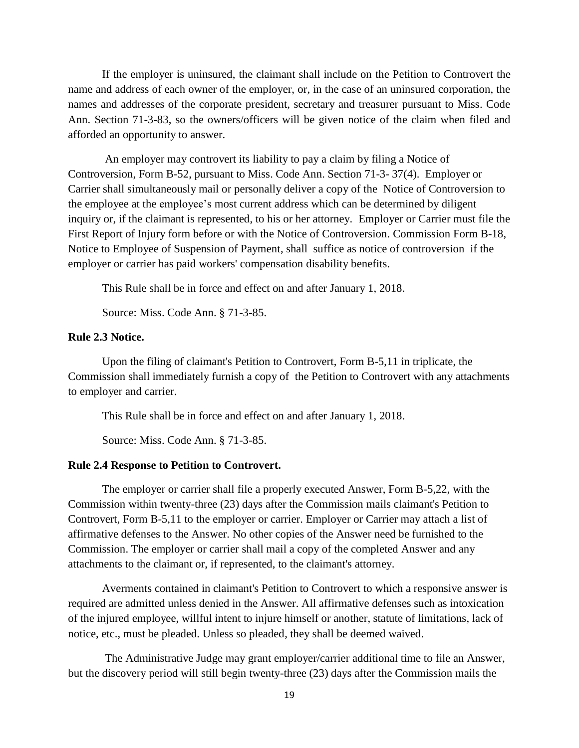If the employer is uninsured, the claimant shall include on the Petition to Controvert the name and address of each owner of the employer, or, in the case of an uninsured corporation, the names and addresses of the corporate president, secretary and treasurer pursuant to Miss. Code Ann. Section 71-3-83, so the owners/officers will be given notice of the claim when filed and afforded an opportunity to answer.

An employer may controvert its liability to pay a claim by filing a Notice of Controversion, Form B-52, pursuant to Miss. Code Ann. Section 71-3- 37(4). Employer or Carrier shall simultaneously mail or personally deliver a copy of the Notice of Controversion to the employee at the employee's most current address which can be determined by diligent inquiry or, if the claimant is represented, to his or her attorney. Employer or Carrier must file the First Report of Injury form before or with the Notice of Controversion. Commission Form B-18, Notice to Employee of Suspension of Payment, shall suffice as notice of controversion if the employer or carrier has paid workers' compensation disability benefits.

This Rule shall be in force and effect on and after January 1, 2018.

Source: Miss. Code Ann. § 71-3-85.

# **Rule 2.3 Notice.**

Upon the filing of claimant's Petition to Controvert, Form B-5,11 in triplicate, the Commission shall immediately furnish a copy of the Petition to Controvert with any attachments to employer and carrier.

This Rule shall be in force and effect on and after January 1, 2018.

Source: Miss. Code Ann. § 71-3-85.

#### **Rule 2.4 Response to Petition to Controvert.**

The employer or carrier shall file a properly executed Answer, Form B-5,22, with the Commission within twenty-three (23) days after the Commission mails claimant's Petition to Controvert, Form B-5,11 to the employer or carrier. Employer or Carrier may attach a list of affirmative defenses to the Answer. No other copies of the Answer need be furnished to the Commission. The employer or carrier shall mail a copy of the completed Answer and any attachments to the claimant or, if represented, to the claimant's attorney.

Averments contained in claimant's Petition to Controvert to which a responsive answer is required are admitted unless denied in the Answer. All affirmative defenses such as intoxication of the injured employee, willful intent to injure himself or another, statute of limitations, lack of notice, etc., must be pleaded. Unless so pleaded, they shall be deemed waived.

The Administrative Judge may grant employer/carrier additional time to file an Answer, but the discovery period will still begin twenty-three (23) days after the Commission mails the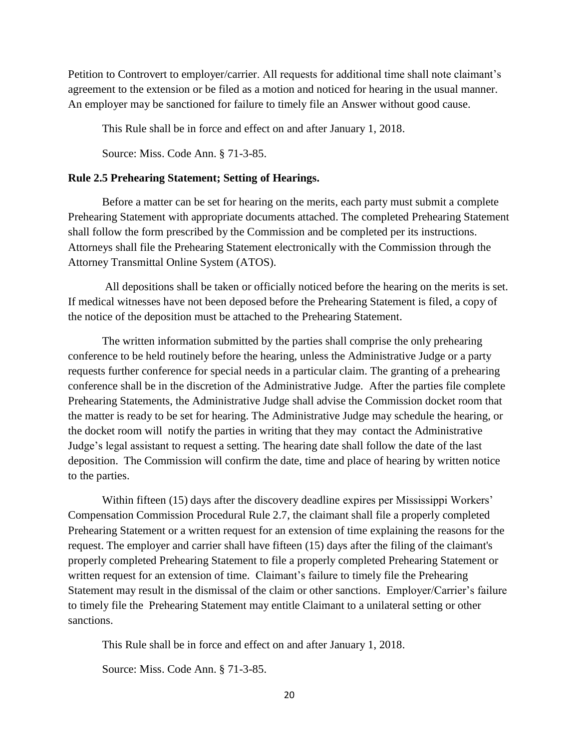Petition to Controvert to employer/carrier. All requests for additional time shall note claimant's agreement to the extension or be filed as a motion and noticed for hearing in the usual manner. An employer may be sanctioned for failure to timely file an Answer without good cause.

This Rule shall be in force and effect on and after January 1, 2018.

Source: Miss. Code Ann. § 71-3-85.

### **Rule 2.5 Prehearing Statement; Setting of Hearings.**

Before a matter can be set for hearing on the merits, each party must submit a complete Prehearing Statement with appropriate documents attached. The completed Prehearing Statement shall follow the form prescribed by the Commission and be completed per its instructions. Attorneys shall file the Prehearing Statement electronically with the Commission through the Attorney Transmittal Online System (ATOS).

All depositions shall be taken or officially noticed before the hearing on the merits is set. If medical witnesses have not been deposed before the Prehearing Statement is filed, a copy of the notice of the deposition must be attached to the Prehearing Statement.

The written information submitted by the parties shall comprise the only prehearing conference to be held routinely before the hearing, unless the Administrative Judge or a party requests further conference for special needs in a particular claim. The granting of a prehearing conference shall be in the discretion of the Administrative Judge. After the parties file complete Prehearing Statements, the Administrative Judge shall advise the Commission docket room that the matter is ready to be set for hearing. The Administrative Judge may schedule the hearing, or the docket room will notify the parties in writing that they may contact the Administrative Judge's legal assistant to request a setting. The hearing date shall follow the date of the last deposition. The Commission will confirm the date, time and place of hearing by written notice to the parties.

Within fifteen (15) days after the discovery deadline expires per Mississippi Workers' Compensation Commission Procedural Rule 2.7, the claimant shall file a properly completed Prehearing Statement or a written request for an extension of time explaining the reasons for the request. The employer and carrier shall have fifteen (15) days after the filing of the claimant's properly completed Prehearing Statement to file a properly completed Prehearing Statement or written request for an extension of time. Claimant's failure to timely file the Prehearing Statement may result in the dismissal of the claim or other sanctions. Employer/Carrier's failure to timely file the Prehearing Statement may entitle Claimant to a unilateral setting or other sanctions.

This Rule shall be in force and effect on and after January 1, 2018.

Source: Miss. Code Ann. § 71-3-85.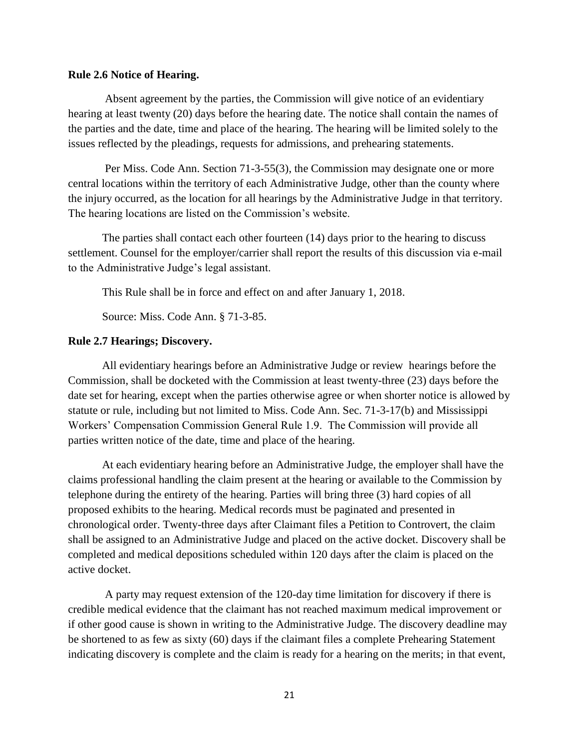#### **Rule 2.6 Notice of Hearing.**

Absent agreement by the parties, the Commission will give notice of an evidentiary hearing at least twenty (20) days before the hearing date. The notice shall contain the names of the parties and the date, time and place of the hearing. The hearing will be limited solely to the issues reflected by the pleadings, requests for admissions, and prehearing statements.

Per Miss. Code Ann. Section 71-3-55(3), the Commission may designate one or more central locations within the territory of each Administrative Judge, other than the county where the injury occurred, as the location for all hearings by the Administrative Judge in that territory. The hearing locations are listed on the Commission's website.

The parties shall contact each other fourteen (14) days prior to the hearing to discuss settlement. Counsel for the employer/carrier shall report the results of this discussion via e-mail to the Administrative Judge's legal assistant.

This Rule shall be in force and effect on and after January 1, 2018.

Source: Miss. Code Ann. § 71-3-85.

#### **Rule 2.7 Hearings; Discovery.**

All evidentiary hearings before an Administrative Judge or review hearings before the Commission, shall be docketed with the Commission at least twenty-three (23) days before the date set for hearing, except when the parties otherwise agree or when shorter notice is allowed by statute or rule, including but not limited to Miss. Code Ann. Sec. 71-3-17(b) and Mississippi Workers' Compensation Commission General Rule 1.9. The Commission will provide all parties written notice of the date, time and place of the hearing.

At each evidentiary hearing before an Administrative Judge, the employer shall have the claims professional handling the claim present at the hearing or available to the Commission by telephone during the entirety of the hearing. Parties will bring three (3) hard copies of all proposed exhibits to the hearing. Medical records must be paginated and presented in chronological order. Twenty-three days after Claimant files a Petition to Controvert, the claim shall be assigned to an Administrative Judge and placed on the active docket. Discovery shall be completed and medical depositions scheduled within 120 days after the claim is placed on the active docket.

A party may request extension of the 120-day time limitation for discovery if there is credible medical evidence that the claimant has not reached maximum medical improvement or if other good cause is shown in writing to the Administrative Judge. The discovery deadline may be shortened to as few as sixty (60) days if the claimant files a complete Prehearing Statement indicating discovery is complete and the claim is ready for a hearing on the merits; in that event,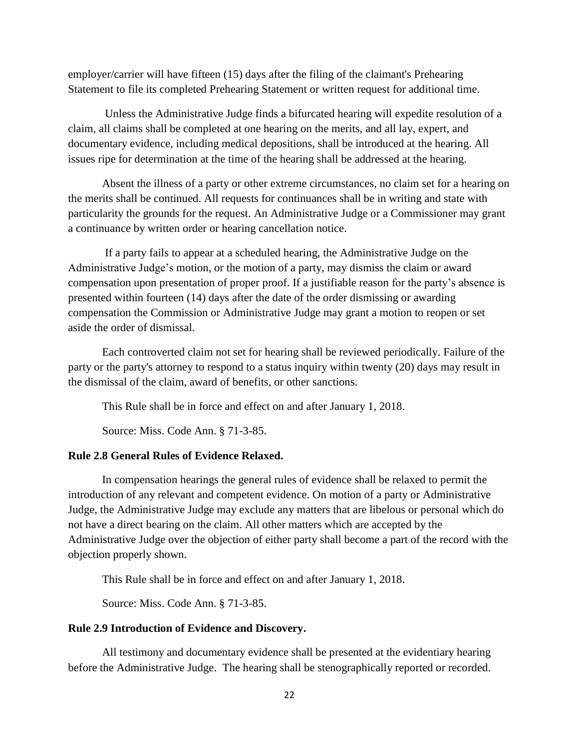employer/carrier will have fifteen (15) days after the filing of the claimant's Prehearing Statement to file its completed Prehearing Statement or written request for additional time.

Unless the Administrative Judge finds a bifurcated hearing will expedite resolution of a claim, all claims shall be completed at one hearing on the merits, and all lay, expert, and documentary evidence, including medical depositions, shall be introduced at the hearing. All issues ripe for determination at the time of the hearing shall be addressed at the hearing.

Absent the illness of a party or other extreme circumstances, no claim set for a hearing on the merits shall be continued. All requests for continuances shall be in writing and state with particularity the grounds for the request. An Administrative Judge or a Commissioner may grant a continuance by written order or hearing cancellation notice.

If a party fails to appear at a scheduled hearing, the Administrative Judge on the Administrative Judge's motion, or the motion of a party, may dismiss the claim or award compensation upon presentation of proper proof. If a justifiable reason for the party's absence is presented within fourteen (14) days after the date of the order dismissing or awarding compensation the Commission or Administrative Judge may grant a motion to reopen or set aside the order of dismissal.

Each controverted claim not set for hearing shall be reviewed periodically. Failure of the party or the party's attorney to respond to a status inquiry within twenty (20) days may result in the dismissal of the claim, award of benefits, or other sanctions.

This Rule shall be in force and effect on and after January 1, 2018.

Source: Miss. Code Ann. § 71-3-85.

#### **Rule 2.8 General Rules of Evidence Relaxed.**

In compensation hearings the general rules of evidence shall be relaxed to permit the introduction of any relevant and competent evidence. On motion of a party or Administrative Judge, the Administrative Judge may exclude any matters that are libelous or personal which do not have a direct bearing on the claim. All other matters which are accepted by the Administrative Judge over the objection of either party shall become a part of the record with the objection properly shown.

This Rule shall be in force and effect on and after January 1, 2018.

Source: Miss. Code Ann. § 71-3-85.

### **Rule 2.9 Introduction of Evidence and Discovery.**

All testimony and documentary evidence shall be presented at the evidentiary hearing before the Administrative Judge. The hearing shall be stenographically reported or recorded.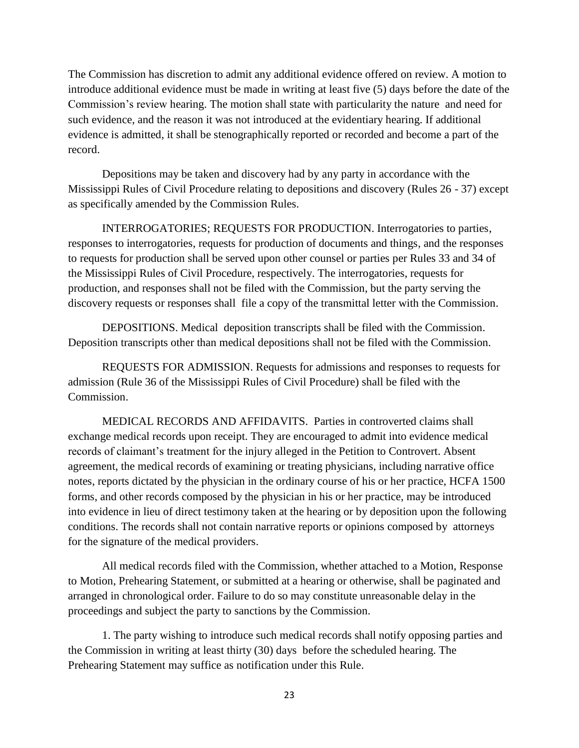The Commission has discretion to admit any additional evidence offered on review. A motion to introduce additional evidence must be made in writing at least five (5) days before the date of the Commission's review hearing. The motion shall state with particularity the nature and need for such evidence, and the reason it was not introduced at the evidentiary hearing. If additional evidence is admitted, it shall be stenographically reported or recorded and become a part of the record.

Depositions may be taken and discovery had by any party in accordance with the Mississippi Rules of Civil Procedure relating to depositions and discovery (Rules 26 - 37) except as specifically amended by the Commission Rules.

INTERROGATORIES; REQUESTS FOR PRODUCTION. Interrogatories to parties, responses to interrogatories, requests for production of documents and things, and the responses to requests for production shall be served upon other counsel or parties per Rules 33 and 34 of the Mississippi Rules of Civil Procedure, respectively. The interrogatories, requests for production, and responses shall not be filed with the Commission, but the party serving the discovery requests or responses shall file a copy of the transmittal letter with the Commission.

DEPOSITIONS. Medical deposition transcripts shall be filed with the Commission. Deposition transcripts other than medical depositions shall not be filed with the Commission.

REQUESTS FOR ADMISSION. Requests for admissions and responses to requests for admission (Rule 36 of the Mississippi Rules of Civil Procedure) shall be filed with the Commission.

MEDICAL RECORDS AND AFFIDAVITS. Parties in controverted claims shall exchange medical records upon receipt. They are encouraged to admit into evidence medical records of claimant's treatment for the injury alleged in the Petition to Controvert. Absent agreement, the medical records of examining or treating physicians, including narrative office notes, reports dictated by the physician in the ordinary course of his or her practice, HCFA 1500 forms, and other records composed by the physician in his or her practice, may be introduced into evidence in lieu of direct testimony taken at the hearing or by deposition upon the following conditions. The records shall not contain narrative reports or opinions composed by attorneys for the signature of the medical providers.

All medical records filed with the Commission, whether attached to a Motion, Response to Motion, Prehearing Statement, or submitted at a hearing or otherwise, shall be paginated and arranged in chronological order. Failure to do so may constitute unreasonable delay in the proceedings and subject the party to sanctions by the Commission.

1. The party wishing to introduce such medical records shall notify opposing parties and the Commission in writing at least thirty (30) days before the scheduled hearing. The Prehearing Statement may suffice as notification under this Rule.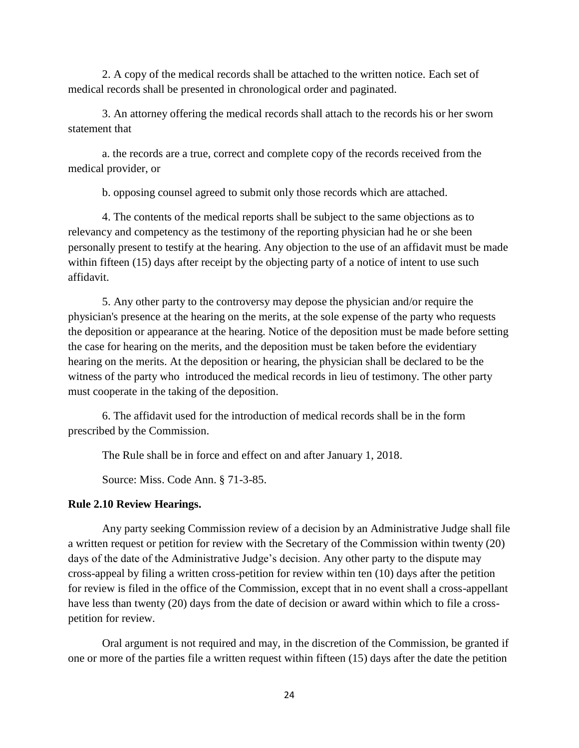2. A copy of the medical records shall be attached to the written notice. Each set of medical records shall be presented in chronological order and paginated.

3. An attorney offering the medical records shall attach to the records his or her sworn statement that

a. the records are a true, correct and complete copy of the records received from the medical provider, or

b. opposing counsel agreed to submit only those records which are attached.

4. The contents of the medical reports shall be subject to the same objections as to relevancy and competency as the testimony of the reporting physician had he or she been personally present to testify at the hearing. Any objection to the use of an affidavit must be made within fifteen (15) days after receipt by the objecting party of a notice of intent to use such affidavit.

5. Any other party to the controversy may depose the physician and/or require the physician's presence at the hearing on the merits, at the sole expense of the party who requests the deposition or appearance at the hearing. Notice of the deposition must be made before setting the case for hearing on the merits, and the deposition must be taken before the evidentiary hearing on the merits. At the deposition or hearing, the physician shall be declared to be the witness of the party who introduced the medical records in lieu of testimony. The other party must cooperate in the taking of the deposition.

6. The affidavit used for the introduction of medical records shall be in the form prescribed by the Commission.

The Rule shall be in force and effect on and after January 1, 2018.

Source: Miss. Code Ann. § 71-3-85.

# **Rule 2.10 Review Hearings.**

Any party seeking Commission review of a decision by an Administrative Judge shall file a written request or petition for review with the Secretary of the Commission within twenty (20) days of the date of the Administrative Judge's decision. Any other party to the dispute may cross-appeal by filing a written cross-petition for review within ten (10) days after the petition for review is filed in the office of the Commission, except that in no event shall a cross-appellant have less than twenty (20) days from the date of decision or award within which to file a crosspetition for review.

Oral argument is not required and may, in the discretion of the Commission, be granted if one or more of the parties file a written request within fifteen (15) days after the date the petition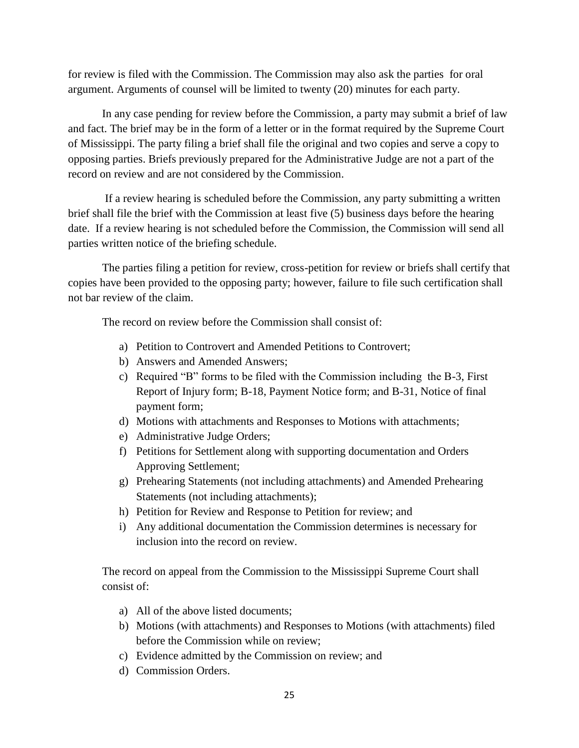for review is filed with the Commission. The Commission may also ask the parties for oral argument. Arguments of counsel will be limited to twenty (20) minutes for each party.

In any case pending for review before the Commission, a party may submit a brief of law and fact. The brief may be in the form of a letter or in the format required by the Supreme Court of Mississippi. The party filing a brief shall file the original and two copies and serve a copy to opposing parties. Briefs previously prepared for the Administrative Judge are not a part of the record on review and are not considered by the Commission.

If a review hearing is scheduled before the Commission, any party submitting a written brief shall file the brief with the Commission at least five (5) business days before the hearing date. If a review hearing is not scheduled before the Commission, the Commission will send all parties written notice of the briefing schedule.

The parties filing a petition for review, cross-petition for review or briefs shall certify that copies have been provided to the opposing party; however, failure to file such certification shall not bar review of the claim.

The record on review before the Commission shall consist of:

- a) Petition to Controvert and Amended Petitions to Controvert;
- b) Answers and Amended Answers;
- c) Required "B" forms to be filed with the Commission including the B-3, First Report of Injury form; B-18, Payment Notice form; and B-31, Notice of final payment form;
- d) Motions with attachments and Responses to Motions with attachments;
- e) Administrative Judge Orders;
- f) Petitions for Settlement along with supporting documentation and Orders Approving Settlement;
- g) Prehearing Statements (not including attachments) and Amended Prehearing Statements (not including attachments);
- h) Petition for Review and Response to Petition for review; and
- i) Any additional documentation the Commission determines is necessary for inclusion into the record on review.

The record on appeal from the Commission to the Mississippi Supreme Court shall consist of:

- a) All of the above listed documents;
- b) Motions (with attachments) and Responses to Motions (with attachments) filed before the Commission while on review;
- c) Evidence admitted by the Commission on review; and
- d) Commission Orders.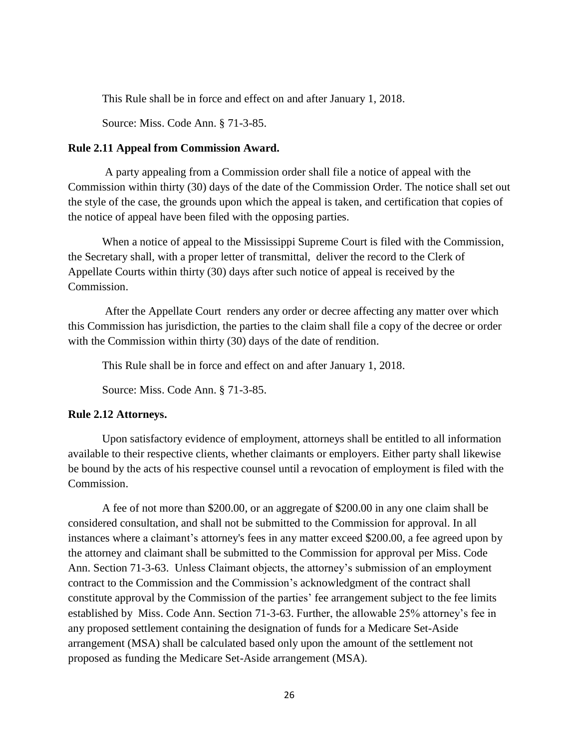This Rule shall be in force and effect on and after January 1, 2018.

Source: Miss. Code Ann. § 71-3-85.

#### **Rule 2.11 Appeal from Commission Award.**

A party appealing from a Commission order shall file a notice of appeal with the Commission within thirty (30) days of the date of the Commission Order. The notice shall set out the style of the case, the grounds upon which the appeal is taken, and certification that copies of the notice of appeal have been filed with the opposing parties.

When a notice of appeal to the Mississippi Supreme Court is filed with the Commission, the Secretary shall, with a proper letter of transmittal, deliver the record to the Clerk of Appellate Courts within thirty (30) days after such notice of appeal is received by the Commission.

After the Appellate Court renders any order or decree affecting any matter over which this Commission has jurisdiction, the parties to the claim shall file a copy of the decree or order with the Commission within thirty (30) days of the date of rendition.

This Rule shall be in force and effect on and after January 1, 2018.

Source: Miss. Code Ann. § 71-3-85.

#### **Rule 2.12 Attorneys.**

Upon satisfactory evidence of employment, attorneys shall be entitled to all information available to their respective clients, whether claimants or employers. Either party shall likewise be bound by the acts of his respective counsel until a revocation of employment is filed with the Commission.

A fee of not more than \$200.00, or an aggregate of \$200.00 in any one claim shall be considered consultation, and shall not be submitted to the Commission for approval. In all instances where a claimant's attorney's fees in any matter exceed \$200.00, a fee agreed upon by the attorney and claimant shall be submitted to the Commission for approval per Miss. Code Ann. Section 71-3-63. Unless Claimant objects, the attorney's submission of an employment contract to the Commission and the Commission's acknowledgment of the contract shall constitute approval by the Commission of the parties' fee arrangement subject to the fee limits established by Miss. Code Ann. Section 71-3-63. Further, the allowable 25% attorney's fee in any proposed settlement containing the designation of funds for a Medicare Set-Aside arrangement (MSA) shall be calculated based only upon the amount of the settlement not proposed as funding the Medicare Set-Aside arrangement (MSA).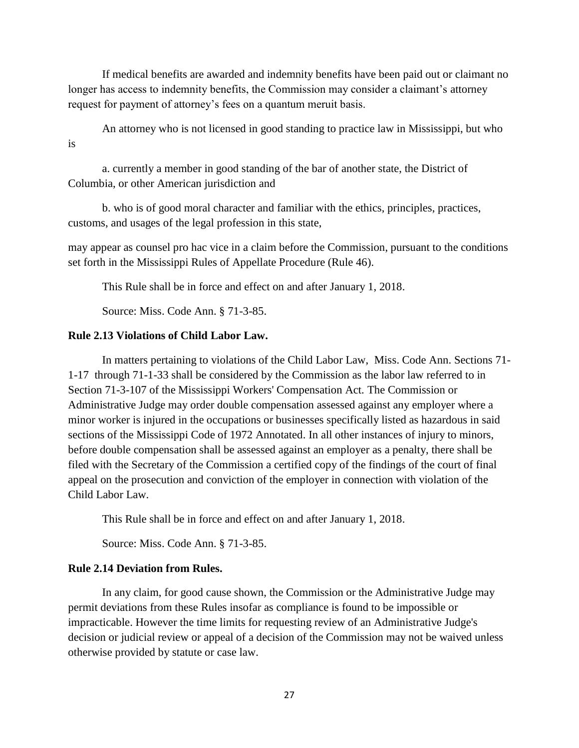If medical benefits are awarded and indemnity benefits have been paid out or claimant no longer has access to indemnity benefits, the Commission may consider a claimant's attorney request for payment of attorney's fees on a quantum meruit basis.

An attorney who is not licensed in good standing to practice law in Mississippi, but who is

a. currently a member in good standing of the bar of another state, the District of Columbia, or other American jurisdiction and

b. who is of good moral character and familiar with the ethics, principles, practices, customs, and usages of the legal profession in this state,

may appear as counsel pro hac vice in a claim before the Commission, pursuant to the conditions set forth in the Mississippi Rules of Appellate Procedure (Rule 46).

This Rule shall be in force and effect on and after January 1, 2018.

Source: Miss. Code Ann. § 71-3-85.

#### **Rule 2.13 Violations of Child Labor Law.**

In matters pertaining to violations of the Child Labor Law, Miss. Code Ann. Sections 71- 1-17 through 71-1-33 shall be considered by the Commission as the labor law referred to in Section 71-3-107 of the Mississippi Workers' Compensation Act. The Commission or Administrative Judge may order double compensation assessed against any employer where a minor worker is injured in the occupations or businesses specifically listed as hazardous in said sections of the Mississippi Code of 1972 Annotated. In all other instances of injury to minors, before double compensation shall be assessed against an employer as a penalty, there shall be filed with the Secretary of the Commission a certified copy of the findings of the court of final appeal on the prosecution and conviction of the employer in connection with violation of the Child Labor Law.

This Rule shall be in force and effect on and after January 1, 2018.

Source: Miss. Code Ann. § 71-3-85.

#### **Rule 2.14 Deviation from Rules.**

In any claim, for good cause shown, the Commission or the Administrative Judge may permit deviations from these Rules insofar as compliance is found to be impossible or impracticable. However the time limits for requesting review of an Administrative Judge's decision or judicial review or appeal of a decision of the Commission may not be waived unless otherwise provided by statute or case law.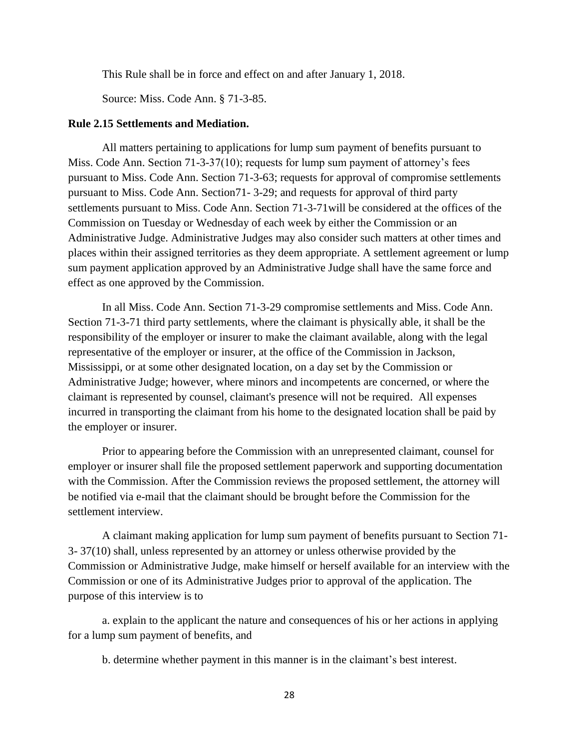This Rule shall be in force and effect on and after January 1, 2018.

Source: Miss. Code Ann. § 71-3-85.

#### **Rule 2.15 Settlements and Mediation.**

All matters pertaining to applications for lump sum payment of benefits pursuant to Miss. Code Ann. Section 71-3-37(10); requests for lump sum payment of attorney's fees pursuant to Miss. Code Ann. Section 71-3-63; requests for approval of compromise settlements pursuant to Miss. Code Ann. Section71- 3-29; and requests for approval of third party settlements pursuant to Miss. Code Ann. Section 71-3-71will be considered at the offices of the Commission on Tuesday or Wednesday of each week by either the Commission or an Administrative Judge. Administrative Judges may also consider such matters at other times and places within their assigned territories as they deem appropriate. A settlement agreement or lump sum payment application approved by an Administrative Judge shall have the same force and effect as one approved by the Commission.

In all Miss. Code Ann. Section 71-3-29 compromise settlements and Miss. Code Ann. Section 71-3-71 third party settlements, where the claimant is physically able, it shall be the responsibility of the employer or insurer to make the claimant available, along with the legal representative of the employer or insurer, at the office of the Commission in Jackson, Mississippi, or at some other designated location, on a day set by the Commission or Administrative Judge; however, where minors and incompetents are concerned, or where the claimant is represented by counsel, claimant's presence will not be required. All expenses incurred in transporting the claimant from his home to the designated location shall be paid by the employer or insurer.

Prior to appearing before the Commission with an unrepresented claimant, counsel for employer or insurer shall file the proposed settlement paperwork and supporting documentation with the Commission. After the Commission reviews the proposed settlement, the attorney will be notified via e-mail that the claimant should be brought before the Commission for the settlement interview.

A claimant making application for lump sum payment of benefits pursuant to Section 71- 3- 37(10) shall, unless represented by an attorney or unless otherwise provided by the Commission or Administrative Judge, make himself or herself available for an interview with the Commission or one of its Administrative Judges prior to approval of the application. The purpose of this interview is to

a. explain to the applicant the nature and consequences of his or her actions in applying for a lump sum payment of benefits, and

b. determine whether payment in this manner is in the claimant's best interest.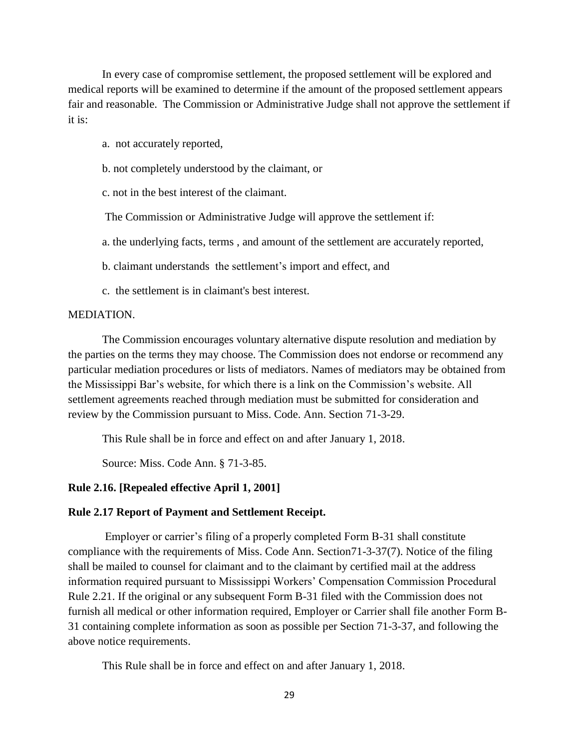In every case of compromise settlement, the proposed settlement will be explored and medical reports will be examined to determine if the amount of the proposed settlement appears fair and reasonable. The Commission or Administrative Judge shall not approve the settlement if it is:

- a. not accurately reported,
- b. not completely understood by the claimant, or
- c. not in the best interest of the claimant.

The Commission or Administrative Judge will approve the settlement if:

a. the underlying facts, terms , and amount of the settlement are accurately reported,

- b. claimant understands the settlement's import and effect, and
- c. the settlement is in claimant's best interest.

### MEDIATION.

The Commission encourages voluntary alternative dispute resolution and mediation by the parties on the terms they may choose. The Commission does not endorse or recommend any particular mediation procedures or lists of mediators. Names of mediators may be obtained from the Mississippi Bar's website, for which there is a link on the Commission's website. All settlement agreements reached through mediation must be submitted for consideration and review by the Commission pursuant to Miss. Code. Ann. Section 71-3-29.

This Rule shall be in force and effect on and after January 1, 2018.

Source: Miss. Code Ann. § 71-3-85.

# **Rule 2.16. [Repealed effective April 1, 2001]**

### **Rule 2.17 Report of Payment and Settlement Receipt.**

Employer or carrier's filing of a properly completed Form B-31 shall constitute compliance with the requirements of Miss. Code Ann. Section71-3-37(7). Notice of the filing shall be mailed to counsel for claimant and to the claimant by certified mail at the address information required pursuant to Mississippi Workers' Compensation Commission Procedural Rule 2.21. If the original or any subsequent Form B-31 filed with the Commission does not furnish all medical or other information required, Employer or Carrier shall file another Form B-31 containing complete information as soon as possible per Section 71-3-37, and following the above notice requirements.

This Rule shall be in force and effect on and after January 1, 2018.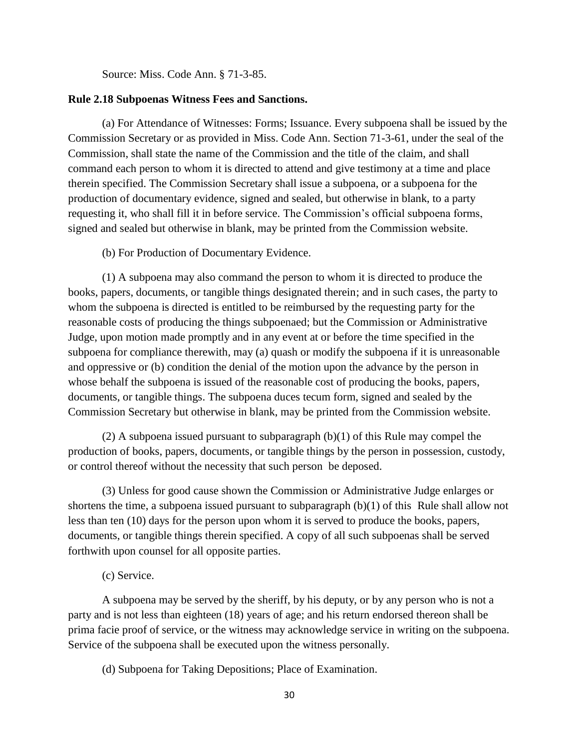Source: Miss. Code Ann. § 71-3-85.

### **Rule 2.18 Subpoenas Witness Fees and Sanctions.**

(a) For Attendance of Witnesses: Forms; Issuance. Every subpoena shall be issued by the Commission Secretary or as provided in Miss. Code Ann. Section 71-3-61, under the seal of the Commission, shall state the name of the Commission and the title of the claim, and shall command each person to whom it is directed to attend and give testimony at a time and place therein specified. The Commission Secretary shall issue a subpoena, or a subpoena for the production of documentary evidence, signed and sealed, but otherwise in blank, to a party requesting it, who shall fill it in before service. The Commission's official subpoena forms, signed and sealed but otherwise in blank, may be printed from the Commission website.

(b) For Production of Documentary Evidence.

(1) A subpoena may also command the person to whom it is directed to produce the books, papers, documents, or tangible things designated therein; and in such cases, the party to whom the subpoena is directed is entitled to be reimbursed by the requesting party for the reasonable costs of producing the things subpoenaed; but the Commission or Administrative Judge, upon motion made promptly and in any event at or before the time specified in the subpoena for compliance therewith, may (a) quash or modify the subpoena if it is unreasonable and oppressive or (b) condition the denial of the motion upon the advance by the person in whose behalf the subpoena is issued of the reasonable cost of producing the books, papers, documents, or tangible things. The subpoena duces tecum form, signed and sealed by the Commission Secretary but otherwise in blank, may be printed from the Commission website.

(2) A subpoena issued pursuant to subparagraph  $(b)(1)$  of this Rule may compel the production of books, papers, documents, or tangible things by the person in possession, custody, or control thereof without the necessity that such person be deposed.

(3) Unless for good cause shown the Commission or Administrative Judge enlarges or shortens the time, a subpoena issued pursuant to subparagraph (b)(1) of this Rule shall allow not less than ten (10) days for the person upon whom it is served to produce the books, papers, documents, or tangible things therein specified. A copy of all such subpoenas shall be served forthwith upon counsel for all opposite parties.

(c) Service.

A subpoena may be served by the sheriff, by his deputy, or by any person who is not a party and is not less than eighteen (18) years of age; and his return endorsed thereon shall be prima facie proof of service, or the witness may acknowledge service in writing on the subpoena. Service of the subpoena shall be executed upon the witness personally.

(d) Subpoena for Taking Depositions; Place of Examination.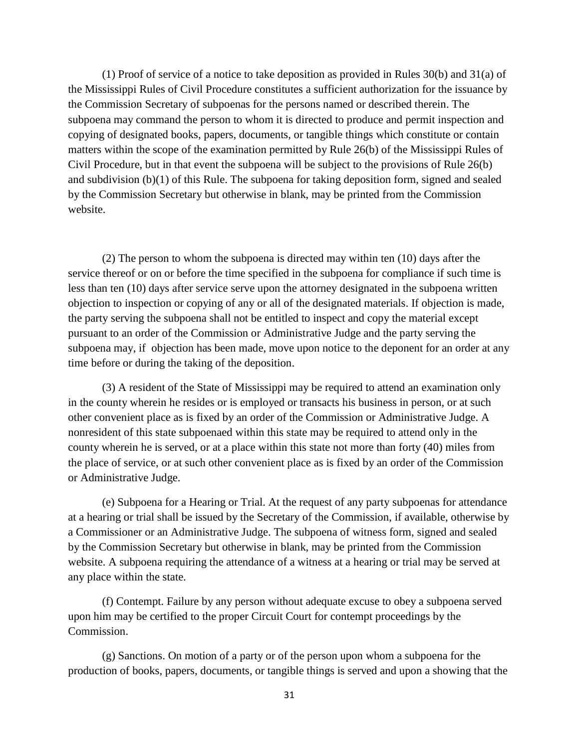(1) Proof of service of a notice to take deposition as provided in Rules 30(b) and 31(a) of the Mississippi Rules of Civil Procedure constitutes a sufficient authorization for the issuance by the Commission Secretary of subpoenas for the persons named or described therein. The subpoena may command the person to whom it is directed to produce and permit inspection and copying of designated books, papers, documents, or tangible things which constitute or contain matters within the scope of the examination permitted by Rule 26(b) of the Mississippi Rules of Civil Procedure, but in that event the subpoena will be subject to the provisions of Rule 26(b) and subdivision  $(b)(1)$  of this Rule. The subpoena for taking deposition form, signed and sealed by the Commission Secretary but otherwise in blank, may be printed from the Commission website.

(2) The person to whom the subpoena is directed may within ten (10) days after the service thereof or on or before the time specified in the subpoena for compliance if such time is less than ten (10) days after service serve upon the attorney designated in the subpoena written objection to inspection or copying of any or all of the designated materials. If objection is made, the party serving the subpoena shall not be entitled to inspect and copy the material except pursuant to an order of the Commission or Administrative Judge and the party serving the subpoena may, if objection has been made, move upon notice to the deponent for an order at any time before or during the taking of the deposition.

(3) A resident of the State of Mississippi may be required to attend an examination only in the county wherein he resides or is employed or transacts his business in person, or at such other convenient place as is fixed by an order of the Commission or Administrative Judge. A nonresident of this state subpoenaed within this state may be required to attend only in the county wherein he is served, or at a place within this state not more than forty (40) miles from the place of service, or at such other convenient place as is fixed by an order of the Commission or Administrative Judge.

(e) Subpoena for a Hearing or Trial. At the request of any party subpoenas for attendance at a hearing or trial shall be issued by the Secretary of the Commission, if available, otherwise by a Commissioner or an Administrative Judge. The subpoena of witness form, signed and sealed by the Commission Secretary but otherwise in blank, may be printed from the Commission website. A subpoena requiring the attendance of a witness at a hearing or trial may be served at any place within the state.

(f) Contempt. Failure by any person without adequate excuse to obey a subpoena served upon him may be certified to the proper Circuit Court for contempt proceedings by the Commission.

(g) Sanctions. On motion of a party or of the person upon whom a subpoena for the production of books, papers, documents, or tangible things is served and upon a showing that the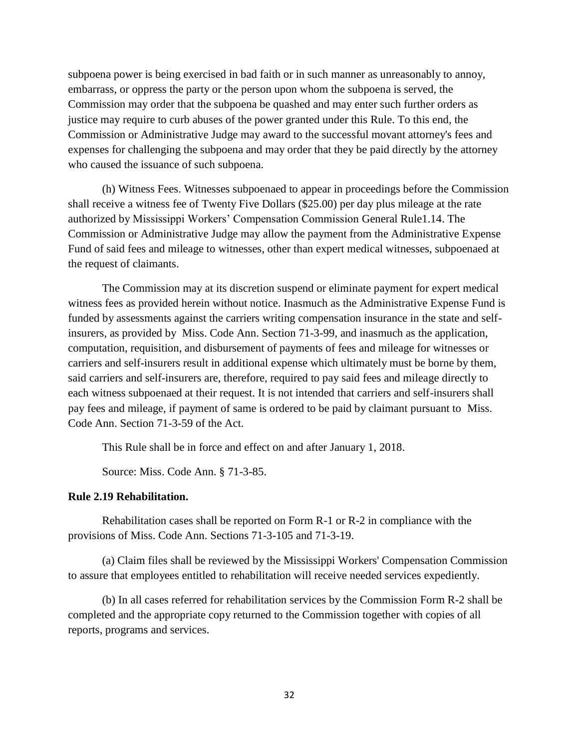subpoena power is being exercised in bad faith or in such manner as unreasonably to annoy, embarrass, or oppress the party or the person upon whom the subpoena is served, the Commission may order that the subpoena be quashed and may enter such further orders as justice may require to curb abuses of the power granted under this Rule. To this end, the Commission or Administrative Judge may award to the successful movant attorney's fees and expenses for challenging the subpoena and may order that they be paid directly by the attorney who caused the issuance of such subpoena.

(h) Witness Fees. Witnesses subpoenaed to appear in proceedings before the Commission shall receive a witness fee of Twenty Five Dollars (\$25.00) per day plus mileage at the rate authorized by Mississippi Workers' Compensation Commission General Rule1.14. The Commission or Administrative Judge may allow the payment from the Administrative Expense Fund of said fees and mileage to witnesses, other than expert medical witnesses, subpoenaed at the request of claimants.

The Commission may at its discretion suspend or eliminate payment for expert medical witness fees as provided herein without notice. Inasmuch as the Administrative Expense Fund is funded by assessments against the carriers writing compensation insurance in the state and selfinsurers, as provided by Miss. Code Ann. Section 71-3-99, and inasmuch as the application, computation, requisition, and disbursement of payments of fees and mileage for witnesses or carriers and self-insurers result in additional expense which ultimately must be borne by them, said carriers and self-insurers are, therefore, required to pay said fees and mileage directly to each witness subpoenaed at their request. It is not intended that carriers and self-insurers shall pay fees and mileage, if payment of same is ordered to be paid by claimant pursuant to Miss. Code Ann. Section 71-3-59 of the Act.

This Rule shall be in force and effect on and after January 1, 2018.

Source: Miss. Code Ann. § 71-3-85.

### **Rule 2.19 Rehabilitation.**

Rehabilitation cases shall be reported on Form R-1 or R-2 in compliance with the provisions of Miss. Code Ann. Sections 71-3-105 and 71-3-19.

(a) Claim files shall be reviewed by the Mississippi Workers' Compensation Commission to assure that employees entitled to rehabilitation will receive needed services expediently.

(b) In all cases referred for rehabilitation services by the Commission Form R-2 shall be completed and the appropriate copy returned to the Commission together with copies of all reports, programs and services.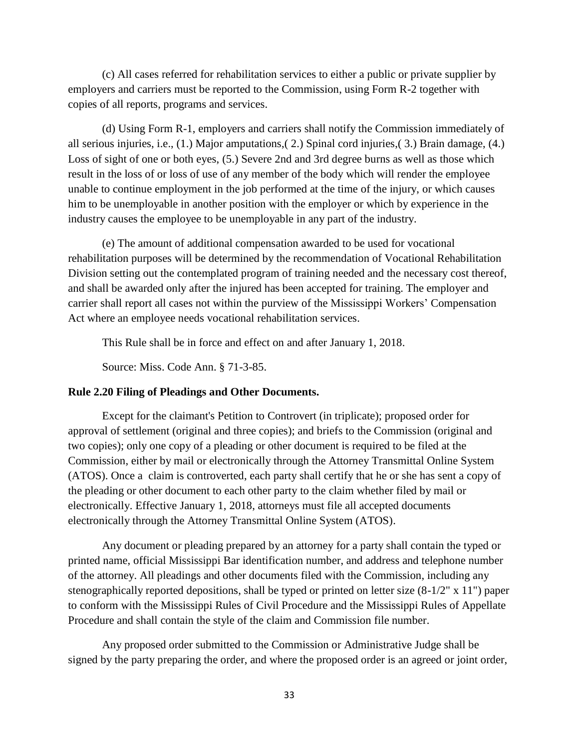(c) All cases referred for rehabilitation services to either a public or private supplier by employers and carriers must be reported to the Commission, using Form R-2 together with copies of all reports, programs and services.

(d) Using Form R-1, employers and carriers shall notify the Commission immediately of all serious injuries, i.e., (1.) Major amputations,( 2.) Spinal cord injuries,( 3.) Brain damage, (4.) Loss of sight of one or both eyes, (5.) Severe 2nd and 3rd degree burns as well as those which result in the loss of or loss of use of any member of the body which will render the employee unable to continue employment in the job performed at the time of the injury, or which causes him to be unemployable in another position with the employer or which by experience in the industry causes the employee to be unemployable in any part of the industry.

(e) The amount of additional compensation awarded to be used for vocational rehabilitation purposes will be determined by the recommendation of Vocational Rehabilitation Division setting out the contemplated program of training needed and the necessary cost thereof, and shall be awarded only after the injured has been accepted for training. The employer and carrier shall report all cases not within the purview of the Mississippi Workers' Compensation Act where an employee needs vocational rehabilitation services.

This Rule shall be in force and effect on and after January 1, 2018.

Source: Miss. Code Ann. § 71-3-85.

# **Rule 2.20 Filing of Pleadings and Other Documents.**

Except for the claimant's Petition to Controvert (in triplicate); proposed order for approval of settlement (original and three copies); and briefs to the Commission (original and two copies); only one copy of a pleading or other document is required to be filed at the Commission, either by mail or electronically through the Attorney Transmittal Online System (ATOS). Once a claim is controverted, each party shall certify that he or she has sent a copy of the pleading or other document to each other party to the claim whether filed by mail or electronically. Effective January 1, 2018, attorneys must file all accepted documents electronically through the Attorney Transmittal Online System (ATOS).

Any document or pleading prepared by an attorney for a party shall contain the typed or printed name, official Mississippi Bar identification number, and address and telephone number of the attorney. All pleadings and other documents filed with the Commission, including any stenographically reported depositions, shall be typed or printed on letter size (8-1/2" x 11") paper to conform with the Mississippi Rules of Civil Procedure and the Mississippi Rules of Appellate Procedure and shall contain the style of the claim and Commission file number.

Any proposed order submitted to the Commission or Administrative Judge shall be signed by the party preparing the order, and where the proposed order is an agreed or joint order,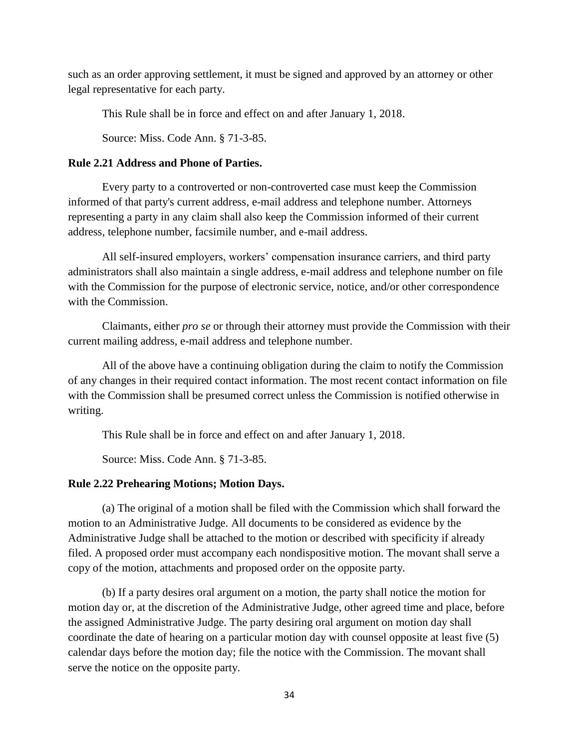such as an order approving settlement, it must be signed and approved by an attorney or other legal representative for each party.

This Rule shall be in force and effect on and after January 1, 2018.

Source: Miss. Code Ann. § 71-3-85.

# **Rule 2.21 Address and Phone of Parties.**

Every party to a controverted or non-controverted case must keep the Commission informed of that party's current address, e-mail address and telephone number. Attorneys representing a party in any claim shall also keep the Commission informed of their current address, telephone number, facsimile number, and e-mail address.

All self-insured employers, workers' compensation insurance carriers, and third party administrators shall also maintain a single address, e-mail address and telephone number on file with the Commission for the purpose of electronic service, notice, and/or other correspondence with the Commission.

Claimants, either *pro se* or through their attorney must provide the Commission with their current mailing address, e-mail address and telephone number.

All of the above have a continuing obligation during the claim to notify the Commission of any changes in their required contact information. The most recent contact information on file with the Commission shall be presumed correct unless the Commission is notified otherwise in writing.

This Rule shall be in force and effect on and after January 1, 2018.

Source: Miss. Code Ann. § 71-3-85.

# **Rule 2.22 Prehearing Motions; Motion Days.**

(a) The original of a motion shall be filed with the Commission which shall forward the motion to an Administrative Judge. All documents to be considered as evidence by the Administrative Judge shall be attached to the motion or described with specificity if already filed. A proposed order must accompany each nondispositive motion. The movant shall serve a copy of the motion, attachments and proposed order on the opposite party.

(b) If a party desires oral argument on a motion, the party shall notice the motion for motion day or, at the discretion of the Administrative Judge, other agreed time and place, before the assigned Administrative Judge. The party desiring oral argument on motion day shall coordinate the date of hearing on a particular motion day with counsel opposite at least five (5) calendar days before the motion day; file the notice with the Commission. The movant shall serve the notice on the opposite party.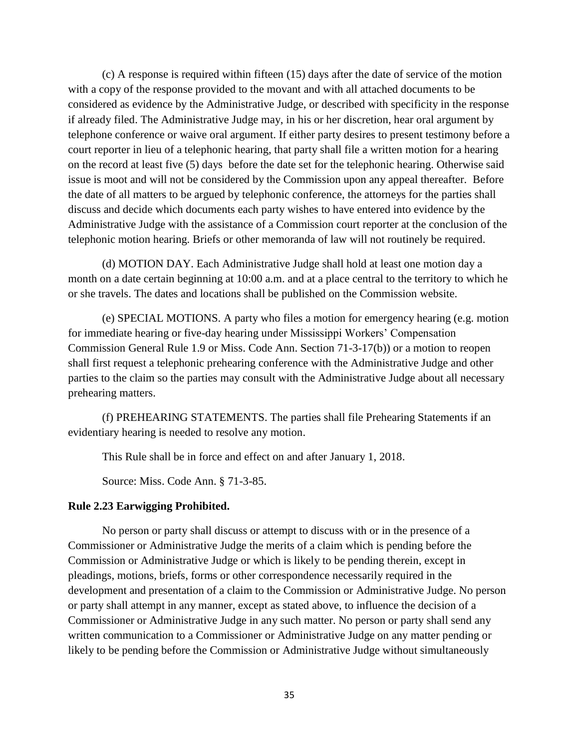(c) A response is required within fifteen (15) days after the date of service of the motion with a copy of the response provided to the movant and with all attached documents to be considered as evidence by the Administrative Judge, or described with specificity in the response if already filed. The Administrative Judge may, in his or her discretion, hear oral argument by telephone conference or waive oral argument. If either party desires to present testimony before a court reporter in lieu of a telephonic hearing, that party shall file a written motion for a hearing on the record at least five (5) days before the date set for the telephonic hearing. Otherwise said issue is moot and will not be considered by the Commission upon any appeal thereafter. Before the date of all matters to be argued by telephonic conference, the attorneys for the parties shall discuss and decide which documents each party wishes to have entered into evidence by the Administrative Judge with the assistance of a Commission court reporter at the conclusion of the telephonic motion hearing. Briefs or other memoranda of law will not routinely be required.

(d) MOTION DAY. Each Administrative Judge shall hold at least one motion day a month on a date certain beginning at 10:00 a.m. and at a place central to the territory to which he or she travels. The dates and locations shall be published on the Commission website.

(e) SPECIAL MOTIONS. A party who files a motion for emergency hearing (e.g. motion for immediate hearing or five-day hearing under Mississippi Workers' Compensation Commission General Rule 1.9 or Miss. Code Ann. Section 71-3-17(b)) or a motion to reopen shall first request a telephonic prehearing conference with the Administrative Judge and other parties to the claim so the parties may consult with the Administrative Judge about all necessary prehearing matters.

(f) PREHEARING STATEMENTS. The parties shall file Prehearing Statements if an evidentiary hearing is needed to resolve any motion.

This Rule shall be in force and effect on and after January 1, 2018.

Source: Miss. Code Ann. § 71-3-85.

#### **Rule 2.23 Earwigging Prohibited.**

No person or party shall discuss or attempt to discuss with or in the presence of a Commissioner or Administrative Judge the merits of a claim which is pending before the Commission or Administrative Judge or which is likely to be pending therein, except in pleadings, motions, briefs, forms or other correspondence necessarily required in the development and presentation of a claim to the Commission or Administrative Judge. No person or party shall attempt in any manner, except as stated above, to influence the decision of a Commissioner or Administrative Judge in any such matter. No person or party shall send any written communication to a Commissioner or Administrative Judge on any matter pending or likely to be pending before the Commission or Administrative Judge without simultaneously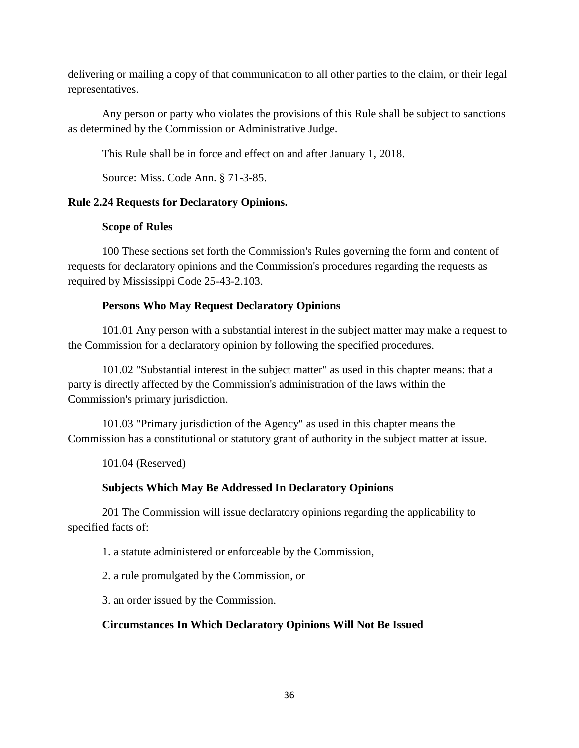delivering or mailing a copy of that communication to all other parties to the claim, or their legal representatives.

Any person or party who violates the provisions of this Rule shall be subject to sanctions as determined by the Commission or Administrative Judge.

This Rule shall be in force and effect on and after January 1, 2018.

Source: Miss. Code Ann. § 71-3-85.

# **Rule 2.24 Requests for Declaratory Opinions.**

# **Scope of Rules**

100 These sections set forth the Commission's Rules governing the form and content of requests for declaratory opinions and the Commission's procedures regarding the requests as required by Mississippi Code 25-43-2.103.

# **Persons Who May Request Declaratory Opinions**

101.01 Any person with a substantial interest in the subject matter may make a request to the Commission for a declaratory opinion by following the specified procedures.

101.02 "Substantial interest in the subject matter" as used in this chapter means: that a party is directly affected by the Commission's administration of the laws within the Commission's primary jurisdiction.

101.03 "Primary jurisdiction of the Agency" as used in this chapter means the Commission has a constitutional or statutory grant of authority in the subject matter at issue.

101.04 (Reserved)

# **Subjects Which May Be Addressed In Declaratory Opinions**

201 The Commission will issue declaratory opinions regarding the applicability to specified facts of:

1. a statute administered or enforceable by the Commission,

2. a rule promulgated by the Commission, or

3. an order issued by the Commission.

# **Circumstances In Which Declaratory Opinions Will Not Be Issued**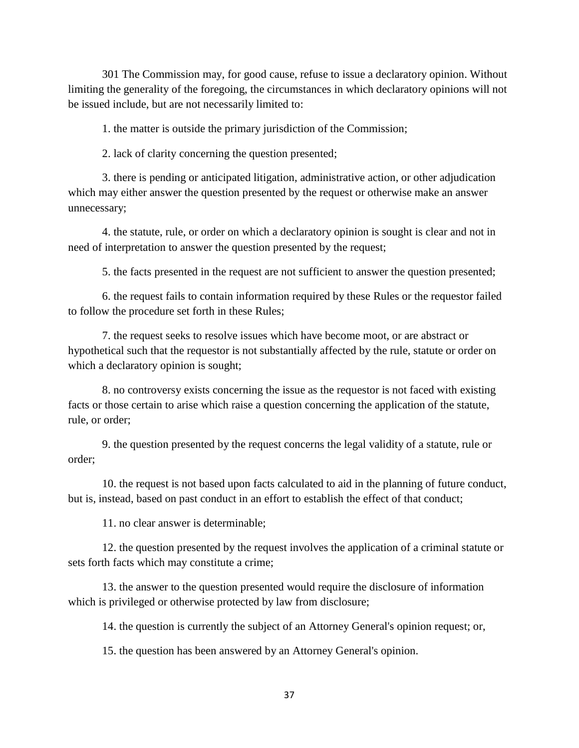301 The Commission may, for good cause, refuse to issue a declaratory opinion. Without limiting the generality of the foregoing, the circumstances in which declaratory opinions will not be issued include, but are not necessarily limited to:

1. the matter is outside the primary jurisdiction of the Commission;

2. lack of clarity concerning the question presented;

3. there is pending or anticipated litigation, administrative action, or other adjudication which may either answer the question presented by the request or otherwise make an answer unnecessary;

4. the statute, rule, or order on which a declaratory opinion is sought is clear and not in need of interpretation to answer the question presented by the request;

5. the facts presented in the request are not sufficient to answer the question presented;

6. the request fails to contain information required by these Rules or the requestor failed to follow the procedure set forth in these Rules;

7. the request seeks to resolve issues which have become moot, or are abstract or hypothetical such that the requestor is not substantially affected by the rule, statute or order on which a declaratory opinion is sought;

8. no controversy exists concerning the issue as the requestor is not faced with existing facts or those certain to arise which raise a question concerning the application of the statute, rule, or order;

9. the question presented by the request concerns the legal validity of a statute, rule or order;

10. the request is not based upon facts calculated to aid in the planning of future conduct, but is, instead, based on past conduct in an effort to establish the effect of that conduct;

11. no clear answer is determinable;

12. the question presented by the request involves the application of a criminal statute or sets forth facts which may constitute a crime;

13. the answer to the question presented would require the disclosure of information which is privileged or otherwise protected by law from disclosure;

14. the question is currently the subject of an Attorney General's opinion request; or,

15. the question has been answered by an Attorney General's opinion.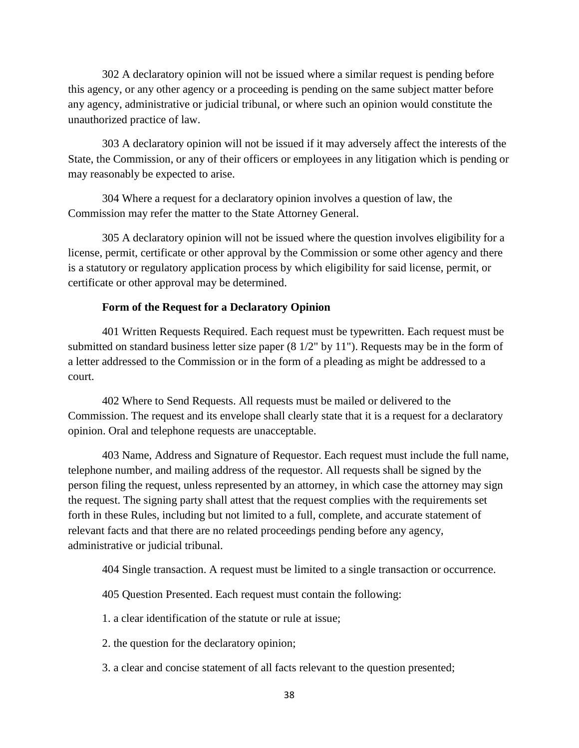302 A declaratory opinion will not be issued where a similar request is pending before this agency, or any other agency or a proceeding is pending on the same subject matter before any agency, administrative or judicial tribunal, or where such an opinion would constitute the unauthorized practice of law.

303 A declaratory opinion will not be issued if it may adversely affect the interests of the State, the Commission, or any of their officers or employees in any litigation which is pending or may reasonably be expected to arise.

304 Where a request for a declaratory opinion involves a question of law, the Commission may refer the matter to the State Attorney General.

305 A declaratory opinion will not be issued where the question involves eligibility for a license, permit, certificate or other approval by the Commission or some other agency and there is a statutory or regulatory application process by which eligibility for said license, permit, or certificate or other approval may be determined.

## **Form of the Request for a Declaratory Opinion**

401 Written Requests Required. Each request must be typewritten. Each request must be submitted on standard business letter size paper (8 1/2" by 11"). Requests may be in the form of a letter addressed to the Commission or in the form of a pleading as might be addressed to a court.

402 Where to Send Requests. All requests must be mailed or delivered to the Commission. The request and its envelope shall clearly state that it is a request for a declaratory opinion. Oral and telephone requests are unacceptable.

403 Name, Address and Signature of Requestor. Each request must include the full name, telephone number, and mailing address of the requestor. All requests shall be signed by the person filing the request, unless represented by an attorney, in which case the attorney may sign the request. The signing party shall attest that the request complies with the requirements set forth in these Rules, including but not limited to a full, complete, and accurate statement of relevant facts and that there are no related proceedings pending before any agency, administrative or judicial tribunal.

404 Single transaction. A request must be limited to a single transaction or occurrence.

405 Question Presented. Each request must contain the following:

1. a clear identification of the statute or rule at issue;

2. the question for the declaratory opinion;

3. a clear and concise statement of all facts relevant to the question presented;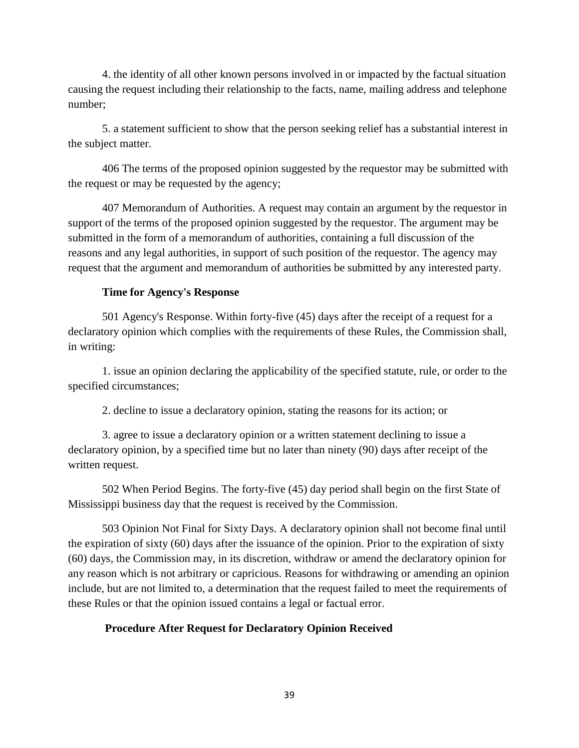4. the identity of all other known persons involved in or impacted by the factual situation causing the request including their relationship to the facts, name, mailing address and telephone number;

5. a statement sufficient to show that the person seeking relief has a substantial interest in the subject matter.

406 The terms of the proposed opinion suggested by the requestor may be submitted with the request or may be requested by the agency;

407 Memorandum of Authorities. A request may contain an argument by the requestor in support of the terms of the proposed opinion suggested by the requestor. The argument may be submitted in the form of a memorandum of authorities, containing a full discussion of the reasons and any legal authorities, in support of such position of the requestor. The agency may request that the argument and memorandum of authorities be submitted by any interested party.

### **Time for Agency's Response**

501 Agency's Response. Within forty-five (45) days after the receipt of a request for a declaratory opinion which complies with the requirements of these Rules, the Commission shall, in writing:

1. issue an opinion declaring the applicability of the specified statute, rule, or order to the specified circumstances;

2. decline to issue a declaratory opinion, stating the reasons for its action; or

3. agree to issue a declaratory opinion or a written statement declining to issue a declaratory opinion, by a specified time but no later than ninety (90) days after receipt of the written request.

502 When Period Begins. The forty-five (45) day period shall begin on the first State of Mississippi business day that the request is received by the Commission.

503 Opinion Not Final for Sixty Days. A declaratory opinion shall not become final until the expiration of sixty (60) days after the issuance of the opinion. Prior to the expiration of sixty (60) days, the Commission may, in its discretion, withdraw or amend the declaratory opinion for any reason which is not arbitrary or capricious. Reasons for withdrawing or amending an opinion include, but are not limited to, a determination that the request failed to meet the requirements of these Rules or that the opinion issued contains a legal or factual error.

### **Procedure After Request for Declaratory Opinion Received**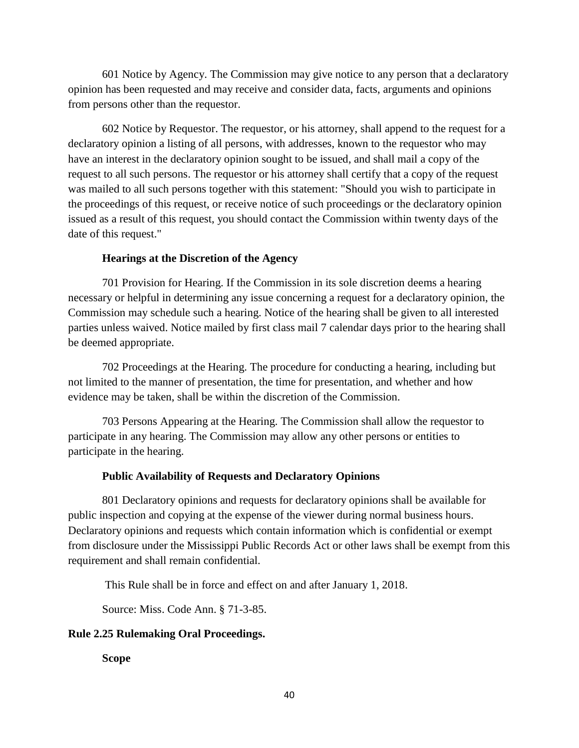601 Notice by Agency. The Commission may give notice to any person that a declaratory opinion has been requested and may receive and consider data, facts, arguments and opinions from persons other than the requestor.

602 Notice by Requestor. The requestor, or his attorney, shall append to the request for a declaratory opinion a listing of all persons, with addresses, known to the requestor who may have an interest in the declaratory opinion sought to be issued, and shall mail a copy of the request to all such persons. The requestor or his attorney shall certify that a copy of the request was mailed to all such persons together with this statement: "Should you wish to participate in the proceedings of this request, or receive notice of such proceedings or the declaratory opinion issued as a result of this request, you should contact the Commission within twenty days of the date of this request."

## **Hearings at the Discretion of the Agency**

701 Provision for Hearing. If the Commission in its sole discretion deems a hearing necessary or helpful in determining any issue concerning a request for a declaratory opinion, the Commission may schedule such a hearing. Notice of the hearing shall be given to all interested parties unless waived. Notice mailed by first class mail 7 calendar days prior to the hearing shall be deemed appropriate.

702 Proceedings at the Hearing. The procedure for conducting a hearing, including but not limited to the manner of presentation, the time for presentation, and whether and how evidence may be taken, shall be within the discretion of the Commission.

703 Persons Appearing at the Hearing. The Commission shall allow the requestor to participate in any hearing. The Commission may allow any other persons or entities to participate in the hearing.

### **Public Availability of Requests and Declaratory Opinions**

801 Declaratory opinions and requests for declaratory opinions shall be available for public inspection and copying at the expense of the viewer during normal business hours. Declaratory opinions and requests which contain information which is confidential or exempt from disclosure under the Mississippi Public Records Act or other laws shall be exempt from this requirement and shall remain confidential.

This Rule shall be in force and effect on and after January 1, 2018.

Source: Miss. Code Ann. § 71-3-85.

### **Rule 2.25 Rulemaking Oral Proceedings.**

**Scope**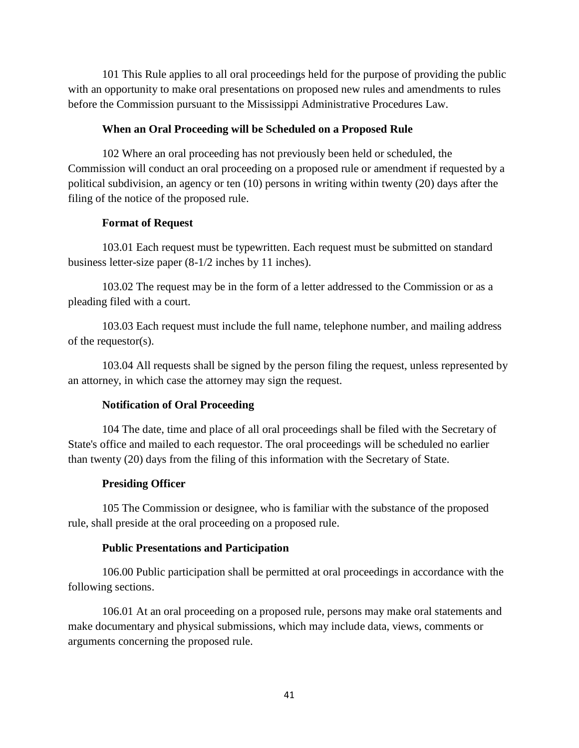101 This Rule applies to all oral proceedings held for the purpose of providing the public with an opportunity to make oral presentations on proposed new rules and amendments to rules before the Commission pursuant to the Mississippi Administrative Procedures Law.

## **When an Oral Proceeding will be Scheduled on a Proposed Rule**

102 Where an oral proceeding has not previously been held or scheduled, the Commission will conduct an oral proceeding on a proposed rule or amendment if requested by a political subdivision, an agency or ten (10) persons in writing within twenty (20) days after the filing of the notice of the proposed rule.

## **Format of Request**

103.01 Each request must be typewritten. Each request must be submitted on standard business letter-size paper (8-1/2 inches by 11 inches).

103.02 The request may be in the form of a letter addressed to the Commission or as a pleading filed with a court.

103.03 Each request must include the full name, telephone number, and mailing address of the requestor(s).

103.04 All requests shall be signed by the person filing the request, unless represented by an attorney, in which case the attorney may sign the request.

## **Notification of Oral Proceeding**

104 The date, time and place of all oral proceedings shall be filed with the Secretary of State's office and mailed to each requestor. The oral proceedings will be scheduled no earlier than twenty (20) days from the filing of this information with the Secretary of State.

### **Presiding Officer**

105 The Commission or designee, who is familiar with the substance of the proposed rule, shall preside at the oral proceeding on a proposed rule.

### **Public Presentations and Participation**

106.00 Public participation shall be permitted at oral proceedings in accordance with the following sections.

106.01 At an oral proceeding on a proposed rule, persons may make oral statements and make documentary and physical submissions, which may include data, views, comments or arguments concerning the proposed rule.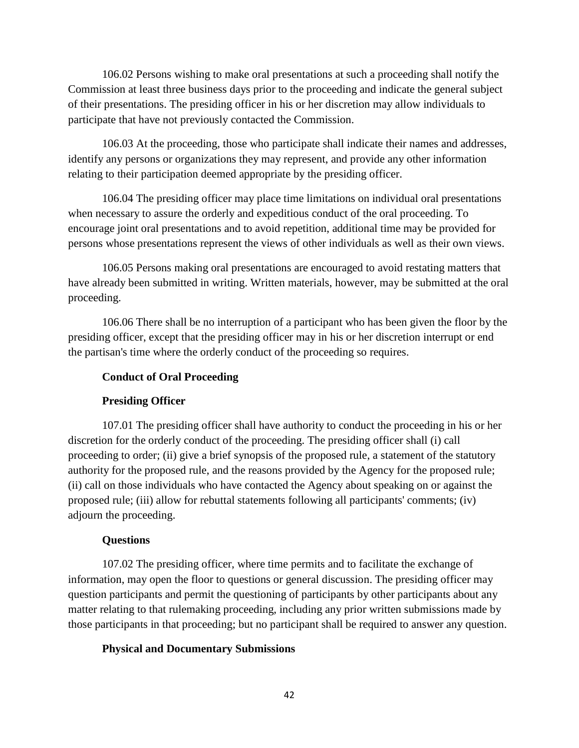106.02 Persons wishing to make oral presentations at such a proceeding shall notify the Commission at least three business days prior to the proceeding and indicate the general subject of their presentations. The presiding officer in his or her discretion may allow individuals to participate that have not previously contacted the Commission.

106.03 At the proceeding, those who participate shall indicate their names and addresses, identify any persons or organizations they may represent, and provide any other information relating to their participation deemed appropriate by the presiding officer.

106.04 The presiding officer may place time limitations on individual oral presentations when necessary to assure the orderly and expeditious conduct of the oral proceeding. To encourage joint oral presentations and to avoid repetition, additional time may be provided for persons whose presentations represent the views of other individuals as well as their own views.

106.05 Persons making oral presentations are encouraged to avoid restating matters that have already been submitted in writing. Written materials, however, may be submitted at the oral proceeding.

106.06 There shall be no interruption of a participant who has been given the floor by the presiding officer, except that the presiding officer may in his or her discretion interrupt or end the partisan's time where the orderly conduct of the proceeding so requires.

## **Conduct of Oral Proceeding**

## **Presiding Officer**

107.01 The presiding officer shall have authority to conduct the proceeding in his or her discretion for the orderly conduct of the proceeding. The presiding officer shall (i) call proceeding to order; (ii) give a brief synopsis of the proposed rule, a statement of the statutory authority for the proposed rule, and the reasons provided by the Agency for the proposed rule; (ii) call on those individuals who have contacted the Agency about speaking on or against the proposed rule; (iii) allow for rebuttal statements following all participants' comments; (iv) adjourn the proceeding.

## **Questions**

107.02 The presiding officer, where time permits and to facilitate the exchange of information, may open the floor to questions or general discussion. The presiding officer may question participants and permit the questioning of participants by other participants about any matter relating to that rulemaking proceeding, including any prior written submissions made by those participants in that proceeding; but no participant shall be required to answer any question.

# **Physical and Documentary Submissions**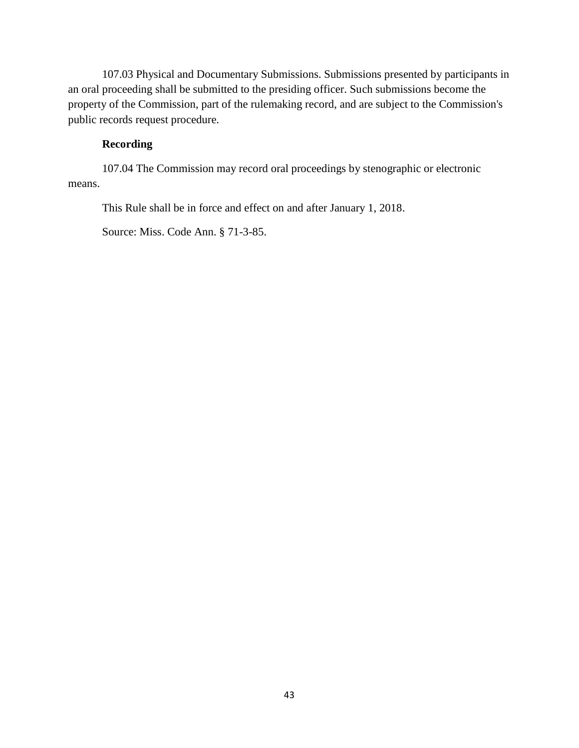107.03 Physical and Documentary Submissions. Submissions presented by participants in an oral proceeding shall be submitted to the presiding officer. Such submissions become the property of the Commission, part of the rulemaking record, and are subject to the Commission's public records request procedure.

# **Recording**

107.04 The Commission may record oral proceedings by stenographic or electronic means.

This Rule shall be in force and effect on and after January 1, 2018.

Source: Miss. Code Ann. § 71-3-85.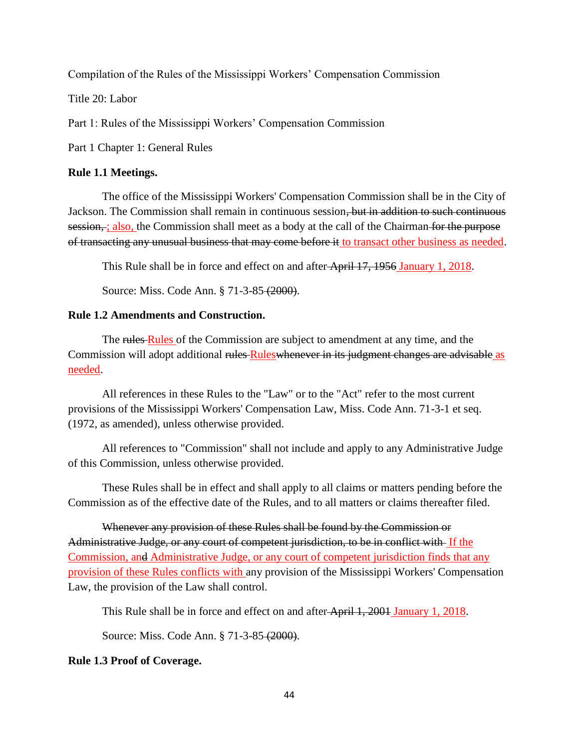Compilation of the Rules of the Mississippi Workers' Compensation Commission

Title 20: Labor

Part 1: Rules of the Mississippi Workers' Compensation Commission

Part 1 Chapter 1: General Rules

### **Rule 1.1 Meetings.**

The office of the Mississippi Workers' Compensation Commission shall be in the City of Jackson. The Commission shall remain in continuous session, but in addition to such continuous session, ; also, the Commission shall meet as a body at the call of the Chairman for the purpose of transacting any unusual business that may come before it to transact other business as needed.

This Rule shall be in force and effect on and after April 17, 1956 January 1, 2018.

Source: Miss. Code Ann. § 71-3-85 (2000).

## **Rule 1.2 Amendments and Construction.**

The rules Rules of the Commission are subject to amendment at any time, and the Commission will adopt additional rules Ruleswhenever in its judgment changes are advisable as needed.

All references in these Rules to the "Law" or to the "Act" refer to the most current provisions of the Mississippi Workers' Compensation Law, Miss. Code Ann. 71-3-1 et seq. (1972, as amended), unless otherwise provided.

All references to "Commission" shall not include and apply to any Administrative Judge of this Commission, unless otherwise provided.

These Rules shall be in effect and shall apply to all claims or matters pending before the Commission as of the effective date of the Rules, and to all matters or claims thereafter filed.

Whenever any provision of these Rules shall be found by the Commission or Administrative Judge, or any court of competent jurisdiction, to be in conflict with If the Commission, and Administrative Judge, or any court of competent jurisdiction finds that any provision of these Rules conflicts with any provision of the Mississippi Workers' Compensation Law, the provision of the Law shall control.

This Rule shall be in force and effect on and after April 1, 2001 January 1, 2018.

Source: Miss. Code Ann. § 71-3-85 (2000).

### **Rule 1.3 Proof of Coverage.**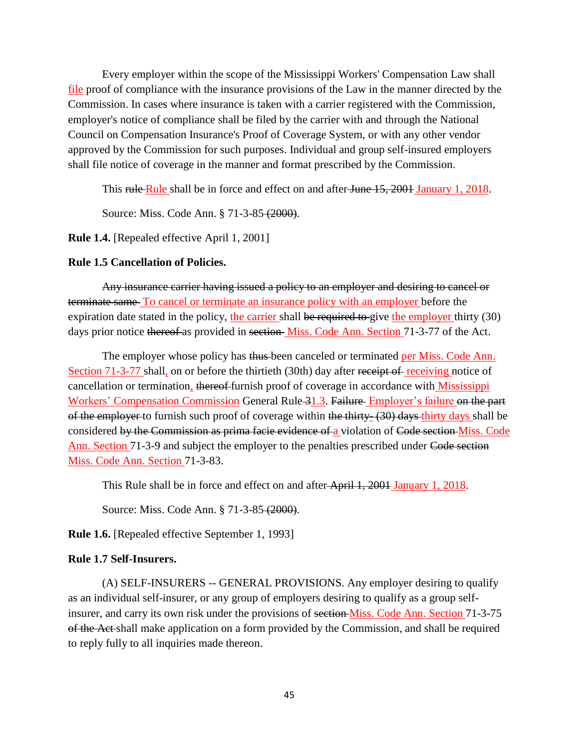Every employer within the scope of the Mississippi Workers' Compensation Law shall file proof of compliance with the insurance provisions of the Law in the manner directed by the Commission. In cases where insurance is taken with a carrier registered with the Commission, employer's notice of compliance shall be filed by the carrier with and through the National Council on Compensation Insurance's Proof of Coverage System, or with any other vendor approved by the Commission for such purposes. Individual and group self-insured employers shall file notice of coverage in the manner and format prescribed by the Commission.

This rule Rule shall be in force and effect on and after June 15, 2001 January 1, 2018.

Source: Miss. Code Ann. § 71-3-85 (2000).

**Rule 1.4.** [Repealed effective April 1, 2001]

#### **Rule 1.5 Cancellation of Policies.**

Any insurance carrier having issued a policy to an employer and desiring to cancel or terminate same To cancel or terminate an insurance policy with an employer before the expiration date stated in the policy, the carrier shall be required to give the employer thirty (30) days prior notice thereof as provided in section Miss. Code Ann. Section 71-3-77 of the Act.

The employer whose policy has thus been canceled or terminated per Miss. Code Ann. Section 71-3-77 shall, on or before the thirtieth (30th) day after receipt of receiving notice of cancellation or termination, thereof-furnish proof of coverage in accordance with Mississippi Workers' Compensation Commission General Rule 31.3. Failure Employer's failure on the part of the employer to furnish such proof of coverage within the thirty- (30) days thirty days shall be considered by the Commission as prima facie evidence of a violation of Code section Miss. Code Ann. Section 71-3-9 and subject the employer to the penalties prescribed under Code section Miss. Code Ann. Section 71-3-83.

This Rule shall be in force and effect on and after April 1, 2001 January 1, 2018.

Source: Miss. Code Ann. § 71-3-85 (2000).

**Rule 1.6.** [Repealed effective September 1, 1993]

#### **Rule 1.7 Self-Insurers.**

(A) SELF-INSURERS -- GENERAL PROVISIONS. Any employer desiring to qualify as an individual self-insurer, or any group of employers desiring to qualify as a group selfinsurer, and carry its own risk under the provisions of section Miss. Code Ann. Section 71-3-75 of the Act shall make application on a form provided by the Commission, and shall be required to reply fully to all inquiries made thereon.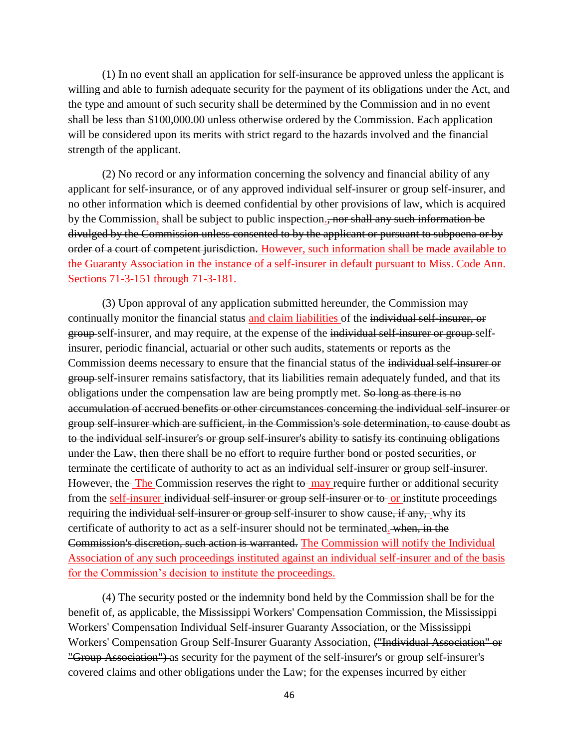(1) In no event shall an application for self-insurance be approved unless the applicant is willing and able to furnish adequate security for the payment of its obligations under the Act, and the type and amount of such security shall be determined by the Commission and in no event shall be less than \$100,000.00 unless otherwise ordered by the Commission. Each application will be considered upon its merits with strict regard to the hazards involved and the financial strength of the applicant.

(2) No record or any information concerning the solvency and financial ability of any applicant for self-insurance, or of any approved individual self-insurer or group self-insurer, and no other information which is deemed confidential by other provisions of law, which is acquired by the Commission, shall be subject to public inspection., nor shall any such information be divulged by the Commission unless consented to by the applicant or pursuant to subpoena or by order of a court of competent jurisdiction. However, such information shall be made available to the Guaranty Association in the instance of a self-insurer in default pursuant to Miss. Code Ann. Sections 71-3-151 through 71-3-181.

(3) Upon approval of any application submitted hereunder, the Commission may continually monitor the financial status and claim liabilities of the individual self-insurer, or group self-insurer, and may require, at the expense of the individual self-insurer or group selfinsurer, periodic financial, actuarial or other such audits, statements or reports as the Commission deems necessary to ensure that the financial status of the individual self-insurer or group self-insurer remains satisfactory, that its liabilities remain adequately funded, and that its obligations under the compensation law are being promptly met. So long as there is no accumulation of accrued benefits or other circumstances concerning the individual self-insurer or group self-insurer which are sufficient, in the Commission's sole determination, to cause doubt as to the individual self-insurer's or group self-insurer's ability to satisfy its continuing obligations under the Law, then there shall be no effort to require further bond or posted securities, or terminate the certificate of authority to act as an individual self-insurer or group self-insurer. However, the The Commission reserves the right to may require further or additional security from the self-insurer individual self-insurer or group self-insurer or to or institute proceedings requiring the individual self-insurer or group self-insurer to show cause, if any, why its certificate of authority to act as a self-insurer should not be terminated. when, in the Commission's discretion, such action is warranted. The Commission will notify the Individual Association of any such proceedings instituted against an individual self-insurer and of the basis for the Commission's decision to institute the proceedings.

(4) The security posted or the indemnity bond held by the Commission shall be for the benefit of, as applicable, the Mississippi Workers' Compensation Commission, the Mississippi Workers' Compensation Individual Self-insurer Guaranty Association, or the Mississippi Workers' Compensation Group Self-Insurer Guaranty Association, ("Individual Association" or "Group Association") as security for the payment of the self-insurer's or group self-insurer's covered claims and other obligations under the Law; for the expenses incurred by either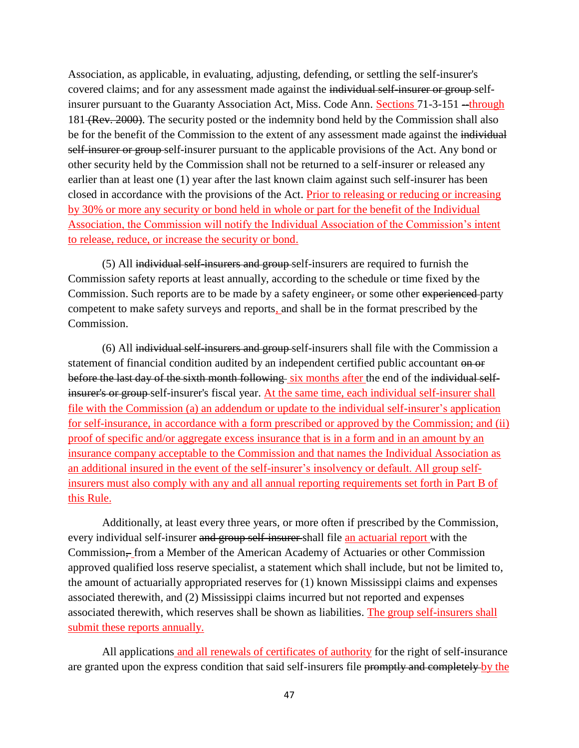Association, as applicable, in evaluating, adjusting, defending, or settling the self-insurer's covered claims; and for any assessment made against the individual self-insurer or group selfinsurer pursuant to the Guaranty Association Act, Miss. Code Ann. Sections 71-3-151 --through 181 (Rev. 2000). The security posted or the indemnity bond held by the Commission shall also be for the benefit of the Commission to the extent of any assessment made against the individual self-insurer or group-self-insurer pursuant to the applicable provisions of the Act. Any bond or other security held by the Commission shall not be returned to a self-insurer or released any earlier than at least one (1) year after the last known claim against such self-insurer has been closed in accordance with the provisions of the Act. Prior to releasing or reducing or increasing by 30% or more any security or bond held in whole or part for the benefit of the Individual Association, the Commission will notify the Individual Association of the Commission's intent to release, reduce, or increase the security or bond.

(5) All individual self-insurers and group self-insurers are required to furnish the Commission safety reports at least annually, according to the schedule or time fixed by the Commission. Such reports are to be made by a safety engineer, or some other experienced party competent to make safety surveys and reports, and shall be in the format prescribed by the Commission.

(6) All individual self-insurers and group self-insurers shall file with the Commission a statement of financial condition audited by an independent certified public accountant on or before the last day of the sixth month following six months after the end of the individual selfinsurer's or group self-insurer's fiscal year. At the same time, each individual self-insurer shall file with the Commission (a) an addendum or update to the individual self-insurer's application for self-insurance, in accordance with a form prescribed or approved by the Commission; and (ii) proof of specific and/or aggregate excess insurance that is in a form and in an amount by an insurance company acceptable to the Commission and that names the Individual Association as an additional insured in the event of the self-insurer's insolvency or default. All group selfinsurers must also comply with any and all annual reporting requirements set forth in Part B of this Rule.

Additionally, at least every three years, or more often if prescribed by the Commission, every individual self-insurer and group self-insurer shall file an actuarial report with the Commission, from a Member of the American Academy of Actuaries or other Commission approved qualified loss reserve specialist, a statement which shall include, but not be limited to, the amount of actuarially appropriated reserves for (1) known Mississippi claims and expenses associated therewith, and (2) Mississippi claims incurred but not reported and expenses associated therewith, which reserves shall be shown as liabilities. The group self-insurers shall submit these reports annually.

All applications and all renewals of certificates of authority for the right of self-insurance are granted upon the express condition that said self-insurers file promptly and completely by the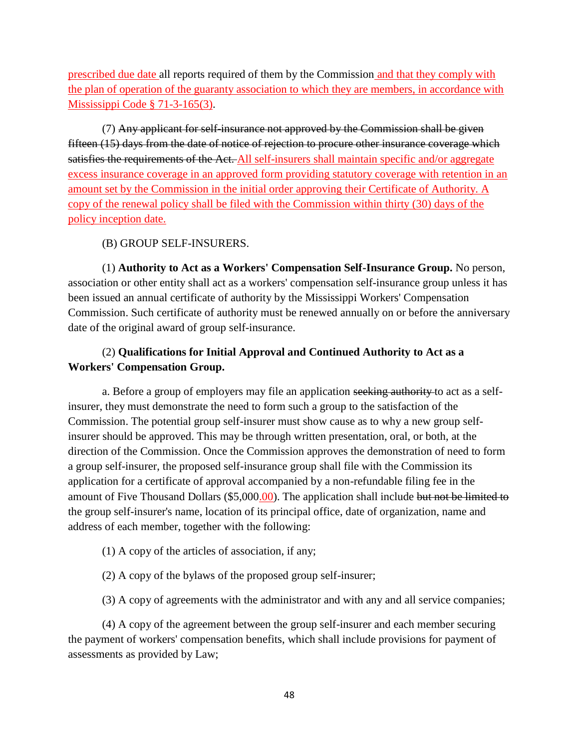prescribed due date all reports required of them by the Commission and that they comply with the plan of operation of the guaranty association to which they are members, in accordance with Mississippi Code § 71-3-165(3).

(7) Any applicant for self-insurance not approved by the Commission shall be given fifteen (15) days from the date of notice of rejection to procure other insurance coverage which satisfies the requirements of the Act. All self-insurers shall maintain specific and/or aggregate excess insurance coverage in an approved form providing statutory coverage with retention in an amount set by the Commission in the initial order approving their Certificate of Authority. A copy of the renewal policy shall be filed with the Commission within thirty (30) days of the policy inception date.

## (B) GROUP SELF-INSURERS.

(1) **Authority to Act as a Workers' Compensation Self-Insurance Group.** No person, association or other entity shall act as a workers' compensation self-insurance group unless it has been issued an annual certificate of authority by the Mississippi Workers' Compensation Commission. Such certificate of authority must be renewed annually on or before the anniversary date of the original award of group self-insurance.

# (2) **Qualifications for Initial Approval and Continued Authority to Act as a Workers' Compensation Group.**

a. Before a group of employers may file an application seeking authority to act as a selfinsurer, they must demonstrate the need to form such a group to the satisfaction of the Commission. The potential group self-insurer must show cause as to why a new group selfinsurer should be approved. This may be through written presentation, oral, or both, at the direction of the Commission. Once the Commission approves the demonstration of need to form a group self-insurer, the proposed self-insurance group shall file with the Commission its application for a certificate of approval accompanied by a non-refundable filing fee in the amount of Five Thousand Dollars (\$5,000.00). The application shall include but not be limited to the group self-insurer's name, location of its principal office, date of organization, name and address of each member, together with the following:

- (1) A copy of the articles of association, if any;
- (2) A copy of the bylaws of the proposed group self-insurer;
- (3) A copy of agreements with the administrator and with any and all service companies;

(4) A copy of the agreement between the group self-insurer and each member securing the payment of workers' compensation benefits, which shall include provisions for payment of assessments as provided by Law;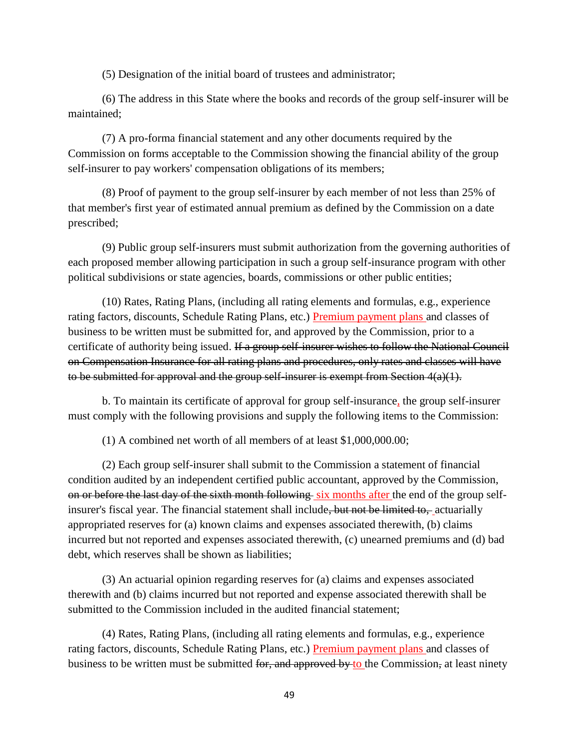(5) Designation of the initial board of trustees and administrator;

(6) The address in this State where the books and records of the group self-insurer will be maintained;

(7) A pro-forma financial statement and any other documents required by the Commission on forms acceptable to the Commission showing the financial ability of the group self-insurer to pay workers' compensation obligations of its members;

(8) Proof of payment to the group self-insurer by each member of not less than 25% of that member's first year of estimated annual premium as defined by the Commission on a date prescribed;

(9) Public group self-insurers must submit authorization from the governing authorities of each proposed member allowing participation in such a group self-insurance program with other political subdivisions or state agencies, boards, commissions or other public entities;

(10) Rates, Rating Plans, (including all rating elements and formulas, e.g., experience rating factors, discounts, Schedule Rating Plans, etc.) Premium payment plans and classes of business to be written must be submitted for, and approved by the Commission, prior to a certificate of authority being issued. If a group self-insurer wishes to follow the National Council on Compensation Insurance for all rating plans and procedures, only rates and classes will have to be submitted for approval and the group self-insurer is exempt from Section  $4(a)(1)$ .

b. To maintain its certificate of approval for group self-insurance, the group self-insurer must comply with the following provisions and supply the following items to the Commission:

(1) A combined net worth of all members of at least \$1,000,000.00;

(2) Each group self-insurer shall submit to the Commission a statement of financial condition audited by an independent certified public accountant, approved by the Commission, on or before the last day of the sixth month following six months after the end of the group selfinsurer's fiscal year. The financial statement shall include, but not be limited to, actuarially appropriated reserves for (a) known claims and expenses associated therewith, (b) claims incurred but not reported and expenses associated therewith, (c) unearned premiums and (d) bad debt, which reserves shall be shown as liabilities;

(3) An actuarial opinion regarding reserves for (a) claims and expenses associated therewith and (b) claims incurred but not reported and expense associated therewith shall be submitted to the Commission included in the audited financial statement;

(4) Rates, Rating Plans, (including all rating elements and formulas, e.g., experience rating factors, discounts, Schedule Rating Plans, etc.) Premium payment plans and classes of business to be written must be submitted for, and approved by to the Commission, at least ninety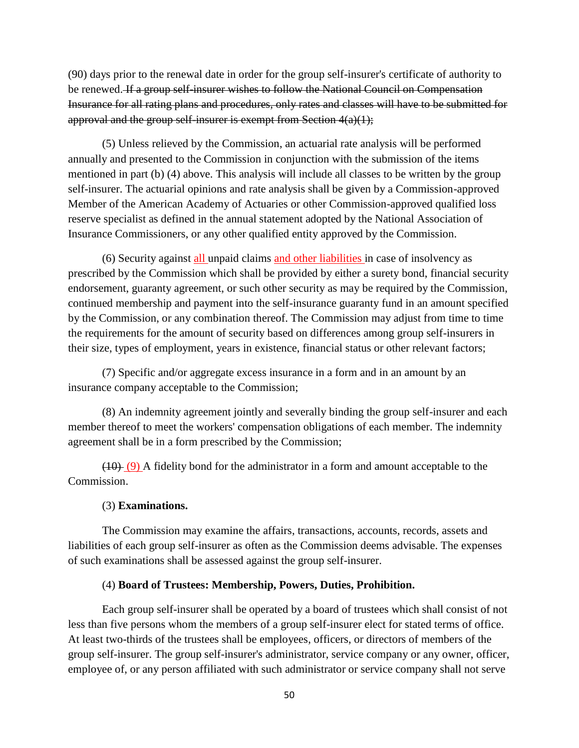(90) days prior to the renewal date in order for the group self-insurer's certificate of authority to be renewed. If a group self-insurer wishes to follow the National Council on Compensation Insurance for all rating plans and procedures, only rates and classes will have to be submitted for approval and the group self-insurer is exempt from Section  $4(a)(1)$ ;

(5) Unless relieved by the Commission, an actuarial rate analysis will be performed annually and presented to the Commission in conjunction with the submission of the items mentioned in part (b) (4) above. This analysis will include all classes to be written by the group self-insurer. The actuarial opinions and rate analysis shall be given by a Commission-approved Member of the American Academy of Actuaries or other Commission-approved qualified loss reserve specialist as defined in the annual statement adopted by the National Association of Insurance Commissioners, or any other qualified entity approved by the Commission.

(6) Security against all unpaid claims and other liabilities in case of insolvency as prescribed by the Commission which shall be provided by either a surety bond, financial security endorsement, guaranty agreement, or such other security as may be required by the Commission, continued membership and payment into the self-insurance guaranty fund in an amount specified by the Commission, or any combination thereof. The Commission may adjust from time to time the requirements for the amount of security based on differences among group self-insurers in their size, types of employment, years in existence, financial status or other relevant factors;

(7) Specific and/or aggregate excess insurance in a form and in an amount by an insurance company acceptable to the Commission;

(8) An indemnity agreement jointly and severally binding the group self-insurer and each member thereof to meet the workers' compensation obligations of each member. The indemnity agreement shall be in a form prescribed by the Commission;

(10) (9) A fidelity bond for the administrator in a form and amount acceptable to the Commission.

### (3) **Examinations.**

The Commission may examine the affairs, transactions, accounts, records, assets and liabilities of each group self-insurer as often as the Commission deems advisable. The expenses of such examinations shall be assessed against the group self-insurer.

### (4) **Board of Trustees: Membership, Powers, Duties, Prohibition.**

Each group self-insurer shall be operated by a board of trustees which shall consist of not less than five persons whom the members of a group self-insurer elect for stated terms of office. At least two-thirds of the trustees shall be employees, officers, or directors of members of the group self-insurer. The group self-insurer's administrator, service company or any owner, officer, employee of, or any person affiliated with such administrator or service company shall not serve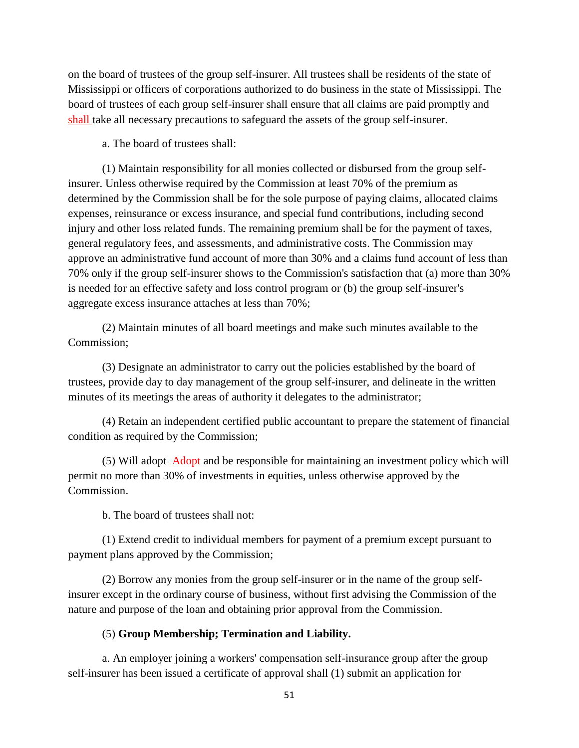on the board of trustees of the group self-insurer. All trustees shall be residents of the state of Mississippi or officers of corporations authorized to do business in the state of Mississippi. The board of trustees of each group self-insurer shall ensure that all claims are paid promptly and shall take all necessary precautions to safeguard the assets of the group self-insurer.

a. The board of trustees shall:

(1) Maintain responsibility for all monies collected or disbursed from the group selfinsurer. Unless otherwise required by the Commission at least 70% of the premium as determined by the Commission shall be for the sole purpose of paying claims, allocated claims expenses, reinsurance or excess insurance, and special fund contributions, including second injury and other loss related funds. The remaining premium shall be for the payment of taxes, general regulatory fees, and assessments, and administrative costs. The Commission may approve an administrative fund account of more than 30% and a claims fund account of less than 70% only if the group self-insurer shows to the Commission's satisfaction that (a) more than 30% is needed for an effective safety and loss control program or (b) the group self-insurer's aggregate excess insurance attaches at less than 70%;

(2) Maintain minutes of all board meetings and make such minutes available to the Commission;

(3) Designate an administrator to carry out the policies established by the board of trustees, provide day to day management of the group self-insurer, and delineate in the written minutes of its meetings the areas of authority it delegates to the administrator;

(4) Retain an independent certified public accountant to prepare the statement of financial condition as required by the Commission;

(5) Will adopt Adopt and be responsible for maintaining an investment policy which will permit no more than 30% of investments in equities, unless otherwise approved by the Commission.

b. The board of trustees shall not:

(1) Extend credit to individual members for payment of a premium except pursuant to payment plans approved by the Commission;

(2) Borrow any monies from the group self-insurer or in the name of the group selfinsurer except in the ordinary course of business, without first advising the Commission of the nature and purpose of the loan and obtaining prior approval from the Commission.

## (5) **Group Membership; Termination and Liability.**

a. An employer joining a workers' compensation self-insurance group after the group self-insurer has been issued a certificate of approval shall (1) submit an application for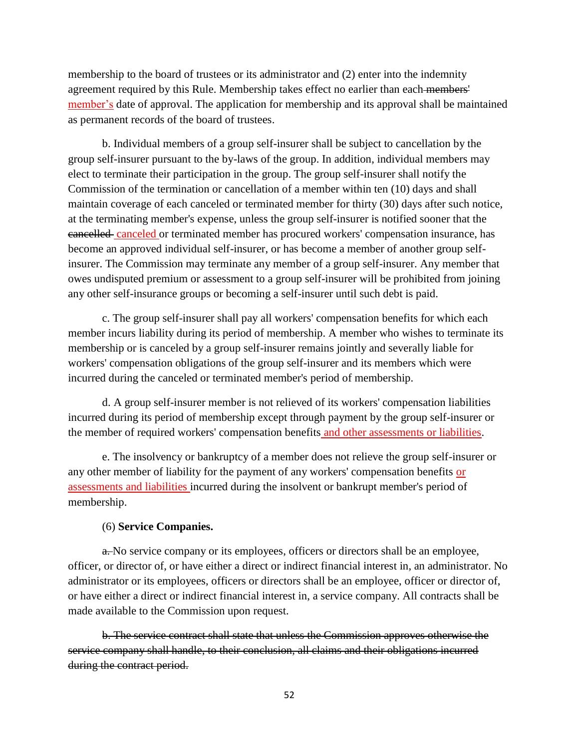membership to the board of trustees or its administrator and (2) enter into the indemnity agreement required by this Rule. Membership takes effect no earlier than each members' member's date of approval. The application for membership and its approval shall be maintained as permanent records of the board of trustees.

b. Individual members of a group self-insurer shall be subject to cancellation by the group self-insurer pursuant to the by-laws of the group. In addition, individual members may elect to terminate their participation in the group. The group self-insurer shall notify the Commission of the termination or cancellation of a member within ten (10) days and shall maintain coverage of each canceled or terminated member for thirty (30) days after such notice, at the terminating member's expense, unless the group self-insurer is notified sooner that the cancelled canceled or terminated member has procured workers' compensation insurance, has become an approved individual self-insurer, or has become a member of another group selfinsurer. The Commission may terminate any member of a group self-insurer. Any member that owes undisputed premium or assessment to a group self-insurer will be prohibited from joining any other self-insurance groups or becoming a self-insurer until such debt is paid.

c. The group self-insurer shall pay all workers' compensation benefits for which each member incurs liability during its period of membership. A member who wishes to terminate its membership or is canceled by a group self-insurer remains jointly and severally liable for workers' compensation obligations of the group self-insurer and its members which were incurred during the canceled or terminated member's period of membership.

d. A group self-insurer member is not relieved of its workers' compensation liabilities incurred during its period of membership except through payment by the group self-insurer or the member of required workers' compensation benefits and other assessments or liabilities.

e. The insolvency or bankruptcy of a member does not relieve the group self-insurer or any other member of liability for the payment of any workers' compensation benefits or assessments and liabilities incurred during the insolvent or bankrupt member's period of membership.

### (6) **Service Companies.**

a. No service company or its employees, officers or directors shall be an employee, officer, or director of, or have either a direct or indirect financial interest in, an administrator. No administrator or its employees, officers or directors shall be an employee, officer or director of, or have either a direct or indirect financial interest in, a service company. All contracts shall be made available to the Commission upon request.

b. The service contract shall state that unless the Commission approves otherwise the service company shall handle, to their conclusion, all claims and their obligations incurred during the contract period.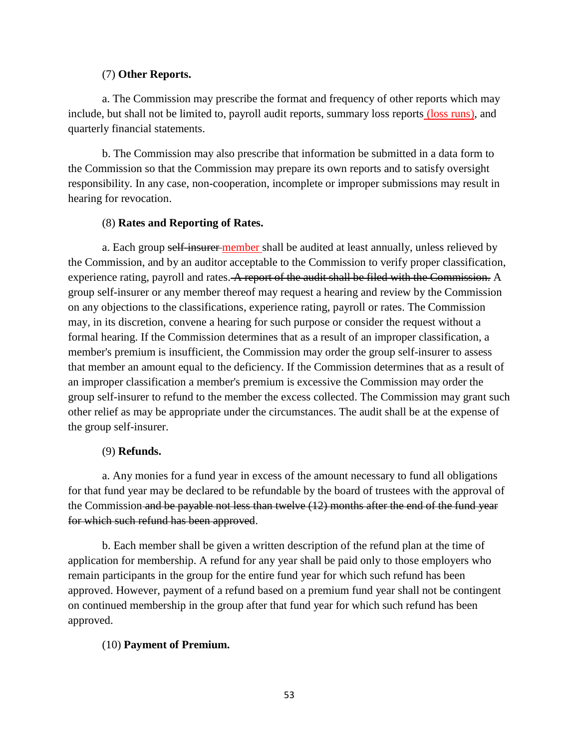## (7) **Other Reports.**

a. The Commission may prescribe the format and frequency of other reports which may include, but shall not be limited to, payroll audit reports, summary loss reports (loss runs), and quarterly financial statements.

b. The Commission may also prescribe that information be submitted in a data form to the Commission so that the Commission may prepare its own reports and to satisfy oversight responsibility. In any case, non-cooperation, incomplete or improper submissions may result in hearing for revocation.

## (8) **Rates and Reporting of Rates.**

a. Each group self-insurer-member shall be audited at least annually, unless relieved by the Commission, and by an auditor acceptable to the Commission to verify proper classification, experience rating, payroll and rates. A report of the audit shall be filed with the Commission. A group self-insurer or any member thereof may request a hearing and review by the Commission on any objections to the classifications, experience rating, payroll or rates. The Commission may, in its discretion, convene a hearing for such purpose or consider the request without a formal hearing. If the Commission determines that as a result of an improper classification, a member's premium is insufficient, the Commission may order the group self-insurer to assess that member an amount equal to the deficiency. If the Commission determines that as a result of an improper classification a member's premium is excessive the Commission may order the group self-insurer to refund to the member the excess collected. The Commission may grant such other relief as may be appropriate under the circumstances. The audit shall be at the expense of the group self-insurer.

## (9) **Refunds.**

a. Any monies for a fund year in excess of the amount necessary to fund all obligations for that fund year may be declared to be refundable by the board of trustees with the approval of the Commission and be payable not less than twelve (12) months after the end of the fund year for which such refund has been approved.

b. Each member shall be given a written description of the refund plan at the time of application for membership. A refund for any year shall be paid only to those employers who remain participants in the group for the entire fund year for which such refund has been approved. However, payment of a refund based on a premium fund year shall not be contingent on continued membership in the group after that fund year for which such refund has been approved.

## (10) **Payment of Premium.**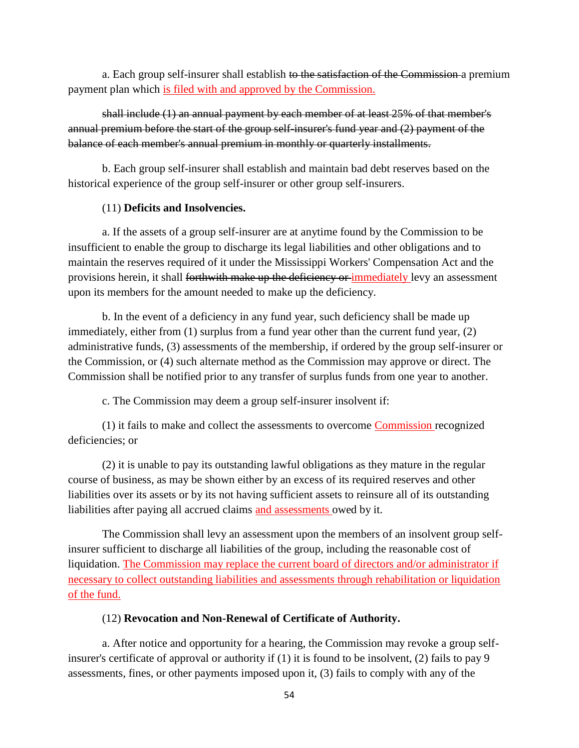a. Each group self-insurer shall establish to the satisfaction of the Commission a premium payment plan which is filed with and approved by the Commission.

shall include (1) an annual payment by each member of at least 25% of that member's annual premium before the start of the group self-insurer's fund year and (2) payment of the balance of each member's annual premium in monthly or quarterly installments.

b. Each group self-insurer shall establish and maintain bad debt reserves based on the historical experience of the group self-insurer or other group self-insurers.

## (11) **Deficits and Insolvencies.**

a. If the assets of a group self-insurer are at anytime found by the Commission to be insufficient to enable the group to discharge its legal liabilities and other obligations and to maintain the reserves required of it under the Mississippi Workers' Compensation Act and the provisions herein, it shall forthwith make up the deficiency or immediately levy an assessment upon its members for the amount needed to make up the deficiency.

b. In the event of a deficiency in any fund year, such deficiency shall be made up immediately, either from (1) surplus from a fund year other than the current fund year, (2) administrative funds, (3) assessments of the membership, if ordered by the group self-insurer or the Commission, or (4) such alternate method as the Commission may approve or direct. The Commission shall be notified prior to any transfer of surplus funds from one year to another.

c. The Commission may deem a group self-insurer insolvent if:

(1) it fails to make and collect the assessments to overcome Commission recognized deficiencies; or

(2) it is unable to pay its outstanding lawful obligations as they mature in the regular course of business, as may be shown either by an excess of its required reserves and other liabilities over its assets or by its not having sufficient assets to reinsure all of its outstanding liabilities after paying all accrued claims and assessments owed by it.

The Commission shall levy an assessment upon the members of an insolvent group selfinsurer sufficient to discharge all liabilities of the group, including the reasonable cost of liquidation. The Commission may replace the current board of directors and/or administrator if necessary to collect outstanding liabilities and assessments through rehabilitation or liquidation of the fund.

# (12) **Revocation and Non-Renewal of Certificate of Authority.**

a. After notice and opportunity for a hearing, the Commission may revoke a group selfinsurer's certificate of approval or authority if (1) it is found to be insolvent, (2) fails to pay 9 assessments, fines, or other payments imposed upon it, (3) fails to comply with any of the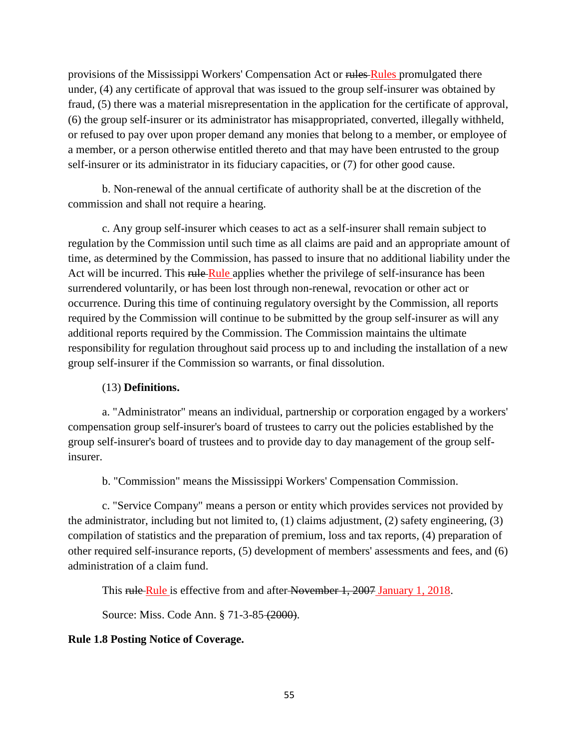provisions of the Mississippi Workers' Compensation Act or rules Rules promulgated there under, (4) any certificate of approval that was issued to the group self-insurer was obtained by fraud, (5) there was a material misrepresentation in the application for the certificate of approval, (6) the group self-insurer or its administrator has misappropriated, converted, illegally withheld, or refused to pay over upon proper demand any monies that belong to a member, or employee of a member, or a person otherwise entitled thereto and that may have been entrusted to the group self-insurer or its administrator in its fiduciary capacities, or (7) for other good cause.

b. Non-renewal of the annual certificate of authority shall be at the discretion of the commission and shall not require a hearing.

c. Any group self-insurer which ceases to act as a self-insurer shall remain subject to regulation by the Commission until such time as all claims are paid and an appropriate amount of time, as determined by the Commission, has passed to insure that no additional liability under the Act will be incurred. This rule Rule applies whether the privilege of self-insurance has been surrendered voluntarily, or has been lost through non-renewal, revocation or other act or occurrence. During this time of continuing regulatory oversight by the Commission, all reports required by the Commission will continue to be submitted by the group self-insurer as will any additional reports required by the Commission. The Commission maintains the ultimate responsibility for regulation throughout said process up to and including the installation of a new group self-insurer if the Commission so warrants, or final dissolution.

## (13) **Definitions.**

a. "Administrator" means an individual, partnership or corporation engaged by a workers' compensation group self-insurer's board of trustees to carry out the policies established by the group self-insurer's board of trustees and to provide day to day management of the group selfinsurer.

b. "Commission" means the Mississippi Workers' Compensation Commission.

c. "Service Company" means a person or entity which provides services not provided by the administrator, including but not limited to, (1) claims adjustment, (2) safety engineering, (3) compilation of statistics and the preparation of premium, loss and tax reports, (4) preparation of other required self-insurance reports, (5) development of members' assessments and fees, and (6) administration of a claim fund.

This rule Rule is effective from and after November 1, 2007 January 1, 2018.

Source: Miss. Code Ann. § 71-3-85 (2000).

# **Rule 1.8 Posting Notice of Coverage.**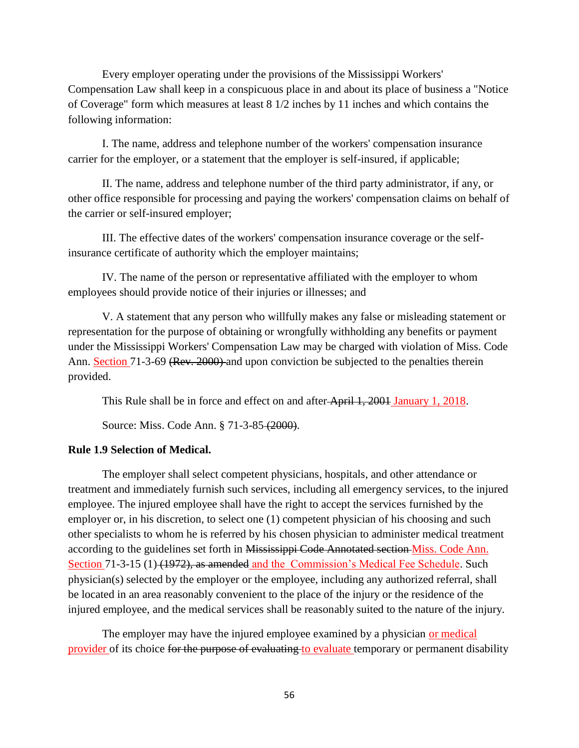Every employer operating under the provisions of the Mississippi Workers' Compensation Law shall keep in a conspicuous place in and about its place of business a "Notice of Coverage" form which measures at least 8 1/2 inches by 11 inches and which contains the following information:

I. The name, address and telephone number of the workers' compensation insurance carrier for the employer, or a statement that the employer is self-insured, if applicable;

II. The name, address and telephone number of the third party administrator, if any, or other office responsible for processing and paying the workers' compensation claims on behalf of the carrier or self-insured employer;

III. The effective dates of the workers' compensation insurance coverage or the selfinsurance certificate of authority which the employer maintains;

IV. The name of the person or representative affiliated with the employer to whom employees should provide notice of their injuries or illnesses; and

V. A statement that any person who willfully makes any false or misleading statement or representation for the purpose of obtaining or wrongfully withholding any benefits or payment under the Mississippi Workers' Compensation Law may be charged with violation of Miss. Code Ann. Section 71-3-69 (Rev. 2000) and upon conviction be subjected to the penalties therein provided.

This Rule shall be in force and effect on and after April 1, 2001 January 1, 2018.

Source: Miss. Code Ann. § 71-3-85 (2000).

### **Rule 1.9 Selection of Medical.**

The employer shall select competent physicians, hospitals, and other attendance or treatment and immediately furnish such services, including all emergency services, to the injured employee. The injured employee shall have the right to accept the services furnished by the employer or, in his discretion, to select one (1) competent physician of his choosing and such other specialists to whom he is referred by his chosen physician to administer medical treatment according to the guidelines set forth in Mississippi Code Annotated section Miss. Code Ann. Section 71-3-15 (1) (1972), as amended and the Commission's Medical Fee Schedule. Such physician(s) selected by the employer or the employee, including any authorized referral, shall be located in an area reasonably convenient to the place of the injury or the residence of the injured employee, and the medical services shall be reasonably suited to the nature of the injury.

The employer may have the injured employee examined by a physician or medical provider of its choice for the purpose of evaluating to evaluate temporary or permanent disability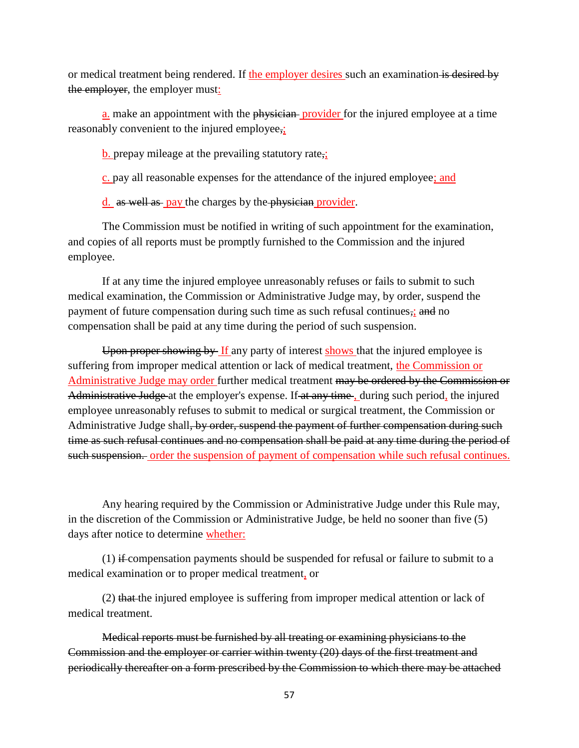or medical treatment being rendered. If the employer desires such an examination is desired by the employer, the employer must:

a. make an appointment with the physician-provider for the injured employee at a time reasonably convenient to the injured employee,;

**b.** prepay mileage at the prevailing statutory rate,

c. pay all reasonable expenses for the attendance of the injured employee; and

d. as well as pay the charges by the physician provider.

The Commission must be notified in writing of such appointment for the examination, and copies of all reports must be promptly furnished to the Commission and the injured employee.

If at any time the injured employee unreasonably refuses or fails to submit to such medical examination, the Commission or Administrative Judge may, by order, suspend the payment of future compensation during such time as such refusal continues,; and no compensation shall be paid at any time during the period of such suspension.

Upon proper showing by If any party of interest shows that the injured employee is suffering from improper medical attention or lack of medical treatment, the Commission or Administrative Judge may order further medical treatment may be ordered by the Commission or Administrative Judge at the employer's expense. If at any time, during such period, the injured employee unreasonably refuses to submit to medical or surgical treatment, the Commission or Administrative Judge shall<del>, by order, suspend the payment of further compensation during such</del> time as such refusal continues and no compensation shall be paid at any time during the period of such suspension. order the suspension of payment of compensation while such refusal continues.

Any hearing required by the Commission or Administrative Judge under this Rule may, in the discretion of the Commission or Administrative Judge, be held no sooner than five (5) days after notice to determine whether:

 $(1)$  if-compensation payments should be suspended for refusal or failure to submit to a medical examination or to proper medical treatment, or

(2) that the injured employee is suffering from improper medical attention or lack of medical treatment.

Medical reports must be furnished by all treating or examining physicians to the Commission and the employer or carrier within twenty (20) days of the first treatment and periodically thereafter on a form prescribed by the Commission to which there may be attached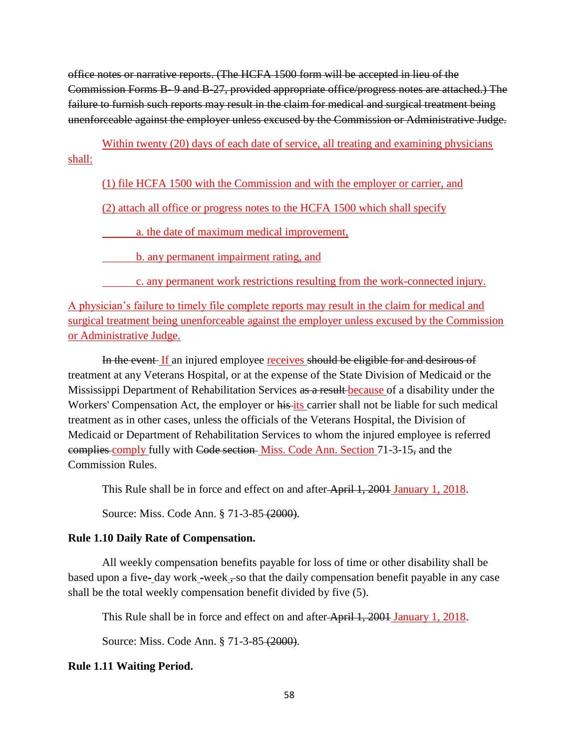office notes or narrative reports. (The HCFA 1500 form will be accepted in lieu of the Commission Forms B- 9 and B-27, provided appropriate office/progress notes are attached.) The failure to furnish such reports may result in the claim for medical and surgical treatment being unenforceable against the employer unless excused by the Commission or Administrative Judge.

Within twenty (20) days of each date of service, all treating and examining physicians shall:

# (1) file HCFA 1500 with the Commission and with the employer or carrier, and

(2) attach all office or progress notes to the HCFA 1500 which shall specify

a. the date of maximum medical improvement,

**b.** any permanent impairment rating, and

c. any permanent work restrictions resulting from the work-connected injury.

A physician's failure to timely file complete reports may result in the claim for medical and surgical treatment being unenforceable against the employer unless excused by the Commission or Administrative Judge.

In the event If an injured employee receives should be eligible for and desirous of treatment at any Veterans Hospital, or at the expense of the State Division of Medicaid or the Mississippi Department of Rehabilitation Services as a result because of a disability under the Workers' Compensation Act, the employer or his its carrier shall not be liable for such medical treatment as in other cases, unless the officials of the Veterans Hospital, the Division of Medicaid or Department of Rehabilitation Services to whom the injured employee is referred complies comply fully with Code section Miss. Code Ann. Section 71-3-15, and the Commission Rules.

This Rule shall be in force and effect on and after April 1, 2001 January 1, 2018.

Source: Miss. Code Ann. § 71-3-85 (2000).

# **Rule 1.10 Daily Rate of Compensation.**

All weekly compensation benefits payable for loss of time or other disability shall be based upon a five- day work -week , so that the daily compensation benefit payable in any case shall be the total weekly compensation benefit divided by five (5).

This Rule shall be in force and effect on and after April 1, 2001 January 1, 2018.

Source: Miss. Code Ann. § 71-3-85 (2000).

# **Rule 1.11 Waiting Period.**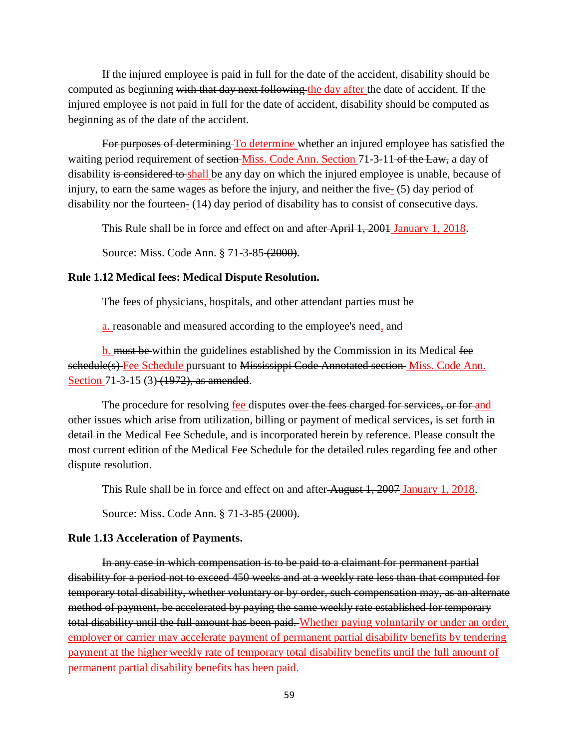If the injured employee is paid in full for the date of the accident, disability should be computed as beginning with that day next following the day after the date of accident. If the injured employee is not paid in full for the date of accident, disability should be computed as beginning as of the date of the accident.

For purposes of determining To determine whether an injured employee has satisfied the waiting period requirement of section Miss. Code Ann. Section 71-3-11 of the Law, a day of disability is considered to shall be any day on which the injured employee is unable, because of injury, to earn the same wages as before the injury, and neither the five- $(5)$  day period of disability nor the fourteen- (14) day period of disability has to consist of consecutive days.

This Rule shall be in force and effect on and after April 1, 2001 January 1, 2018.

Source: Miss. Code Ann. § 71-3-85 (2000).

### **Rule 1.12 Medical fees: Medical Dispute Resolution.**

The fees of physicians, hospitals, and other attendant parties must be

a. reasonable and measured according to the employee's need, and

b. must be within the guidelines established by the Commission in its Medical fee schedule(s) Fee Schedule pursuant to Mississippi Code Annotated section Miss. Code Ann. Section 71-3-15 (3) (1972), as amended.

The procedure for resolving fee disputes over the fees charged for services, or for and other issues which arise from utilization, billing or payment of medical services, is set forth in detail in the Medical Fee Schedule, and is incorporated herein by reference. Please consult the most current edition of the Medical Fee Schedule for the detailed rules regarding fee and other dispute resolution.

This Rule shall be in force and effect on and after August 1, 2007 January 1, 2018.

Source: Miss. Code Ann. § 71-3-85 (2000).

#### **Rule 1.13 Acceleration of Payments.**

In any case in which compensation is to be paid to a claimant for permanent partial disability for a period not to exceed 450 weeks and at a weekly rate less than that computed for temporary total disability, whether voluntary or by order, such compensation may, as an alternate method of payment, be accelerated by paying the same weekly rate established for temporary total disability until the full amount has been paid. Whether paying voluntarily or under an order, employer or carrier may accelerate payment of permanent partial disability benefits by tendering payment at the higher weekly rate of temporary total disability benefits until the full amount of permanent partial disability benefits has been paid.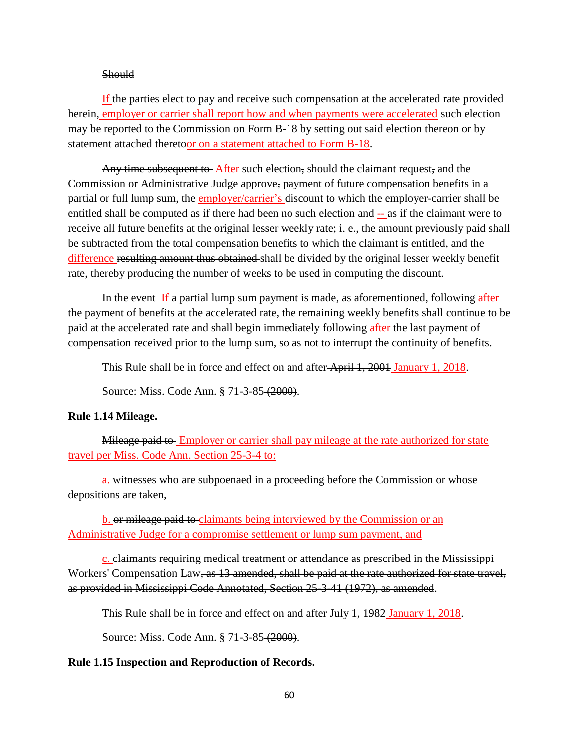#### **Should**

If the parties elect to pay and receive such compensation at the accelerated rate provided herein, employer or carrier shall report how and when payments were accelerated such election may be reported to the Commission on Form B-18 by setting out said election thereon or by statement attached theretoor on a statement attached to Form B-18.

Any time subsequent to After such election, should the claimant request, and the Commission or Administrative Judge approve, payment of future compensation benefits in a partial or full lump sum, the employer/carrier's discount to which the employer-carrier shall be entitled shall be computed as if there had been no such election and -- as if the claimant were to receive all future benefits at the original lesser weekly rate; i. e., the amount previously paid shall be subtracted from the total compensation benefits to which the claimant is entitled, and the difference resulting amount thus obtained shall be divided by the original lesser weekly benefit rate, thereby producing the number of weeks to be used in computing the discount.

In the event If a partial lump sum payment is made, as aforementioned, following after the payment of benefits at the accelerated rate, the remaining weekly benefits shall continue to be paid at the accelerated rate and shall begin immediately following after the last payment of compensation received prior to the lump sum, so as not to interrupt the continuity of benefits.

This Rule shall be in force and effect on and after April 1, 2001 January 1, 2018.

Source: Miss. Code Ann. § 71-3-85 (2000).

### **Rule 1.14 Mileage.**

Mileage paid to Employer or carrier shall pay mileage at the rate authorized for state travel per Miss. Code Ann. Section 25-3-4 to:

a. witnesses who are subpoenaed in a proceeding before the Commission or whose depositions are taken,

b. or mileage paid to claimants being interviewed by the Commission or an Administrative Judge for a compromise settlement or lump sum payment, and

c. claimants requiring medical treatment or attendance as prescribed in the Mississippi Workers' Compensation Law, as 13 amended, shall be paid at the rate authorized for state travel, as provided in Mississippi Code Annotated, Section 25-3-41 (1972), as amended.

This Rule shall be in force and effect on and after July 1, 1982 January 1, 2018.

Source: Miss. Code Ann. § 71-3-85 (2000).

### **Rule 1.15 Inspection and Reproduction of Records.**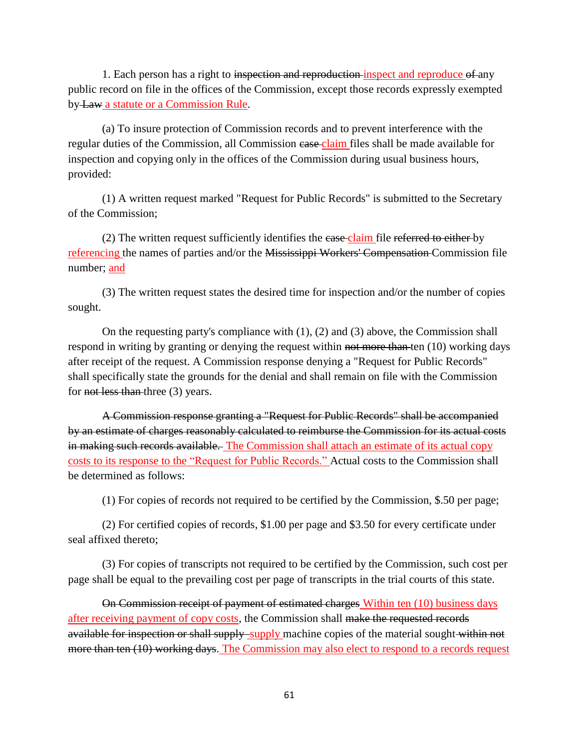1. Each person has a right to inspection and reproduction inspect and reproduce of any public record on file in the offices of the Commission, except those records expressly exempted by Law a statute or a Commission Rule.

(a) To insure protection of Commission records and to prevent interference with the regular duties of the Commission, all Commission case claim files shall be made available for inspection and copying only in the offices of the Commission during usual business hours, provided:

(1) A written request marked "Request for Public Records" is submitted to the Secretary of the Commission;

(2) The written request sufficiently identifies the ease claim file referred to either by referencing the names of parties and/or the Mississippi Workers' Compensation Commission file number; and

(3) The written request states the desired time for inspection and/or the number of copies sought.

On the requesting party's compliance with (1), (2) and (3) above, the Commission shall respond in writing by granting or denying the request within not more than ten  $(10)$  working days after receipt of the request. A Commission response denying a "Request for Public Records" shall specifically state the grounds for the denial and shall remain on file with the Commission for not less than three (3) years.

A Commission response granting a "Request for Public Records" shall be accompanied by an estimate of charges reasonably calculated to reimburse the Commission for its actual costs in making such records available. The Commission shall attach an estimate of its actual copy costs to its response to the "Request for Public Records." Actual costs to the Commission shall be determined as follows:

(1) For copies of records not required to be certified by the Commission, \$.50 per page;

(2) For certified copies of records, \$1.00 per page and \$3.50 for every certificate under seal affixed thereto;

(3) For copies of transcripts not required to be certified by the Commission, such cost per page shall be equal to the prevailing cost per page of transcripts in the trial courts of this state.

On Commission receipt of payment of estimated charges Within ten (10) business days after receiving payment of copy costs, the Commission shall make the requested records available for inspection or shall supply supply machine copies of the material sought within not more than ten (10) working days. The Commission may also elect to respond to a records request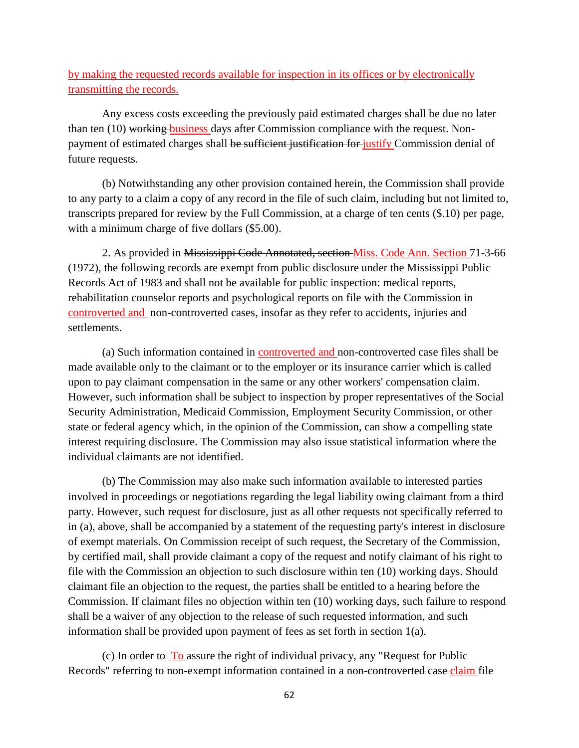by making the requested records available for inspection in its offices or by electronically transmitting the records.

Any excess costs exceeding the previously paid estimated charges shall be due no later than ten (10) working business days after Commission compliance with the request. Nonpayment of estimated charges shall be sufficient justification for justify Commission denial of future requests.

(b) Notwithstanding any other provision contained herein, the Commission shall provide to any party to a claim a copy of any record in the file of such claim, including but not limited to, transcripts prepared for review by the Full Commission, at a charge of ten cents (\$.10) per page, with a minimum charge of five dollars  $(\$5.00)$ .

2. As provided in Mississippi Code Annotated, section Miss. Code Ann. Section 71-3-66 (1972), the following records are exempt from public disclosure under the Mississippi Public Records Act of 1983 and shall not be available for public inspection: medical reports, rehabilitation counselor reports and psychological reports on file with the Commission in controverted and non-controverted cases, insofar as they refer to accidents, injuries and settlements.

(a) Such information contained in controverted and non-controverted case files shall be made available only to the claimant or to the employer or its insurance carrier which is called upon to pay claimant compensation in the same or any other workers' compensation claim. However, such information shall be subject to inspection by proper representatives of the Social Security Administration, Medicaid Commission, Employment Security Commission, or other state or federal agency which, in the opinion of the Commission, can show a compelling state interest requiring disclosure. The Commission may also issue statistical information where the individual claimants are not identified.

(b) The Commission may also make such information available to interested parties involved in proceedings or negotiations regarding the legal liability owing claimant from a third party. However, such request for disclosure, just as all other requests not specifically referred to in (a), above, shall be accompanied by a statement of the requesting party's interest in disclosure of exempt materials. On Commission receipt of such request, the Secretary of the Commission, by certified mail, shall provide claimant a copy of the request and notify claimant of his right to file with the Commission an objection to such disclosure within ten (10) working days. Should claimant file an objection to the request, the parties shall be entitled to a hearing before the Commission. If claimant files no objection within ten (10) working days, such failure to respond shall be a waiver of any objection to the release of such requested information, and such information shall be provided upon payment of fees as set forth in section 1(a).

(c) In order to To assure the right of individual privacy, any "Request for Public Records" referring to non-exempt information contained in a non-controverted case claim file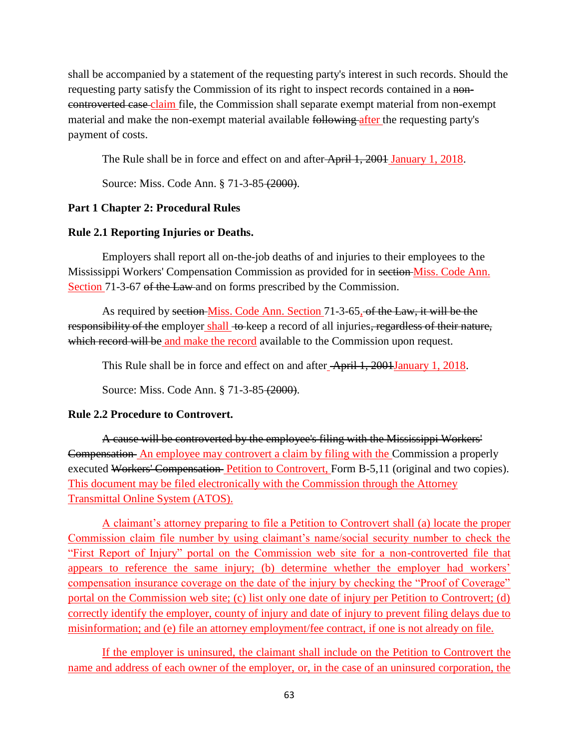shall be accompanied by a statement of the requesting party's interest in such records. Should the requesting party satisfy the Commission of its right to inspect records contained in a noncontroverted case claim file, the Commission shall separate exempt material from non-exempt material and make the non-exempt material available following after the requesting party's payment of costs.

The Rule shall be in force and effect on and after April 1, 2001 January 1, 2018.

Source: Miss. Code Ann. § 71-3-85 (2000).

# **Part 1 Chapter 2: Procedural Rules**

## **Rule 2.1 Reporting Injuries or Deaths.**

Employers shall report all on-the-job deaths of and injuries to their employees to the Mississippi Workers' Compensation Commission as provided for in section Miss. Code Ann. Section 71-3-67 of the Law and on forms prescribed by the Commission.

As required by section Miss. Code Ann. Section 71-3-65, of the Law, it will be the responsibility of the employer shall to keep a record of all injuries, regardless of their nature, which record will be and make the record available to the Commission upon request.

This Rule shall be in force and effect on and after April 1, 2001January 1, 2018.

Source: Miss. Code Ann. § 71-3-85 (2000).

## **Rule 2.2 Procedure to Controvert.**

A cause will be controverted by the employee's filing with the Mississippi Workers' Compensation An employee may controvert a claim by filing with the Commission a properly executed Workers' Compensation Petition to Controvert, Form B-5,11 (original and two copies). This document may be filed electronically with the Commission through the Attorney Transmittal Online System (ATOS).

A claimant's attorney preparing to file a Petition to Controvert shall (a) locate the proper Commission claim file number by using claimant's name/social security number to check the "First Report of Injury" portal on the Commission web site for a non-controverted file that appears to reference the same injury; (b) determine whether the employer had workers' compensation insurance coverage on the date of the injury by checking the "Proof of Coverage" portal on the Commission web site; (c) list only one date of injury per Petition to Controvert; (d) correctly identify the employer, county of injury and date of injury to prevent filing delays due to misinformation; and (e) file an attorney employment/fee contract, if one is not already on file.

If the employer is uninsured, the claimant shall include on the Petition to Controvert the name and address of each owner of the employer, or, in the case of an uninsured corporation, the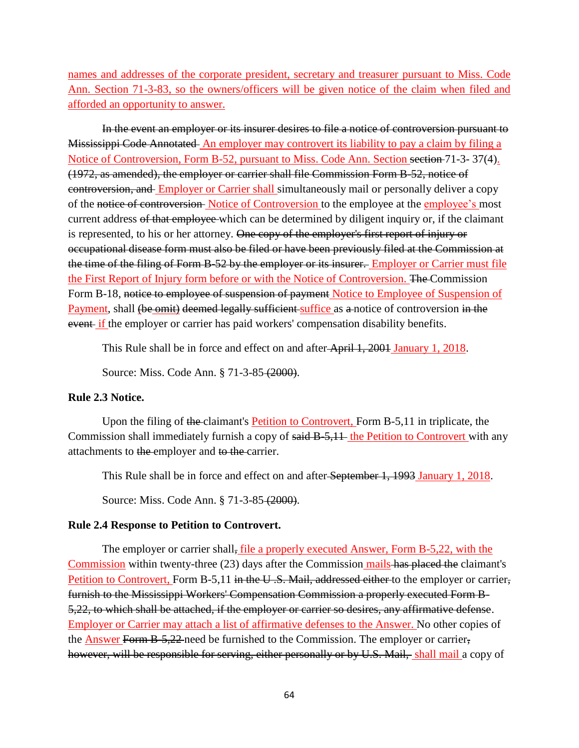names and addresses of the corporate president, secretary and treasurer pursuant to Miss. Code Ann. Section 71-3-83, so the owners/officers will be given notice of the claim when filed and afforded an opportunity to answer.

In the event an employer or its insurer desires to file a notice of controversion pursuant to Mississippi Code Annotated An employer may controvert its liability to pay a claim by filing a Notice of Controversion, Form B-52, pursuant to Miss. Code Ann. Section section 71-3- 37(4). (1972, as amended), the employer or carrier shall file Commission Form B-52, notice of controversion, and Employer or Carrier shall simultaneously mail or personally deliver a copy of the notice of controversion Notice of Controversion to the employee at the employee's most current address of that employee which can be determined by diligent inquiry or, if the claimant is represented, to his or her attorney. One copy of the employer's first report of injury or occupational disease form must also be filed or have been previously filed at the Commission at the time of the filing of Form B-52 by the employer or its insurer. Employer or Carrier must file the First Report of Injury form before or with the Notice of Controversion. The Commission Form B-18, notice to employee of suspension of payment Notice to Employee of Suspension of Payment, shall (be omit) deemed legally sufficient suffice as a notice of controversion in the event if the employer or carrier has paid workers' compensation disability benefits.

This Rule shall be in force and effect on and after April 1, 2001 January 1, 2018.

Source: Miss. Code Ann. § 71-3-85 (2000).

#### **Rule 2.3 Notice.**

Upon the filing of the claimant's Petition to Controvert, Form B-5,11 in triplicate, the Commission shall immediately furnish a copy of said B-5,11 the Petition to Controvert with any attachments to the employer and to the carrier.

This Rule shall be in force and effect on and after September 1, 1993 January 1, 2018.

Source: Miss. Code Ann. § 71-3-85 (2000).

### **Rule 2.4 Response to Petition to Controvert.**

The employer or carrier shall, file a properly executed Answer, Form B-5,22, with the Commission within twenty-three (23) days after the Commission mails has placed the claimant's Petition to Controvert, Form B-5,11 in the U.S. Mail, addressed either to the employer or carrier, furnish to the Mississippi Workers' Compensation Commission a properly executed Form B-5,22, to which shall be attached, if the employer or carrier so desires, any affirmative defense. Employer or Carrier may attach a list of affirmative defenses to the Answer. No other copies of the Answer Form B-5,22 need be furnished to the Commission. The employer or carrier, however, will be responsible for serving, either personally or by U.S. Mail, shall mail a copy of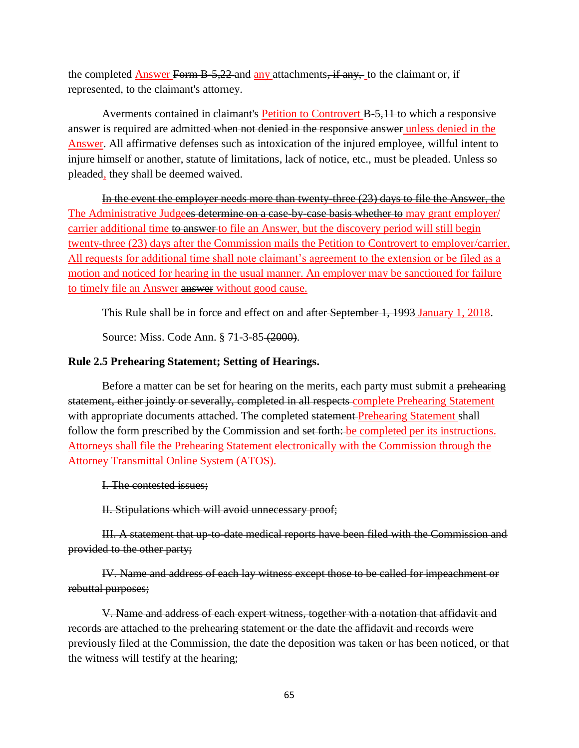the completed Answer Form B-5,22 and any attachments, if any, to the claimant or, if represented, to the claimant's attorney.

Averments contained in claimant's Petition to Controvert B-5,11 to which a responsive answer is required are admitted when not denied in the responsive answer unless denied in the Answer. All affirmative defenses such as intoxication of the injured employee, willful intent to injure himself or another, statute of limitations, lack of notice, etc., must be pleaded. Unless so pleaded, they shall be deemed waived.

In the event the employer needs more than twenty-three (23) days to file the Answer, the The Administrative Judgees determine on a case-by-case basis whether to may grant employer/ carrier additional time to answer to file an Answer, but the discovery period will still begin twenty-three (23) days after the Commission mails the Petition to Controvert to employer/carrier. All requests for additional time shall note claimant's agreement to the extension or be filed as a motion and noticed for hearing in the usual manner. An employer may be sanctioned for failure to timely file an Answer answer without good cause.

This Rule shall be in force and effect on and after September 1, 1993 January 1, 2018.

Source: Miss. Code Ann. § 71-3-85 (2000).

# **Rule 2.5 Prehearing Statement; Setting of Hearings.**

Before a matter can be set for hearing on the merits, each party must submit a prehearing statement, either jointly or severally, completed in all respects complete Prehearing Statement with appropriate documents attached. The completed statement Prehearing Statement shall follow the form prescribed by the Commission and set forth: be completed per its instructions. Attorneys shall file the Prehearing Statement electronically with the Commission through the Attorney Transmittal Online System (ATOS).

I. The contested issues;

II. Stipulations which will avoid unnecessary proof;

III. A statement that up-to-date medical reports have been filed with the Commission and provided to the other party;

IV. Name and address of each lay witness except those to be called for impeachment or rebuttal purposes;

V. Name and address of each expert witness, together with a notation that affidavit and records are attached to the prehearing statement or the date the affidavit and records were previously filed at the Commission, the date the deposition was taken or has been noticed, or that the witness will testify at the hearing;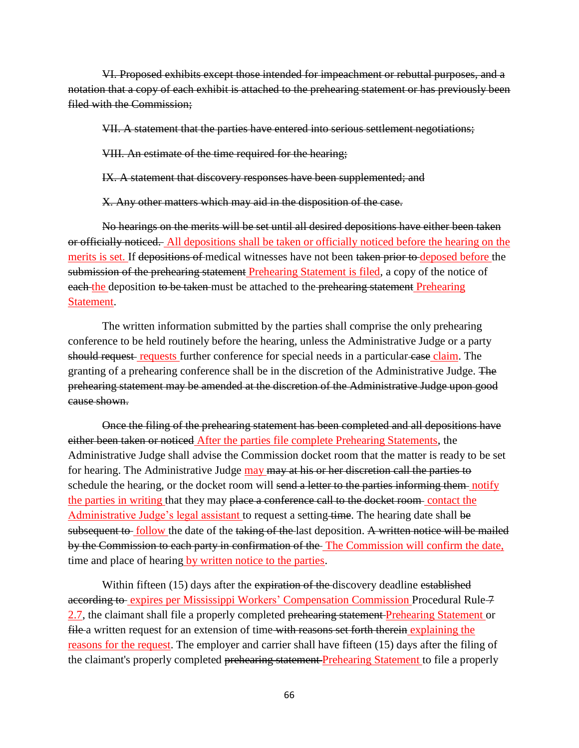VI. Proposed exhibits except those intended for impeachment or rebuttal purposes, and a notation that a copy of each exhibit is attached to the prehearing statement or has previously been filed with the Commission;

VII. A statement that the parties have entered into serious settlement negotiations;

VIII. An estimate of the time required for the hearing;

IX. A statement that discovery responses have been supplemented; and

X. Any other matters which may aid in the disposition of the case.

No hearings on the merits will be set until all desired depositions have either been taken or officially noticed. All depositions shall be taken or officially noticed before the hearing on the merits is set. If depositions of medical witnesses have not been taken prior to deposed before the submission of the prehearing statement Prehearing Statement is filed, a copy of the notice of each the deposition to be taken must be attached to the prehearing statement Prehearing Statement.

The written information submitted by the parties shall comprise the only prehearing conference to be held routinely before the hearing, unless the Administrative Judge or a party should request requests further conference for special needs in a particular case claim. The granting of a prehearing conference shall be in the discretion of the Administrative Judge. The prehearing statement may be amended at the discretion of the Administrative Judge upon good cause shown.

Once the filing of the prehearing statement has been completed and all depositions have either been taken or noticed After the parties file complete Prehearing Statements, the Administrative Judge shall advise the Commission docket room that the matter is ready to be set for hearing. The Administrative Judge may may at his or her discretion call the parties to schedule the hearing, or the docket room will send a letter to the parties informing them notify the parties in writing that they may place a conference call to the docket room contact the Administrative Judge's legal assistant to request a setting time. The hearing date shall be subsequent to follow the date of the taking of the last deposition. A written notice will be mailed by the Commission to each party in confirmation of the The Commission will confirm the date, time and place of hearing by written notice to the parties.

Within fifteen (15) days after the expiration of the discovery deadline established according to expires per Mississippi Workers' Compensation Commission Procedural Rule 7 2.7, the claimant shall file a properly completed prehearing statement Prehearing Statement or file a written request for an extension of time with reasons set forth therein explaining the reasons for the request. The employer and carrier shall have fifteen (15) days after the filing of the claimant's properly completed prehearing statement Prehearing Statement to file a properly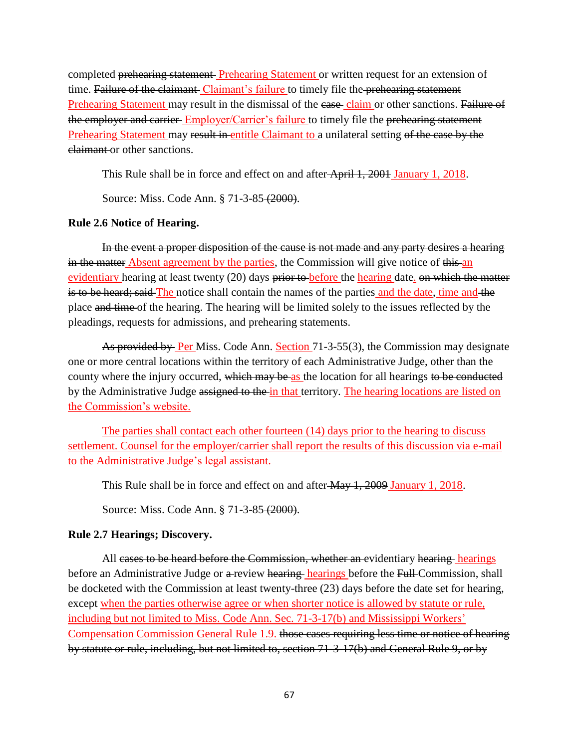completed prehearing statement Prehearing Statement or written request for an extension of time. Failure of the claimant Claimant's failure to timely file the prehearing statement Prehearing Statement may result in the dismissal of the case claim or other sanctions. Failure of the employer and carrier Employer/Carrier's failure to timely file the prehearing statement Prehearing Statement may result in entitle Claimant to a unilateral setting of the case by the claimant or other sanctions.

This Rule shall be in force and effect on and after April 1, 2001 January 1, 2018.

Source: Miss. Code Ann. § 71-3-85 (2000).

## **Rule 2.6 Notice of Hearing.**

In the event a proper disposition of the cause is not made and any party desires a hearing in the matter Absent agreement by the parties, the Commission will give notice of this an evidentiary hearing at least twenty (20) days prior to before the hearing date. on which the matter is to be heard; said The notice shall contain the names of the parties and the date, time and the place and time of the hearing. The hearing will be limited solely to the issues reflected by the pleadings, requests for admissions, and prehearing statements.

As provided by Per Miss. Code Ann. Section 71-3-55(3), the Commission may designate one or more central locations within the territory of each Administrative Judge, other than the county where the injury occurred, which may be as the location for all hearings to be conducted by the Administrative Judge assigned to the in that territory. The hearing locations are listed on the Commission's website.

The parties shall contact each other fourteen (14) days prior to the hearing to discuss settlement. Counsel for the employer/carrier shall report the results of this discussion via e-mail to the Administrative Judge's legal assistant.

This Rule shall be in force and effect on and after  $\frac{\text{Max 1, 2009 January 1, 2018}}{1}$ .

Source: Miss. Code Ann. § 71-3-85 (2000).

### **Rule 2.7 Hearings; Discovery.**

All cases to be heard before the Commission, whether an evidentiary hearing hearings before an Administrative Judge or a review hearing hearings before the Full Commission, shall be docketed with the Commission at least twenty-three (23) days before the date set for hearing, except when the parties otherwise agree or when shorter notice is allowed by statute or rule, including but not limited to Miss. Code Ann. Sec. 71-3-17(b) and Mississippi Workers' Compensation Commission General Rule 1.9. those cases requiring less time or notice of hearing by statute or rule, including, but not limited to, section 71-3-17(b) and General Rule 9, or by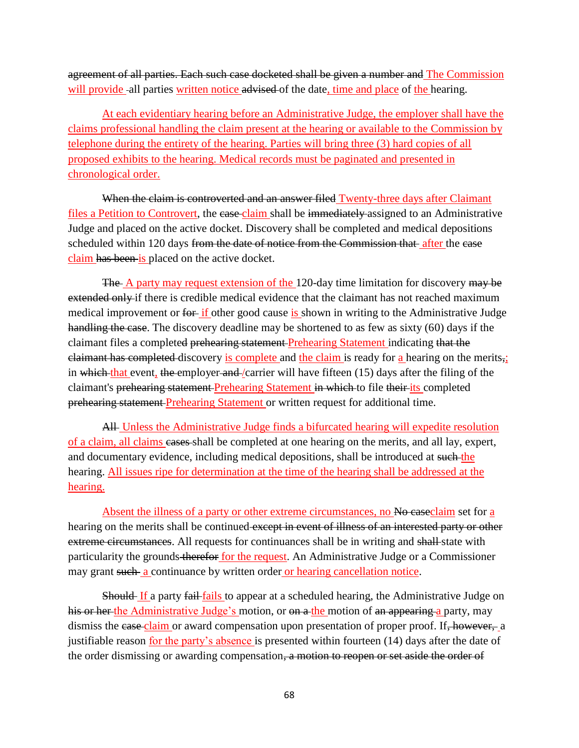agreement of all parties. Each such case docketed shall be given a number and The Commission will provide -all parties written notice advised of the date, time and place of the hearing.

At each evidentiary hearing before an Administrative Judge, the employer shall have the claims professional handling the claim present at the hearing or available to the Commission by telephone during the entirety of the hearing. Parties will bring three (3) hard copies of all proposed exhibits to the hearing. Medical records must be paginated and presented in chronological order.

When the claim is controverted and an answer filed Twenty-three days after Claimant files a Petition to Controvert, the case claim shall be immediately assigned to an Administrative Judge and placed on the active docket. Discovery shall be completed and medical depositions scheduled within 120 days from the date of notice from the Commission that after the case claim has been is placed on the active docket.

The A party may request extension of the 120-day time limitation for discovery may be extended only if there is credible medical evidence that the claimant has not reached maximum medical improvement or for if other good cause is shown in writing to the Administrative Judge handling the case. The discovery deadline may be shortened to as few as sixty (60) days if the claimant files a completed prehearing statement Prehearing Statement indicating that the claimant has completed discovery is complete and the claim is ready for a hearing on the merits,; in which that event, the employer and /carrier will have fifteen (15) days after the filing of the claimant's prehearing statement Prehearing Statement in which to file their its completed prehearing statement Prehearing Statement or written request for additional time.

All Unless the Administrative Judge finds a bifurcated hearing will expedite resolution of a claim, all claims cases shall be completed at one hearing on the merits, and all lay, expert, and documentary evidence, including medical depositions, shall be introduced at such the hearing. All issues ripe for determination at the time of the hearing shall be addressed at the hearing.

Absent the illness of a party or other extreme circumstances, no No caseclaim set for a hearing on the merits shall be continued except in event of illness of an interested party or other extreme circumstances. All requests for continuances shall be in writing and shall-state with particularity the grounds therefor for the request. An Administrative Judge or a Commissioner may grant such a continuance by written order or hearing cancellation notice.

Should If a party fail-fails to appear at a scheduled hearing, the Administrative Judge on his or her the Administrative Judge's motion, or on a the motion of an appearing a party, may dismiss the ease claim or award compensation upon presentation of proper proof. If, however, a justifiable reason for the party's absence is presented within fourteen (14) days after the date of the order dismissing or awarding compensation, a motion to reopen or set aside the order of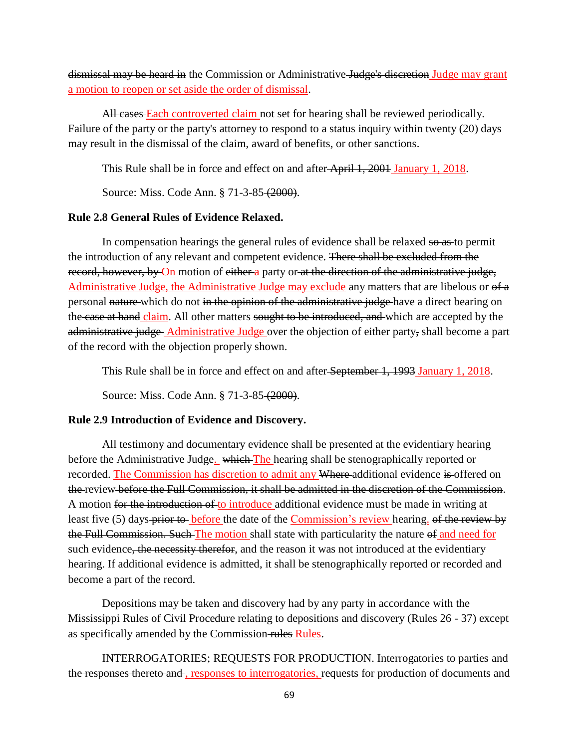dismissal may be heard in the Commission or Administrative Judge's discretion Judge may grant a motion to reopen or set aside the order of dismissal.

All cases Each controverted claim not set for hearing shall be reviewed periodically. Failure of the party or the party's attorney to respond to a status inquiry within twenty (20) days may result in the dismissal of the claim, award of benefits, or other sanctions.

This Rule shall be in force and effect on and after April 1, 2001 January 1, 2018.

Source: Miss. Code Ann. § 71-3-85 (2000).

# **Rule 2.8 General Rules of Evidence Relaxed.**

In compensation hearings the general rules of evidence shall be relaxed so as to permit the introduction of any relevant and competent evidence. There shall be excluded from the record, however, by On motion of either a party or at the direction of the administrative judge, Administrative Judge, the Administrative Judge may exclude any matters that are libelous or of a personal nature which do not in the opinion of the administrative judge have a direct bearing on the case at hand claim. All other matters sought to be introduced, and which are accepted by the administrative judge Administrative Judge over the objection of either party, shall become a part of the record with the objection properly shown.

This Rule shall be in force and effect on and after September 1, 1993 January 1, 2018.

Source: Miss. Code Ann. § 71-3-85 (2000).

# **Rule 2.9 Introduction of Evidence and Discovery.**

All testimony and documentary evidence shall be presented at the evidentiary hearing before the Administrative Judge. which The hearing shall be stenographically reported or recorded. The Commission has discretion to admit any Where-additional evidence is offered on the review before the Full Commission, it shall be admitted in the discretion of the Commission. A motion for the introduction of to introduce additional evidence must be made in writing at least five (5) days prior to before the date of the Commission's review hearing. of the review by the Full Commission. Such The motion shall state with particularity the nature of and need for such evidence, the necessity therefor, and the reason it was not introduced at the evidentiary hearing. If additional evidence is admitted, it shall be stenographically reported or recorded and become a part of the record.

Depositions may be taken and discovery had by any party in accordance with the Mississippi Rules of Civil Procedure relating to depositions and discovery (Rules 26 - 37) except as specifically amended by the Commission-rules Rules.

INTERROGATORIES; REQUESTS FOR PRODUCTION. Interrogatories to parties and the responses thereto and , responses to interrogatories, requests for production of documents and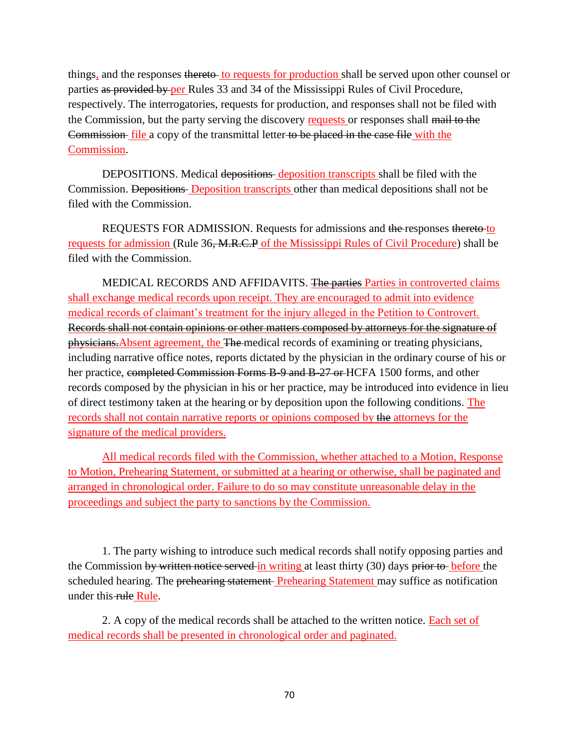things, and the responses thereto- to requests for production shall be served upon other counsel or parties as provided by per Rules 33 and 34 of the Mississippi Rules of Civil Procedure, respectively. The interrogatories, requests for production, and responses shall not be filed with the Commission, but the party serving the discovery requests or responses shall mail to the Commission-file a copy of the transmittal letter to be placed in the case file with the Commission.

DEPOSITIONS. Medical depositions deposition transcripts shall be filed with the Commission. Depositions Deposition transcripts other than medical depositions shall not be filed with the Commission.

REQUESTS FOR ADMISSION. Requests for admissions and the responses thereto to requests for admission (Rule 36, M.R.C.P of the Mississippi Rules of Civil Procedure) shall be filed with the Commission.

MEDICAL RECORDS AND AFFIDAVITS. The parties Parties in controverted claims shall exchange medical records upon receipt. They are encouraged to admit into evidence medical records of claimant's treatment for the injury alleged in the Petition to Controvert. Records shall not contain opinions or other matters composed by attorneys for the signature of physicians.Absent agreement, the The medical records of examining or treating physicians, including narrative office notes, reports dictated by the physician in the ordinary course of his or her practice, completed Commission Forms B-9 and B-27 or HCFA 1500 forms, and other records composed by the physician in his or her practice, may be introduced into evidence in lieu of direct testimony taken at the hearing or by deposition upon the following conditions. The records shall not contain narrative reports or opinions composed by the attorneys for the signature of the medical providers.

All medical records filed with the Commission, whether attached to a Motion, Response to Motion, Prehearing Statement, or submitted at a hearing or otherwise, shall be paginated and arranged in chronological order. Failure to do so may constitute unreasonable delay in the proceedings and subject the party to sanctions by the Commission.

1. The party wishing to introduce such medical records shall notify opposing parties and the Commission by written notice served in writing at least thirty (30) days prior to before the scheduled hearing. The prehearing statement Prehearing Statement may suffice as notification under this rule Rule.

2. A copy of the medical records shall be attached to the written notice. Each set of medical records shall be presented in chronological order and paginated.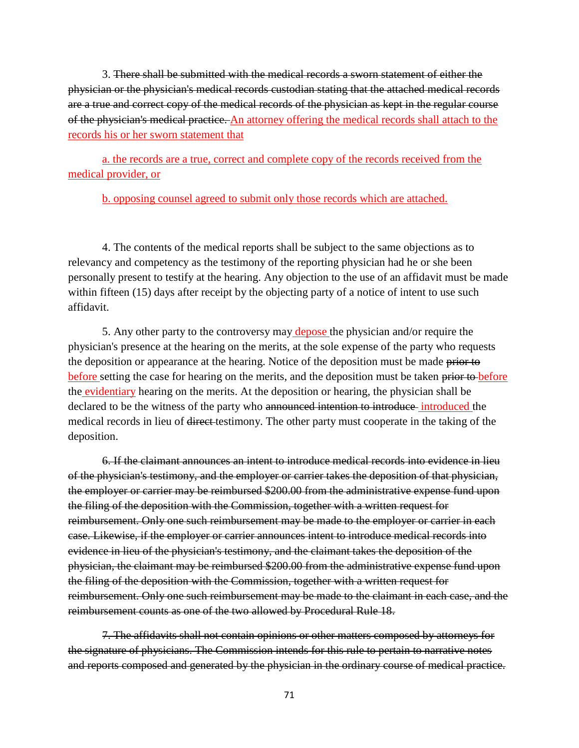3. There shall be submitted with the medical records a sworn statement of either the physician or the physician's medical records custodian stating that the attached medical records are a true and correct copy of the medical records of the physician as kept in the regular course of the physician's medical practice. An attorney offering the medical records shall attach to the records his or her sworn statement that

a. the records are a true, correct and complete copy of the records received from the medical provider, or

b. opposing counsel agreed to submit only those records which are attached.

4. The contents of the medical reports shall be subject to the same objections as to relevancy and competency as the testimony of the reporting physician had he or she been personally present to testify at the hearing. Any objection to the use of an affidavit must be made within fifteen (15) days after receipt by the objecting party of a notice of intent to use such affidavit.

5. Any other party to the controversy may depose the physician and/or require the physician's presence at the hearing on the merits, at the sole expense of the party who requests the deposition or appearance at the hearing. Notice of the deposition must be made prior to before setting the case for hearing on the merits, and the deposition must be taken prior to before the evidentiary hearing on the merits. At the deposition or hearing, the physician shall be declared to be the witness of the party who announced intention to introduce introduced the medical records in lieu of direct testimony. The other party must cooperate in the taking of the deposition.

6. If the claimant announces an intent to introduce medical records into evidence in lieu of the physician's testimony, and the employer or carrier takes the deposition of that physician, the employer or carrier may be reimbursed \$200.00 from the administrative expense fund upon the filing of the deposition with the Commission, together with a written request for reimbursement. Only one such reimbursement may be made to the employer or carrier in each case. Likewise, if the employer or carrier announces intent to introduce medical records into evidence in lieu of the physician's testimony, and the claimant takes the deposition of the physician, the claimant may be reimbursed \$200.00 from the administrative expense fund upon the filing of the deposition with the Commission, together with a written request for reimbursement. Only one such reimbursement may be made to the claimant in each case, and the reimbursement counts as one of the two allowed by Procedural Rule 18.

7. The affidavits shall not contain opinions or other matters composed by attorneys for the signature of physicians. The Commission intends for this rule to pertain to narrative notes and reports composed and generated by the physician in the ordinary course of medical practice.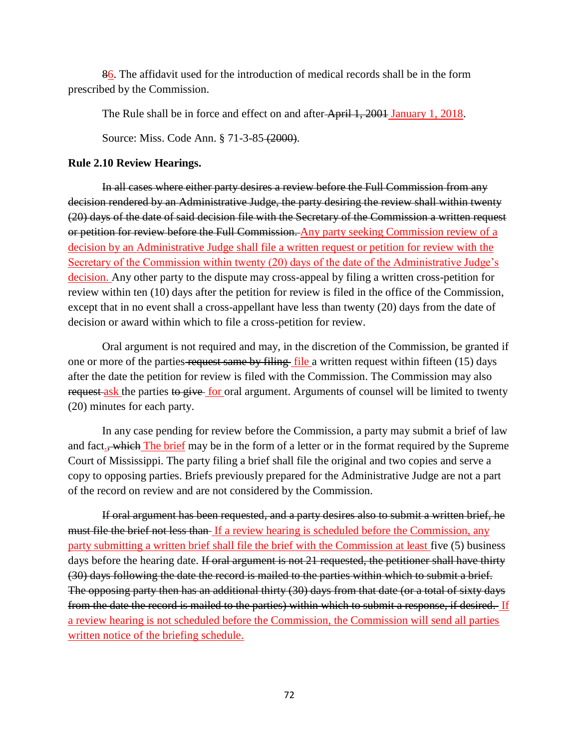86. The affidavit used for the introduction of medical records shall be in the form prescribed by the Commission.

The Rule shall be in force and effect on and after April 1, 2001 January 1, 2018.

Source: Miss. Code Ann. § 71-3-85 (2000).

### **Rule 2.10 Review Hearings.**

In all cases where either party desires a review before the Full Commission from any decision rendered by an Administrative Judge, the party desiring the review shall within twenty (20) days of the date of said decision file with the Secretary of the Commission a written request or petition for review before the Full Commission. Any party seeking Commission review of a decision by an Administrative Judge shall file a written request or petition for review with the Secretary of the Commission within twenty (20) days of the date of the Administrative Judge's decision. Any other party to the dispute may cross-appeal by filing a written cross-petition for review within ten (10) days after the petition for review is filed in the office of the Commission, except that in no event shall a cross-appellant have less than twenty (20) days from the date of decision or award within which to file a cross-petition for review.

Oral argument is not required and may, in the discretion of the Commission, be granted if one or more of the parties request same by filing  $file$  a written request within fifteen (15) days after the date the petition for review is filed with the Commission. The Commission may also request ask the parties to give for oral argument. Arguments of counsel will be limited to twenty (20) minutes for each party.

In any case pending for review before the Commission, a party may submit a brief of law and fact.<sup>Which</sup> The brief may be in the form of a letter or in the format required by the Supreme Court of Mississippi. The party filing a brief shall file the original and two copies and serve a copy to opposing parties. Briefs previously prepared for the Administrative Judge are not a part of the record on review and are not considered by the Commission.

If oral argument has been requested, and a party desires also to submit a written brief, he must file the brief not less than If a review hearing is scheduled before the Commission, any party submitting a written brief shall file the brief with the Commission at least five (5) business days before the hearing date. If oral argument is not 21 requested, the petitioner shall have thirty (30) days following the date the record is mailed to the parties within which to submit a brief. The opposing party then has an additional thirty (30) days from that date (or a total of sixty days from the date the record is mailed to the parties) within which to submit a response, if desired. If a review hearing is not scheduled before the Commission, the Commission will send all parties written notice of the briefing schedule.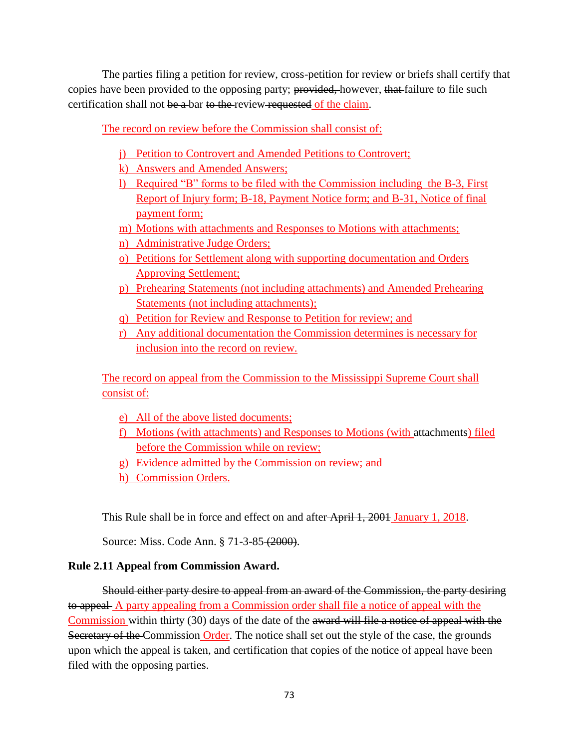The parties filing a petition for review, cross-petition for review or briefs shall certify that copies have been provided to the opposing party; provided, however, that failure to file such certification shall not be a bar to the review requested of the claim.

The record on review before the Commission shall consist of:

- j) Petition to Controvert and Amended Petitions to Controvert;
- k) Answers and Amended Answers;
- l) Required "B" forms to be filed with the Commission including the B-3, First Report of Injury form; B-18, Payment Notice form; and B-31, Notice of final payment form;
- m) Motions with attachments and Responses to Motions with attachments;
- n) Administrative Judge Orders;
- o) Petitions for Settlement along with supporting documentation and Orders Approving Settlement;
- p) Prehearing Statements (not including attachments) and Amended Prehearing Statements (not including attachments);
- q) Petition for Review and Response to Petition for review; and
- r) Any additional documentation the Commission determines is necessary for inclusion into the record on review.

The record on appeal from the Commission to the Mississippi Supreme Court shall consist of:

- e) All of the above listed documents;
- f) Motions (with attachments) and Responses to Motions (with attachments) filed before the Commission while on review;
- g) Evidence admitted by the Commission on review; and
- h) Commission Orders.

This Rule shall be in force and effect on and after April 1, 2001 January 1, 2018.

Source: Miss. Code Ann. § 71-3-85 (2000).

# **Rule 2.11 Appeal from Commission Award.**

Should either party desire to appeal from an award of the Commission, the party desiring to appeal A party appealing from a Commission order shall file a notice of appeal with the Commission within thirty (30) days of the date of the award will file a notice of appeal with the Secretary of the Commission Order. The notice shall set out the style of the case, the grounds upon which the appeal is taken, and certification that copies of the notice of appeal have been filed with the opposing parties.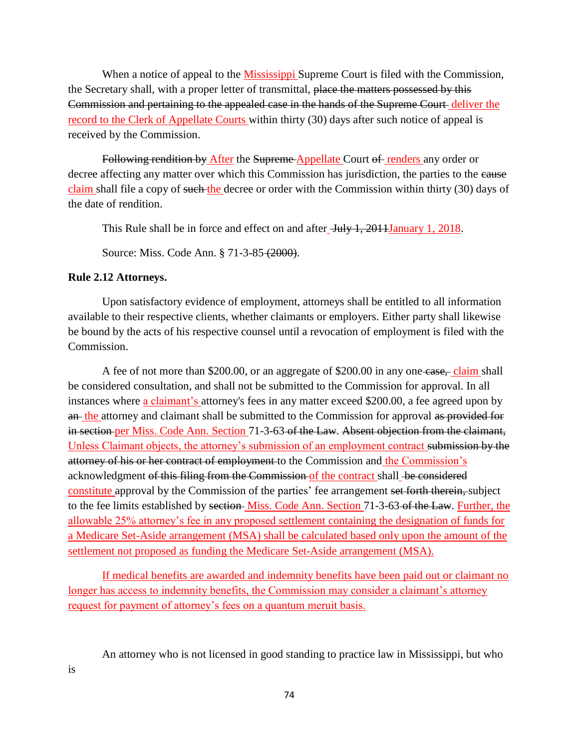When a notice of appeal to the Mississippi Supreme Court is filed with the Commission, the Secretary shall, with a proper letter of transmittal, place the matters possessed by this Commission and pertaining to the appealed case in the hands of the Supreme Court deliver the record to the Clerk of Appellate Courts within thirty (30) days after such notice of appeal is received by the Commission.

Following rendition by After the Supreme Appellate Court of renders any order or decree affecting any matter over which this Commission has jurisdiction, the parties to the eause claim shall file a copy of such the decree or order with the Commission within thirty (30) days of the date of rendition.

This Rule shall be in force and effect on and after <del>July 1, 2011 January 1, 2018</del>.

Source: Miss. Code Ann. § 71-3-85 (2000).

# **Rule 2.12 Attorneys.**

Upon satisfactory evidence of employment, attorneys shall be entitled to all information available to their respective clients, whether claimants or employers. Either party shall likewise be bound by the acts of his respective counsel until a revocation of employment is filed with the Commission.

A fee of not more than \$200.00, or an aggregate of \$200.00 in any one-case, claim shall be considered consultation, and shall not be submitted to the Commission for approval. In all instances where a claimant's attorney's fees in any matter exceed \$200.00, a fee agreed upon by an the attorney and claimant shall be submitted to the Commission for approval as provided for in section per Miss. Code Ann. Section 71-3-63 of the Law. Absent objection from the claimant, Unless Claimant objects, the attorney's submission of an employment contract submission by the attorney of his or her contract of employment to the Commission and the Commission's acknowledgment of this filing from the Commission of the contract shall be considered constitute approval by the Commission of the parties' fee arrangement set forth therein, subject to the fee limits established by section Miss. Code Ann. Section 71-3-63 of the Law. Further, the allowable 25% attorney's fee in any proposed settlement containing the designation of funds for a Medicare Set-Aside arrangement (MSA) shall be calculated based only upon the amount of the settlement not proposed as funding the Medicare Set-Aside arrangement (MSA).

If medical benefits are awarded and indemnity benefits have been paid out or claimant no longer has access to indemnity benefits, the Commission may consider a claimant's attorney request for payment of attorney's fees on a quantum meruit basis.

An attorney who is not licensed in good standing to practice law in Mississippi, but who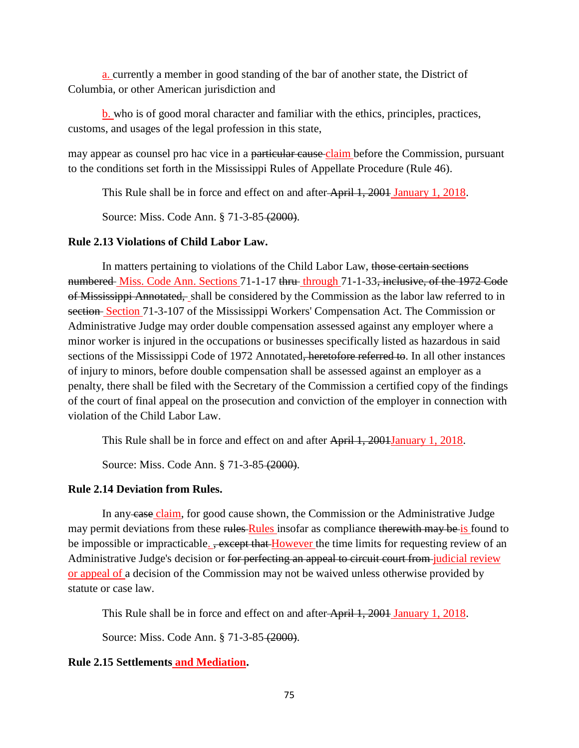a. currently a member in good standing of the bar of another state, the District of Columbia, or other American jurisdiction and

b. who is of good moral character and familiar with the ethics, principles, practices, customs, and usages of the legal profession in this state,

may appear as counsel pro hac vice in a particular cause claim before the Commission, pursuant to the conditions set forth in the Mississippi Rules of Appellate Procedure (Rule 46).

This Rule shall be in force and effect on and after April 1, 2001 January 1, 2018.

Source: Miss. Code Ann. § 71-3-85 (2000).

# **Rule 2.13 Violations of Child Labor Law.**

In matters pertaining to violations of the Child Labor Law, those certain sections numbered Miss. Code Ann. Sections 71-1-17 thru through 71-1-33, inclusive, of the 1972 Code of Mississippi Annotated, shall be considered by the Commission as the labor law referred to in section Section 71-3-107 of the Mississippi Workers' Compensation Act. The Commission or Administrative Judge may order double compensation assessed against any employer where a minor worker is injured in the occupations or businesses specifically listed as hazardous in said sections of the Mississippi Code of 1972 Annotated<del>, heretofore referred to</del>. In all other instances of injury to minors, before double compensation shall be assessed against an employer as a penalty, there shall be filed with the Secretary of the Commission a certified copy of the findings of the court of final appeal on the prosecution and conviction of the employer in connection with violation of the Child Labor Law.

This Rule shall be in force and effect on and after April 1, 2004 January 1, 2018.

Source: Miss. Code Ann. § 71-3-85 (2000).

### **Rule 2.14 Deviation from Rules.**

In any case claim, for good cause shown, the Commission or the Administrative Judge may permit deviations from these rules Rules insofar as compliance therewith may be is found to be impossible or impracticable<sub>-</sub>, except that However the time limits for requesting review of an Administrative Judge's decision or for perfecting an appeal to circuit court from judicial review or appeal of a decision of the Commission may not be waived unless otherwise provided by statute or case law.

This Rule shall be in force and effect on and after April 1, 2001 January 1, 2018.

Source: Miss. Code Ann. § 71-3-85 (2000).

# **Rule 2.15 Settlements and Mediation.**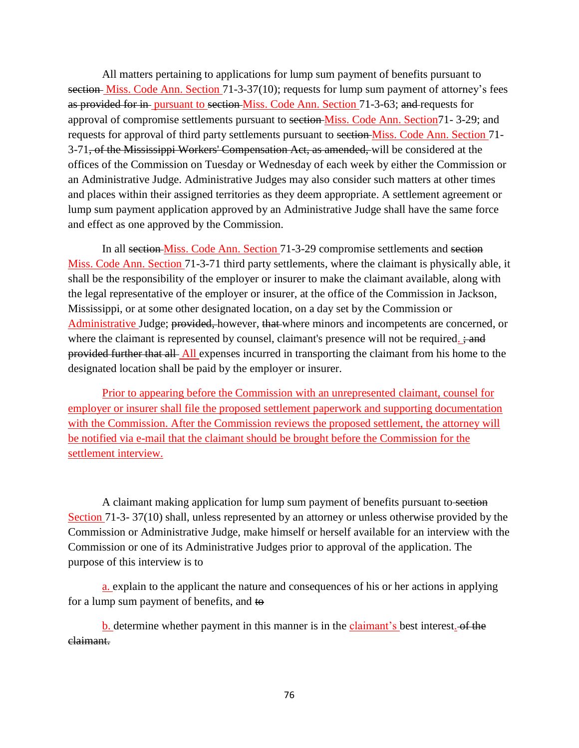All matters pertaining to applications for lump sum payment of benefits pursuant to section Miss. Code Ann. Section 71-3-37(10); requests for lump sum payment of attorney's fees as provided for in pursuant to section Miss. Code Ann. Section 71-3-63; and requests for approval of compromise settlements pursuant to section Miss. Code Ann. Section71- 3-29; and requests for approval of third party settlements pursuant to section Miss. Code Ann. Section 71- 3-71, of the Mississippi Workers' Compensation Act, as amended, will be considered at the offices of the Commission on Tuesday or Wednesday of each week by either the Commission or an Administrative Judge. Administrative Judges may also consider such matters at other times and places within their assigned territories as they deem appropriate. A settlement agreement or lump sum payment application approved by an Administrative Judge shall have the same force and effect as one approved by the Commission.

In all section Miss. Code Ann. Section 71-3-29 compromise settlements and section Miss. Code Ann. Section 71-3-71 third party settlements, where the claimant is physically able, it shall be the responsibility of the employer or insurer to make the claimant available, along with the legal representative of the employer or insurer, at the office of the Commission in Jackson, Mississippi, or at some other designated location, on a day set by the Commission or Administrative Judge; provided, however, that where minors and incompetents are concerned, or where the claimant is represented by counsel, claimant's presence will not be required.  $\div$  and provided further that all All expenses incurred in transporting the claimant from his home to the designated location shall be paid by the employer or insurer.

Prior to appearing before the Commission with an unrepresented claimant, counsel for employer or insurer shall file the proposed settlement paperwork and supporting documentation with the Commission. After the Commission reviews the proposed settlement, the attorney will be notified via e-mail that the claimant should be brought before the Commission for the settlement interview.

A claimant making application for lump sum payment of benefits pursuant to section Section 71-3- 37(10) shall, unless represented by an attorney or unless otherwise provided by the Commission or Administrative Judge, make himself or herself available for an interview with the Commission or one of its Administrative Judges prior to approval of the application. The purpose of this interview is to

a. explain to the applicant the nature and consequences of his or her actions in applying for a lump sum payment of benefits, and to

**b.** determine whether payment in this manner is in the **claimant's** best interest. of the claimant.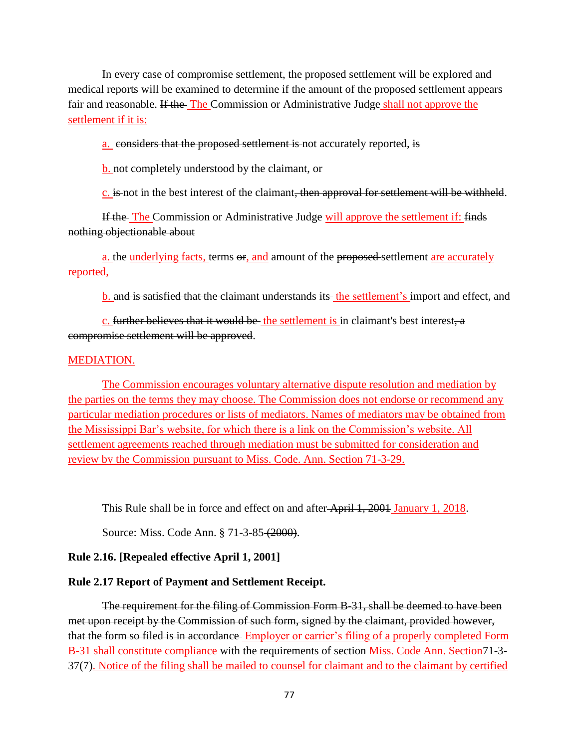In every case of compromise settlement, the proposed settlement will be explored and medical reports will be examined to determine if the amount of the proposed settlement appears fair and reasonable. If the The Commission or Administrative Judge shall not approve the settlement if it is:

a. considers that the proposed settlement is not accurately reported, is

b. not completely understood by the claimant, or

c. is not in the best interest of the claimant, then approval for settlement will be withheld.

If the The Commission or Administrative Judge will approve the settlement if: finds nothing objectionable about

a. the underlying facts, terms  $\Theta$ , and amount of the proposed-settlement are accurately reported,

b. and is satisfied that the claimant understands its the settlement's import and effect, and

c. further believes that it would be the settlement is in claimant's best interest, a compromise settlement will be approved.

### MEDIATION.

The Commission encourages voluntary alternative dispute resolution and mediation by the parties on the terms they may choose. The Commission does not endorse or recommend any particular mediation procedures or lists of mediators. Names of mediators may be obtained from the Mississippi Bar's website, for which there is a link on the Commission's website. All settlement agreements reached through mediation must be submitted for consideration and review by the Commission pursuant to Miss. Code. Ann. Section 71-3-29.

This Rule shall be in force and effect on and after April 1, 2001 January 1, 2018.

Source: Miss. Code Ann. § 71-3-85 (2000).

### **Rule 2.16. [Repealed effective April 1, 2001]**

#### **Rule 2.17 Report of Payment and Settlement Receipt.**

The requirement for the filing of Commission Form B-31, shall be deemed to have been met upon receipt by the Commission of such form, signed by the claimant, provided however, that the form so filed is in accordance Employer or carrier's filing of a properly completed Form B-31 shall constitute compliance with the requirements of section Miss. Code Ann. Section71-3- 37(7). Notice of the filing shall be mailed to counsel for claimant and to the claimant by certified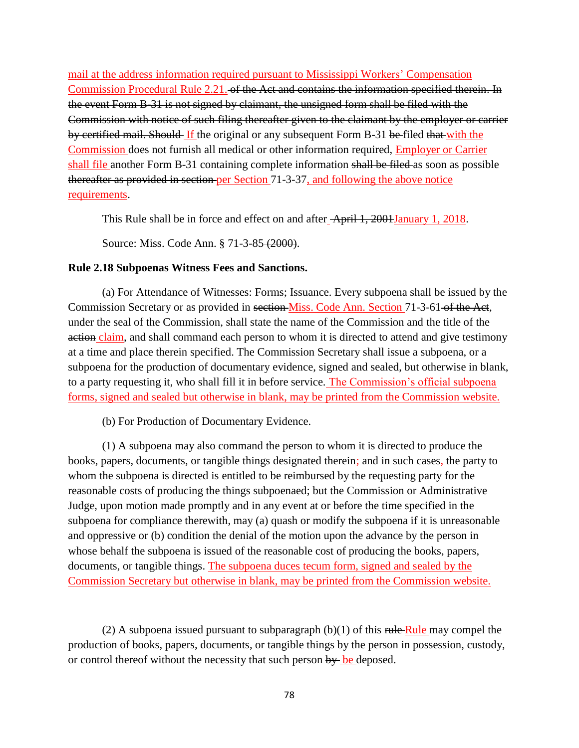mail at the address information required pursuant to Mississippi Workers' Compensation Commission Procedural Rule 2.21. of the Act and contains the information specified therein. In the event Form B-31 is not signed by claimant, the unsigned form shall be filed with the Commission with notice of such filing thereafter given to the claimant by the employer or carrier by certified mail. Should If the original or any subsequent Form B-31 be filed that with the Commission does not furnish all medical or other information required, Employer or Carrier shall file another Form B-31 containing complete information shall be filed as soon as possible thereafter as provided in section per Section 71-3-37, and following the above notice requirements.

This Rule shall be in force and effect on and after April 1, 2001January 1, 2018.

Source: Miss. Code Ann. § 71-3-85 (2000).

### **Rule 2.18 Subpoenas Witness Fees and Sanctions.**

(a) For Attendance of Witnesses: Forms; Issuance. Every subpoena shall be issued by the Commission Secretary or as provided in section Miss. Code Ann. Section 71-3-61 of the Act, under the seal of the Commission, shall state the name of the Commission and the title of the action claim, and shall command each person to whom it is directed to attend and give testimony at a time and place therein specified. The Commission Secretary shall issue a subpoena, or a subpoena for the production of documentary evidence, signed and sealed, but otherwise in blank, to a party requesting it, who shall fill it in before service. The Commission's official subpoena forms, signed and sealed but otherwise in blank, may be printed from the Commission website.

(b) For Production of Documentary Evidence.

(1) A subpoena may also command the person to whom it is directed to produce the books, papers, documents, or tangible things designated therein; and in such cases, the party to whom the subpoena is directed is entitled to be reimbursed by the requesting party for the reasonable costs of producing the things subpoenaed; but the Commission or Administrative Judge, upon motion made promptly and in any event at or before the time specified in the subpoena for compliance therewith, may (a) quash or modify the subpoena if it is unreasonable and oppressive or (b) condition the denial of the motion upon the advance by the person in whose behalf the subpoena is issued of the reasonable cost of producing the books, papers, documents, or tangible things. The subpoena duces tecum form, signed and sealed by the Commission Secretary but otherwise in blank, may be printed from the Commission website.

(2) A subpoena issued pursuant to subparagraph  $(b)(1)$  of this rule Rule may compel the production of books, papers, documents, or tangible things by the person in possession, custody, or control thereof without the necessity that such person  $by$  be deposed.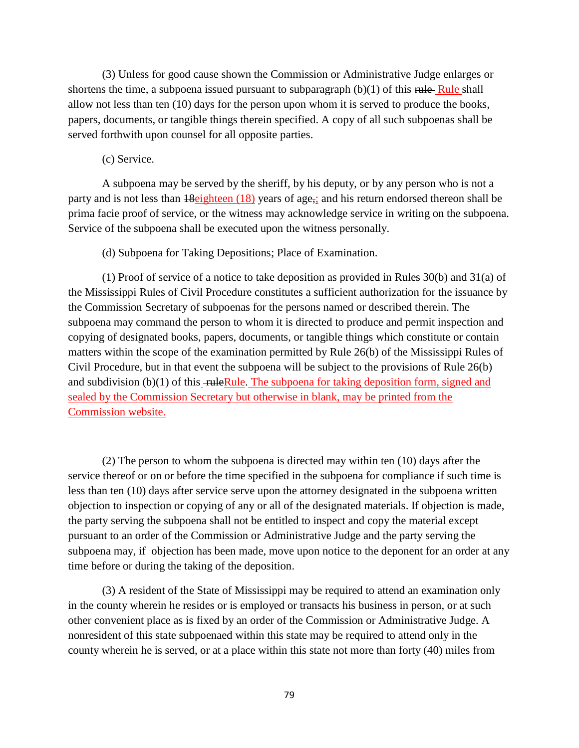(3) Unless for good cause shown the Commission or Administrative Judge enlarges or shortens the time, a subpoena issued pursuant to subparagraph  $(b)(1)$  of this rule Shall allow not less than ten (10) days for the person upon whom it is served to produce the books, papers, documents, or tangible things therein specified. A copy of all such subpoenas shall be served forthwith upon counsel for all opposite parties.

(c) Service.

A subpoena may be served by the sheriff, by his deputy, or by any person who is not a party and is not less than 18 eighteen (18) years of age,; and his return endorsed thereon shall be prima facie proof of service, or the witness may acknowledge service in writing on the subpoena. Service of the subpoena shall be executed upon the witness personally.

(d) Subpoena for Taking Depositions; Place of Examination.

(1) Proof of service of a notice to take deposition as provided in Rules 30(b) and 31(a) of the Mississippi Rules of Civil Procedure constitutes a sufficient authorization for the issuance by the Commission Secretary of subpoenas for the persons named or described therein. The subpoena may command the person to whom it is directed to produce and permit inspection and copying of designated books, papers, documents, or tangible things which constitute or contain matters within the scope of the examination permitted by Rule 26(b) of the Mississippi Rules of Civil Procedure, but in that event the subpoena will be subject to the provisions of Rule 26(b) and subdivision  $(b)(1)$  of this  $\overline{\text{ - ruleRule}}$ . The subpoena for taking deposition form, signed and sealed by the Commission Secretary but otherwise in blank, may be printed from the Commission website.

(2) The person to whom the subpoena is directed may within ten (10) days after the service thereof or on or before the time specified in the subpoena for compliance if such time is less than ten (10) days after service serve upon the attorney designated in the subpoena written objection to inspection or copying of any or all of the designated materials. If objection is made, the party serving the subpoena shall not be entitled to inspect and copy the material except pursuant to an order of the Commission or Administrative Judge and the party serving the subpoena may, if objection has been made, move upon notice to the deponent for an order at any time before or during the taking of the deposition.

(3) A resident of the State of Mississippi may be required to attend an examination only in the county wherein he resides or is employed or transacts his business in person, or at such other convenient place as is fixed by an order of the Commission or Administrative Judge. A nonresident of this state subpoenaed within this state may be required to attend only in the county wherein he is served, or at a place within this state not more than forty (40) miles from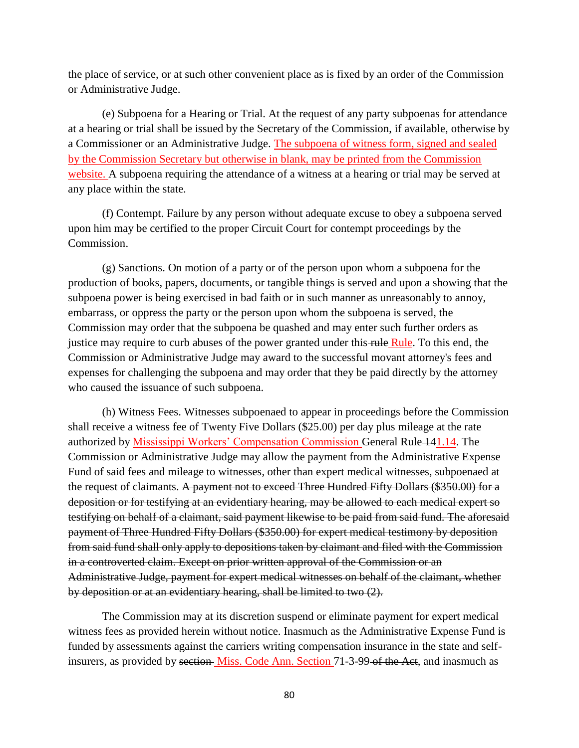the place of service, or at such other convenient place as is fixed by an order of the Commission or Administrative Judge.

(e) Subpoena for a Hearing or Trial. At the request of any party subpoenas for attendance at a hearing or trial shall be issued by the Secretary of the Commission, if available, otherwise by a Commissioner or an Administrative Judge. The subpoena of witness form, signed and sealed by the Commission Secretary but otherwise in blank, may be printed from the Commission website. A subpoena requiring the attendance of a witness at a hearing or trial may be served at any place within the state.

(f) Contempt. Failure by any person without adequate excuse to obey a subpoena served upon him may be certified to the proper Circuit Court for contempt proceedings by the Commission.

(g) Sanctions. On motion of a party or of the person upon whom a subpoena for the production of books, papers, documents, or tangible things is served and upon a showing that the subpoena power is being exercised in bad faith or in such manner as unreasonably to annoy, embarrass, or oppress the party or the person upon whom the subpoena is served, the Commission may order that the subpoena be quashed and may enter such further orders as justice may require to curb abuses of the power granted under this rule Rule. To this end, the Commission or Administrative Judge may award to the successful movant attorney's fees and expenses for challenging the subpoena and may order that they be paid directly by the attorney who caused the issuance of such subpoena.

(h) Witness Fees. Witnesses subpoenaed to appear in proceedings before the Commission shall receive a witness fee of Twenty Five Dollars (\$25.00) per day plus mileage at the rate authorized by Mississippi Workers' Compensation Commission General Rule 141.14. The Commission or Administrative Judge may allow the payment from the Administrative Expense Fund of said fees and mileage to witnesses, other than expert medical witnesses, subpoenaed at the request of claimants. A payment not to exceed Three Hundred Fifty Dollars (\$350.00) for a deposition or for testifying at an evidentiary hearing, may be allowed to each medical expert so testifying on behalf of a claimant, said payment likewise to be paid from said fund. The aforesaid payment of Three Hundred Fifty Dollars (\$350.00) for expert medical testimony by deposition from said fund shall only apply to depositions taken by claimant and filed with the Commission in a controverted claim. Except on prior written approval of the Commission or an Administrative Judge, payment for expert medical witnesses on behalf of the claimant, whether by deposition or at an evidentiary hearing, shall be limited to two (2).

The Commission may at its discretion suspend or eliminate payment for expert medical witness fees as provided herein without notice. Inasmuch as the Administrative Expense Fund is funded by assessments against the carriers writing compensation insurance in the state and selfinsurers, as provided by section Miss. Code Ann. Section 71-3-99-of the Act, and inasmuch as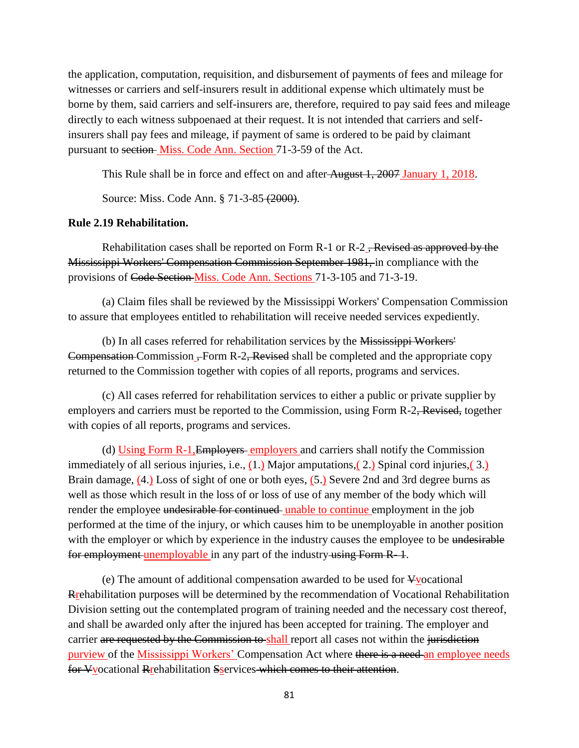the application, computation, requisition, and disbursement of payments of fees and mileage for witnesses or carriers and self-insurers result in additional expense which ultimately must be borne by them, said carriers and self-insurers are, therefore, required to pay said fees and mileage directly to each witness subpoenaed at their request. It is not intended that carriers and selfinsurers shall pay fees and mileage, if payment of same is ordered to be paid by claimant pursuant to section Miss. Code Ann. Section 71-3-59 of the Act.

This Rule shall be in force and effect on and after August 1, 2007 January 1, 2018.

Source: Miss. Code Ann. § 71-3-85 (2000).

### **Rule 2.19 Rehabilitation.**

Rehabilitation cases shall be reported on Form  $R-1$  or  $R-2$ , Revised as approved by the Mississippi Workers' Compensation Commission September 1981, in compliance with the provisions of Code Section Miss. Code Ann. Sections 71-3-105 and 71-3-19.

(a) Claim files shall be reviewed by the Mississippi Workers' Compensation Commission to assure that employees entitled to rehabilitation will receive needed services expediently.

(b) In all cases referred for rehabilitation services by the Mississippi Workers' Compensation Commission – Form R-2, Revised shall be completed and the appropriate copy returned to the Commission together with copies of all reports, programs and services.

(c) All cases referred for rehabilitation services to either a public or private supplier by employers and carriers must be reported to the Commission, using Form R-2, Revised, together with copies of all reports, programs and services.

(d) Using Form R-1,Employers employers and carriers shall notify the Commission immediately of all serious injuries, i.e., (1.) Major amputations, (2.) Spinal cord injuries, (3.) Brain damage, (4.) Loss of sight of one or both eyes, (5.) Severe 2nd and 3rd degree burns as well as those which result in the loss of or loss of use of any member of the body which will render the employee undesirable for continued unable to continue employment in the job performed at the time of the injury, or which causes him to be unemployable in another position with the employer or which by experience in the industry causes the employee to be undesirable for employment unemployable in any part of the industry using Form R-1.

(e) The amount of additional compensation awarded to be used for Vvocational Rrehabilitation purposes will be determined by the recommendation of Vocational Rehabilitation Division setting out the contemplated program of training needed and the necessary cost thereof, and shall be awarded only after the injured has been accepted for training. The employer and carrier are requested by the Commission to shall report all cases not within the jurisdiction purview of the Mississippi Workers' Compensation Act where there is a need an employee needs for Vyocational Rrehabilitation Sservices which comes to their attention.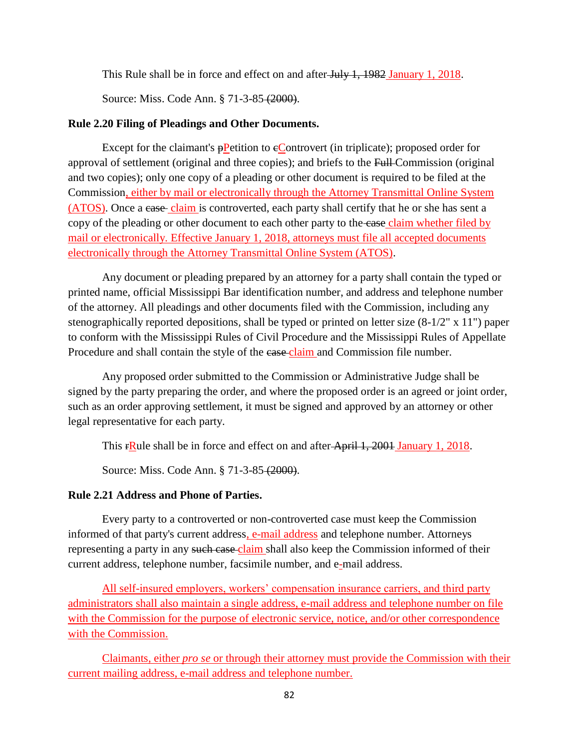This Rule shall be in force and effect on and after July 1, 1982 January 1, 2018.

Source: Miss. Code Ann. § 71-3-85 (2000).

# **Rule 2.20 Filing of Pleadings and Other Documents.**

Except for the claimant's  $\frac{P}{P}$ etition to  $\frac{P}{P}$ controvert (in triplicate); proposed order for approval of settlement (original and three copies); and briefs to the Full Commission (original and two copies); only one copy of a pleading or other document is required to be filed at the Commission, either by mail or electronically through the Attorney Transmittal Online System (ATOS). Once a case claim is controverted, each party shall certify that he or she has sent a copy of the pleading or other document to each other party to the case claim whether filed by mail or electronically. Effective January 1, 2018, attorneys must file all accepted documents electronically through the Attorney Transmittal Online System (ATOS).

Any document or pleading prepared by an attorney for a party shall contain the typed or printed name, official Mississippi Bar identification number, and address and telephone number of the attorney. All pleadings and other documents filed with the Commission, including any stenographically reported depositions, shall be typed or printed on letter size (8-1/2" x 11") paper to conform with the Mississippi Rules of Civil Procedure and the Mississippi Rules of Appellate Procedure and shall contain the style of the ease-claim and Commission file number.

Any proposed order submitted to the Commission or Administrative Judge shall be signed by the party preparing the order, and where the proposed order is an agreed or joint order, such as an order approving settlement, it must be signed and approved by an attorney or other legal representative for each party.

This rRule shall be in force and effect on and after April 1, 2001 January 1, 2018.

Source: Miss. Code Ann. § 71-3-85 (2000).

# **Rule 2.21 Address and Phone of Parties.**

Every party to a controverted or non-controverted case must keep the Commission informed of that party's current address, e-mail address and telephone number. Attorneys representing a party in any such case claim shall also keep the Commission informed of their current address, telephone number, facsimile number, and e-mail address.

All self-insured employers, workers' compensation insurance carriers, and third party administrators shall also maintain a single address, e-mail address and telephone number on file with the Commission for the purpose of electronic service, notice, and/or other correspondence with the Commission.

Claimants, either *pro se* or through their attorney must provide the Commission with their current mailing address, e-mail address and telephone number.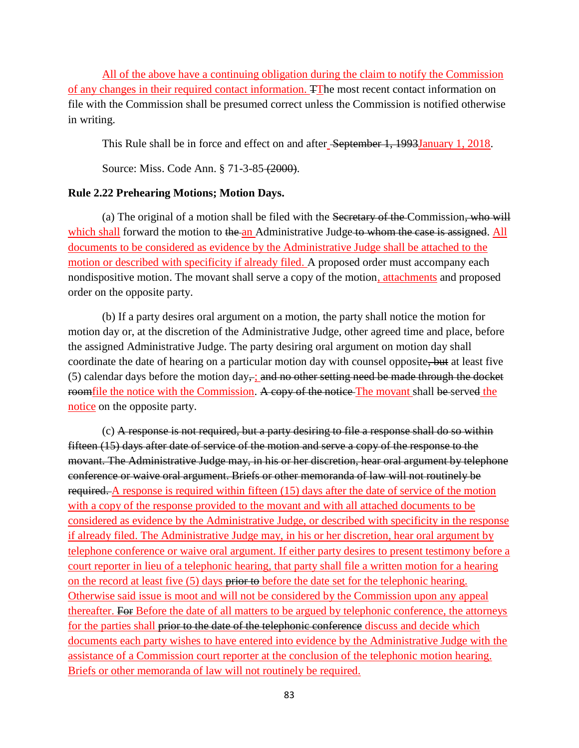All of the above have a continuing obligation during the claim to notify the Commission of any changes in their required contact information. TThe most recent contact information on file with the Commission shall be presumed correct unless the Commission is notified otherwise in writing.

This Rule shall be in force and effect on and after September 1, 1993January 1, 2018.

Source: Miss. Code Ann. § 71-3-85 (2000).

### **Rule 2.22 Prehearing Motions; Motion Days.**

(a) The original of a motion shall be filed with the Secretary of the Commission, who will which shall forward the motion to the an Administrative Judge to whom the case is assigned. All documents to be considered as evidence by the Administrative Judge shall be attached to the motion or described with specificity if already filed. A proposed order must accompany each nondispositive motion. The movant shall serve a copy of the motion, attachments and proposed order on the opposite party.

(b) If a party desires oral argument on a motion, the party shall notice the motion for motion day or, at the discretion of the Administrative Judge, other agreed time and place, before the assigned Administrative Judge. The party desiring oral argument on motion day shall coordinate the date of hearing on a particular motion day with counsel opposite, but at least five (5) calendar days before the motion day, $\frac{1}{x}$  and no other setting need be made through the docket roomfile the notice with the Commission. A copy of the notice The movant shall be served the notice on the opposite party.

(c) A response is not required, but a party desiring to file a response shall do so within fifteen (15) days after date of service of the motion and serve a copy of the response to the movant. The Administrative Judge may, in his or her discretion, hear oral argument by telephone conference or waive oral argument. Briefs or other memoranda of law will not routinely be required. A response is required within fifteen (15) days after the date of service of the motion with a copy of the response provided to the movant and with all attached documents to be considered as evidence by the Administrative Judge, or described with specificity in the response if already filed. The Administrative Judge may, in his or her discretion, hear oral argument by telephone conference or waive oral argument. If either party desires to present testimony before a court reporter in lieu of a telephonic hearing, that party shall file a written motion for a hearing on the record at least five (5) days prior to before the date set for the telephonic hearing. Otherwise said issue is moot and will not be considered by the Commission upon any appeal thereafter. For Before the date of all matters to be argued by telephonic conference, the attorneys for the parties shall prior to the date of the telephonic conference discuss and decide which documents each party wishes to have entered into evidence by the Administrative Judge with the assistance of a Commission court reporter at the conclusion of the telephonic motion hearing. Briefs or other memoranda of law will not routinely be required.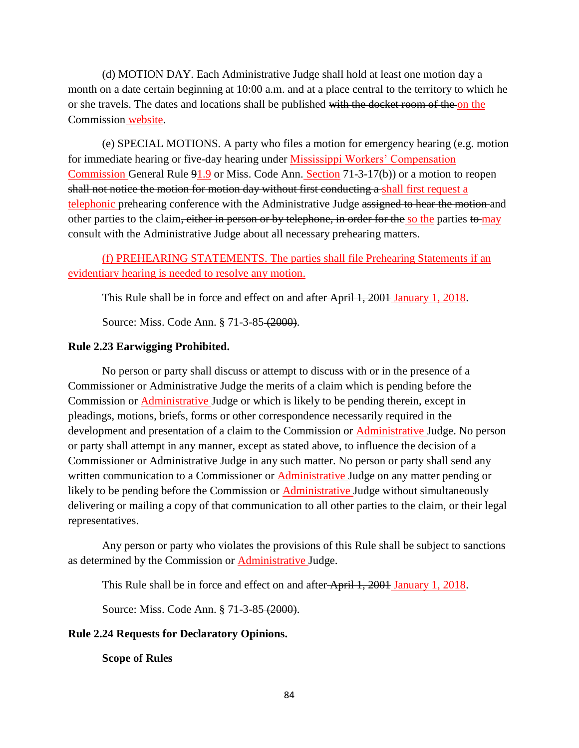(d) MOTION DAY. Each Administrative Judge shall hold at least one motion day a month on a date certain beginning at 10:00 a.m. and at a place central to the territory to which he or she travels. The dates and locations shall be published with the docket room of the on the Commission website.

(e) SPECIAL MOTIONS. A party who files a motion for emergency hearing (e.g. motion for immediate hearing or five-day hearing under Mississippi Workers' Compensation Commission General Rule 91.9 or Miss. Code Ann. Section 71-3-17(b)) or a motion to reopen shall not notice the motion for motion day without first conducting a shall first request a telephonic prehearing conference with the Administrative Judge assigned to hear the motion and other parties to the claim, either in person or by telephone, in order for the so the parties to may consult with the Administrative Judge about all necessary prehearing matters.

(f) PREHEARING STATEMENTS. The parties shall file Prehearing Statements if an evidentiary hearing is needed to resolve any motion.

This Rule shall be in force and effect on and after April 1, 2001 January 1, 2018.

Source: Miss. Code Ann. § 71-3-85 (2000).

### **Rule 2.23 Earwigging Prohibited.**

No person or party shall discuss or attempt to discuss with or in the presence of a Commissioner or Administrative Judge the merits of a claim which is pending before the Commission or **Administrative** Judge or which is likely to be pending therein, except in pleadings, motions, briefs, forms or other correspondence necessarily required in the development and presentation of a claim to the Commission or **Administrative** Judge. No person or party shall attempt in any manner, except as stated above, to influence the decision of a Commissioner or Administrative Judge in any such matter. No person or party shall send any written communication to a Commissioner or **Administrative** Judge on any matter pending or likely to be pending before the Commission or Administrative Judge without simultaneously delivering or mailing a copy of that communication to all other parties to the claim, or their legal representatives.

Any person or party who violates the provisions of this Rule shall be subject to sanctions as determined by the Commission or Administrative Judge.

This Rule shall be in force and effect on and after April 1, 2001 January 1, 2018.

Source: Miss. Code Ann. § 71-3-85 (2000).

# **Rule 2.24 Requests for Declaratory Opinions.**

**Scope of Rules**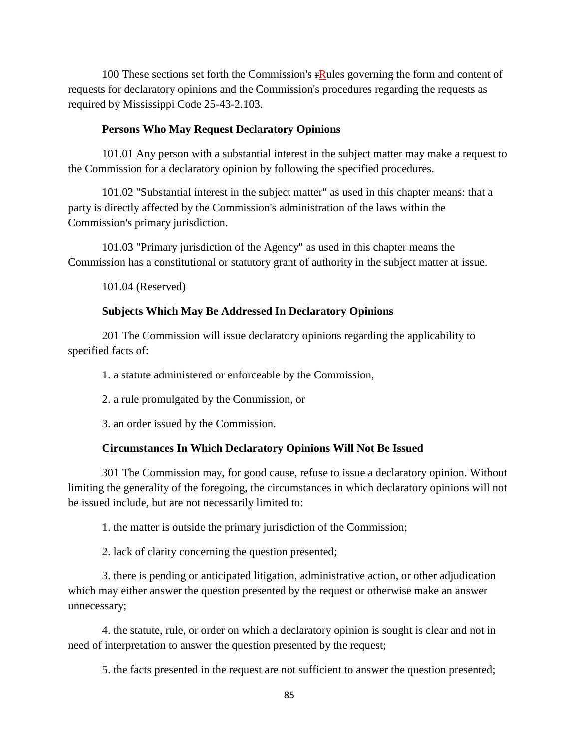100 These sections set forth the Commission's  $rR$ ules governing the form and content of requests for declaratory opinions and the Commission's procedures regarding the requests as required by Mississippi Code 25-43-2.103.

### **Persons Who May Request Declaratory Opinions**

101.01 Any person with a substantial interest in the subject matter may make a request to the Commission for a declaratory opinion by following the specified procedures.

101.02 "Substantial interest in the subject matter" as used in this chapter means: that a party is directly affected by the Commission's administration of the laws within the Commission's primary jurisdiction.

101.03 "Primary jurisdiction of the Agency" as used in this chapter means the Commission has a constitutional or statutory grant of authority in the subject matter at issue.

101.04 (Reserved)

### **Subjects Which May Be Addressed In Declaratory Opinions**

201 The Commission will issue declaratory opinions regarding the applicability to specified facts of:

1. a statute administered or enforceable by the Commission,

2. a rule promulgated by the Commission, or

3. an order issued by the Commission.

### **Circumstances In Which Declaratory Opinions Will Not Be Issued**

301 The Commission may, for good cause, refuse to issue a declaratory opinion. Without limiting the generality of the foregoing, the circumstances in which declaratory opinions will not be issued include, but are not necessarily limited to:

1. the matter is outside the primary jurisdiction of the Commission;

2. lack of clarity concerning the question presented;

3. there is pending or anticipated litigation, administrative action, or other adjudication which may either answer the question presented by the request or otherwise make an answer unnecessary;

4. the statute, rule, or order on which a declaratory opinion is sought is clear and not in need of interpretation to answer the question presented by the request;

5. the facts presented in the request are not sufficient to answer the question presented;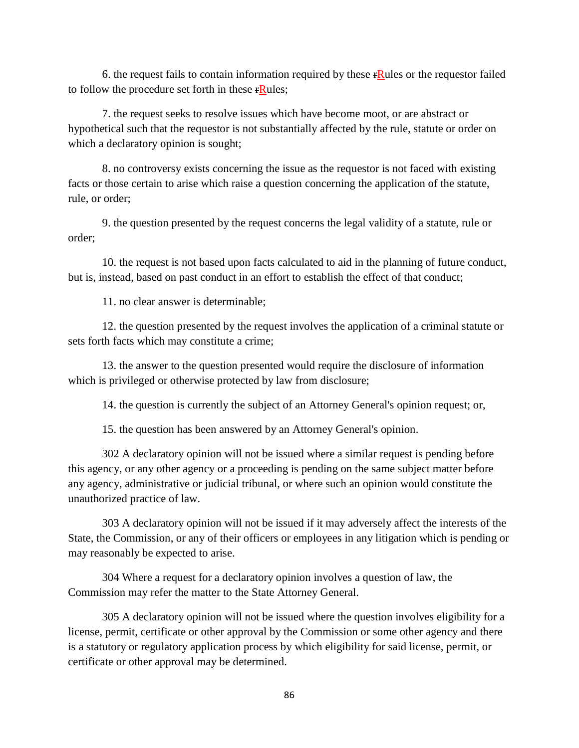6. the request fails to contain information required by these  $\mathbf{r}$ Rules or the requestor failed to follow the procedure set forth in these **FRULES**;

7. the request seeks to resolve issues which have become moot, or are abstract or hypothetical such that the requestor is not substantially affected by the rule, statute or order on which a declaratory opinion is sought;

8. no controversy exists concerning the issue as the requestor is not faced with existing facts or those certain to arise which raise a question concerning the application of the statute, rule, or order;

9. the question presented by the request concerns the legal validity of a statute, rule or order;

10. the request is not based upon facts calculated to aid in the planning of future conduct, but is, instead, based on past conduct in an effort to establish the effect of that conduct;

11. no clear answer is determinable;

12. the question presented by the request involves the application of a criminal statute or sets forth facts which may constitute a crime;

13. the answer to the question presented would require the disclosure of information which is privileged or otherwise protected by law from disclosure;

14. the question is currently the subject of an Attorney General's opinion request; or,

15. the question has been answered by an Attorney General's opinion.

302 A declaratory opinion will not be issued where a similar request is pending before this agency, or any other agency or a proceeding is pending on the same subject matter before any agency, administrative or judicial tribunal, or where such an opinion would constitute the unauthorized practice of law.

303 A declaratory opinion will not be issued if it may adversely affect the interests of the State, the Commission, or any of their officers or employees in any litigation which is pending or may reasonably be expected to arise.

304 Where a request for a declaratory opinion involves a question of law, the Commission may refer the matter to the State Attorney General.

305 A declaratory opinion will not be issued where the question involves eligibility for a license, permit, certificate or other approval by the Commission or some other agency and there is a statutory or regulatory application process by which eligibility for said license, permit, or certificate or other approval may be determined.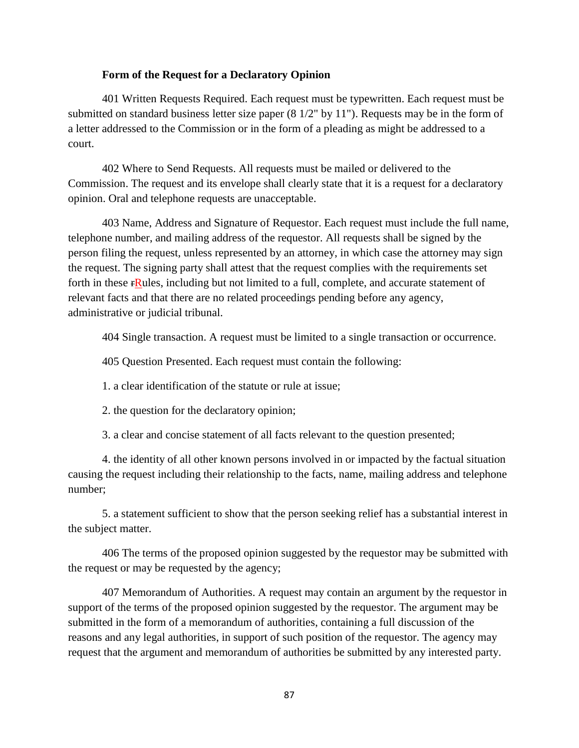#### **Form of the Request for a Declaratory Opinion**

401 Written Requests Required. Each request must be typewritten. Each request must be submitted on standard business letter size paper (8 1/2" by 11"). Requests may be in the form of a letter addressed to the Commission or in the form of a pleading as might be addressed to a court.

402 Where to Send Requests. All requests must be mailed or delivered to the Commission. The request and its envelope shall clearly state that it is a request for a declaratory opinion. Oral and telephone requests are unacceptable.

403 Name, Address and Signature of Requestor. Each request must include the full name, telephone number, and mailing address of the requestor. All requests shall be signed by the person filing the request, unless represented by an attorney, in which case the attorney may sign the request. The signing party shall attest that the request complies with the requirements set forth in these FRules, including but not limited to a full, complete, and accurate statement of relevant facts and that there are no related proceedings pending before any agency, administrative or judicial tribunal.

404 Single transaction. A request must be limited to a single transaction or occurrence.

405 Question Presented. Each request must contain the following:

1. a clear identification of the statute or rule at issue;

2. the question for the declaratory opinion;

3. a clear and concise statement of all facts relevant to the question presented;

4. the identity of all other known persons involved in or impacted by the factual situation causing the request including their relationship to the facts, name, mailing address and telephone number;

5. a statement sufficient to show that the person seeking relief has a substantial interest in the subject matter.

406 The terms of the proposed opinion suggested by the requestor may be submitted with the request or may be requested by the agency;

407 Memorandum of Authorities. A request may contain an argument by the requestor in support of the terms of the proposed opinion suggested by the requestor. The argument may be submitted in the form of a memorandum of authorities, containing a full discussion of the reasons and any legal authorities, in support of such position of the requestor. The agency may request that the argument and memorandum of authorities be submitted by any interested party.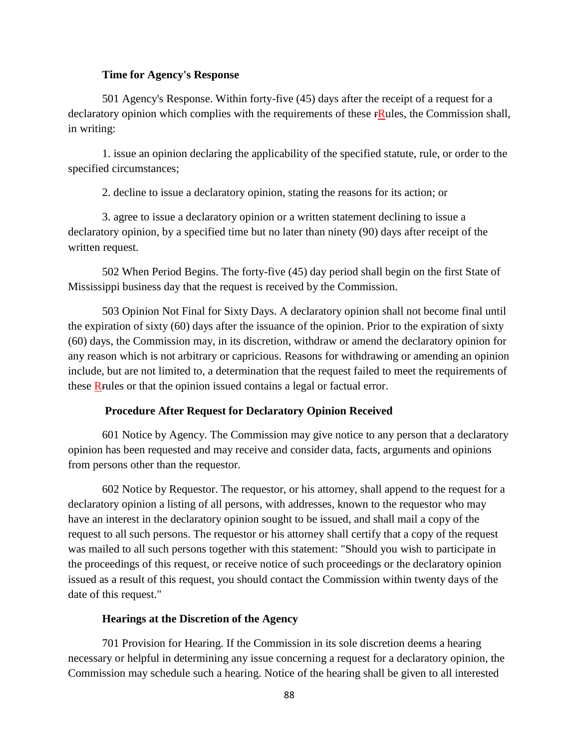#### **Time for Agency's Response**

501 Agency's Response. Within forty-five (45) days after the receipt of a request for a declaratory opinion which complies with the requirements of these  $\mathbf{rRules}$ , the Commission shall, in writing:

1. issue an opinion declaring the applicability of the specified statute, rule, or order to the specified circumstances;

2. decline to issue a declaratory opinion, stating the reasons for its action; or

3. agree to issue a declaratory opinion or a written statement declining to issue a declaratory opinion, by a specified time but no later than ninety (90) days after receipt of the written request.

502 When Period Begins. The forty-five (45) day period shall begin on the first State of Mississippi business day that the request is received by the Commission.

503 Opinion Not Final for Sixty Days. A declaratory opinion shall not become final until the expiration of sixty (60) days after the issuance of the opinion. Prior to the expiration of sixty (60) days, the Commission may, in its discretion, withdraw or amend the declaratory opinion for any reason which is not arbitrary or capricious. Reasons for withdrawing or amending an opinion include, but are not limited to, a determination that the request failed to meet the requirements of these Rrules or that the opinion issued contains a legal or factual error.

#### **Procedure After Request for Declaratory Opinion Received**

601 Notice by Agency. The Commission may give notice to any person that a declaratory opinion has been requested and may receive and consider data, facts, arguments and opinions from persons other than the requestor.

602 Notice by Requestor. The requestor, or his attorney, shall append to the request for a declaratory opinion a listing of all persons, with addresses, known to the requestor who may have an interest in the declaratory opinion sought to be issued, and shall mail a copy of the request to all such persons. The requestor or his attorney shall certify that a copy of the request was mailed to all such persons together with this statement: "Should you wish to participate in the proceedings of this request, or receive notice of such proceedings or the declaratory opinion issued as a result of this request, you should contact the Commission within twenty days of the date of this request."

#### **Hearings at the Discretion of the Agency**

701 Provision for Hearing. If the Commission in its sole discretion deems a hearing necessary or helpful in determining any issue concerning a request for a declaratory opinion, the Commission may schedule such a hearing. Notice of the hearing shall be given to all interested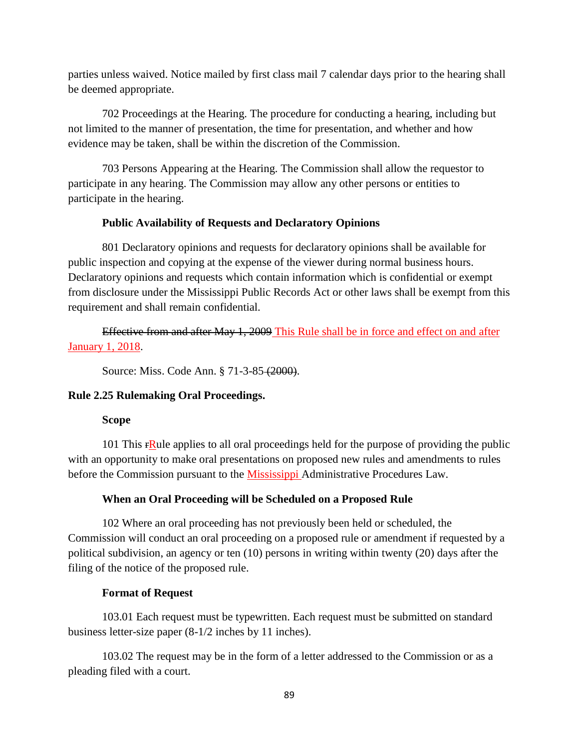parties unless waived. Notice mailed by first class mail 7 calendar days prior to the hearing shall be deemed appropriate.

702 Proceedings at the Hearing. The procedure for conducting a hearing, including but not limited to the manner of presentation, the time for presentation, and whether and how evidence may be taken, shall be within the discretion of the Commission.

703 Persons Appearing at the Hearing. The Commission shall allow the requestor to participate in any hearing. The Commission may allow any other persons or entities to participate in the hearing.

# **Public Availability of Requests and Declaratory Opinions**

801 Declaratory opinions and requests for declaratory opinions shall be available for public inspection and copying at the expense of the viewer during normal business hours. Declaratory opinions and requests which contain information which is confidential or exempt from disclosure under the Mississippi Public Records Act or other laws shall be exempt from this requirement and shall remain confidential.

Effective from and after May 1, 2009 This Rule shall be in force and effect on and after January 1, 2018.

Source: Miss. Code Ann. § 71-3-85 (2000).

# **Rule 2.25 Rulemaking Oral Proceedings.**

# **Scope**

101 This  $rR$ ule applies to all oral proceedings held for the purpose of providing the public with an opportunity to make oral presentations on proposed new rules and amendments to rules before the Commission pursuant to the Mississippi Administrative Procedures Law.

# **When an Oral Proceeding will be Scheduled on a Proposed Rule**

102 Where an oral proceeding has not previously been held or scheduled, the Commission will conduct an oral proceeding on a proposed rule or amendment if requested by a political subdivision, an agency or ten (10) persons in writing within twenty (20) days after the filing of the notice of the proposed rule.

# **Format of Request**

103.01 Each request must be typewritten. Each request must be submitted on standard business letter-size paper (8-1/2 inches by 11 inches).

103.02 The request may be in the form of a letter addressed to the Commission or as a pleading filed with a court.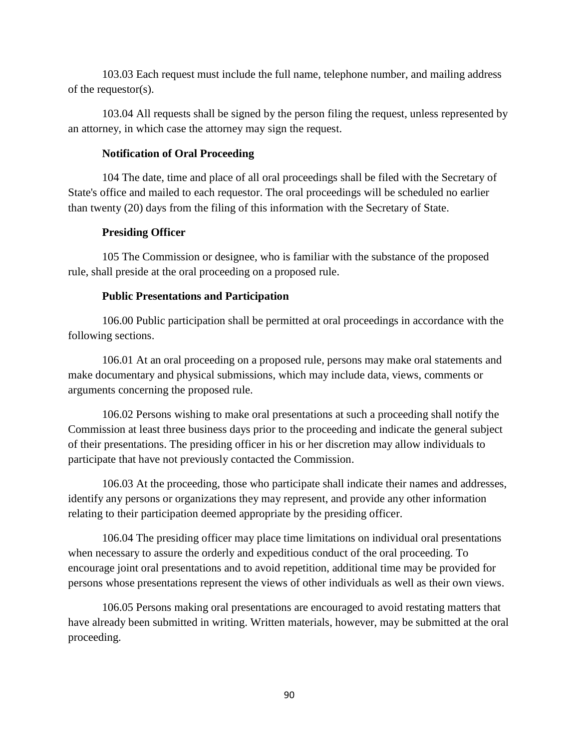103.03 Each request must include the full name, telephone number, and mailing address of the requestor(s).

103.04 All requests shall be signed by the person filing the request, unless represented by an attorney, in which case the attorney may sign the request.

### **Notification of Oral Proceeding**

104 The date, time and place of all oral proceedings shall be filed with the Secretary of State's office and mailed to each requestor. The oral proceedings will be scheduled no earlier than twenty (20) days from the filing of this information with the Secretary of State.

# **Presiding Officer**

105 The Commission or designee, who is familiar with the substance of the proposed rule, shall preside at the oral proceeding on a proposed rule.

# **Public Presentations and Participation**

106.00 Public participation shall be permitted at oral proceedings in accordance with the following sections.

106.01 At an oral proceeding on a proposed rule, persons may make oral statements and make documentary and physical submissions, which may include data, views, comments or arguments concerning the proposed rule.

106.02 Persons wishing to make oral presentations at such a proceeding shall notify the Commission at least three business days prior to the proceeding and indicate the general subject of their presentations. The presiding officer in his or her discretion may allow individuals to participate that have not previously contacted the Commission.

106.03 At the proceeding, those who participate shall indicate their names and addresses, identify any persons or organizations they may represent, and provide any other information relating to their participation deemed appropriate by the presiding officer.

106.04 The presiding officer may place time limitations on individual oral presentations when necessary to assure the orderly and expeditious conduct of the oral proceeding. To encourage joint oral presentations and to avoid repetition, additional time may be provided for persons whose presentations represent the views of other individuals as well as their own views.

106.05 Persons making oral presentations are encouraged to avoid restating matters that have already been submitted in writing. Written materials, however, may be submitted at the oral proceeding.